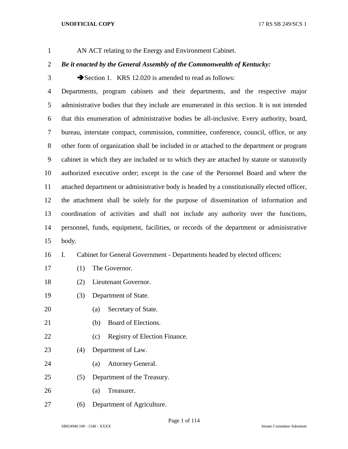AN ACT relating to the Energy and Environment Cabinet.

# *Be it enacted by the General Assembly of the Commonwealth of Kentucky:*

3 Section 1. KRS 12.020 is amended to read as follows:

 Departments, program cabinets and their departments, and the respective major administrative bodies that they include are enumerated in this section. It is not intended that this enumeration of administrative bodies be all-inclusive. Every authority, board, bureau, interstate compact, commission, committee, conference, council, office, or any other form of organization shall be included in or attached to the department or program cabinet in which they are included or to which they are attached by statute or statutorily authorized executive order; except in the case of the Personnel Board and where the attached department or administrative body is headed by a constitutionally elected officer, the attachment shall be solely for the purpose of dissemination of information and coordination of activities and shall not include any authority over the functions, personnel, funds, equipment, facilities, or records of the department or administrative body.

# I. Cabinet for General Government - Departments headed by elected officers:

- (1) The Governor.
- (2) Lieutenant Governor.
- (3) Department of State.
- (a) Secretary of State.
- (b) Board of Elections.
- 22 (c) Registry of Election Finance.
- (4) Department of Law.
- (a) Attorney General.
- (5) Department of the Treasury.
- (a) Treasurer.
- (6) Department of Agriculture.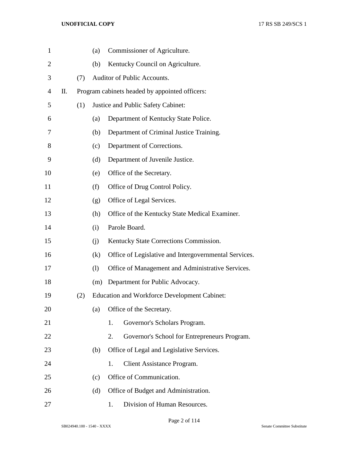| $\mathbf{1}$   |    |     | (a) | Commissioner of Agriculture.                          |
|----------------|----|-----|-----|-------------------------------------------------------|
| $\overline{2}$ |    |     | (b) | Kentucky Council on Agriculture.                      |
| 3              |    | (7) |     | Auditor of Public Accounts.                           |
| 4              | П. |     |     | Program cabinets headed by appointed officers:        |
| 5              |    | (1) |     | Justice and Public Safety Cabinet:                    |
| 6              |    |     | (a) | Department of Kentucky State Police.                  |
| 7              |    |     | (b) | Department of Criminal Justice Training.              |
| 8              |    |     | (c) | Department of Corrections.                            |
| 9              |    |     | (d) | Department of Juvenile Justice.                       |
| 10             |    |     | (e) | Office of the Secretary.                              |
| 11             |    |     | (f) | Office of Drug Control Policy.                        |
| 12             |    |     | (g) | Office of Legal Services.                             |
| 13             |    |     | (h) | Office of the Kentucky State Medical Examiner.        |
| 14             |    |     | (i) | Parole Board.                                         |
| 15             |    |     | (i) | Kentucky State Corrections Commission.                |
| 16             |    |     | (k) | Office of Legislative and Intergovernmental Services. |
| 17             |    |     | (1) | Office of Management and Administrative Services.     |
| 18             |    |     | (m) | Department for Public Advocacy.                       |
| 19             |    | (2) |     | <b>Education and Workforce Development Cabinet:</b>   |
| 20             |    |     | (a) | Office of the Secretary.                              |
| 21             |    |     |     | Governor's Scholars Program.<br>1.                    |
| 22             |    |     |     | 2.<br>Governor's School for Entrepreneurs Program.    |
| 23             |    |     | (b) | Office of Legal and Legislative Services.             |
| 24             |    |     |     | <b>Client Assistance Program.</b><br>1.               |
| 25             |    |     | (c) | Office of Communication.                              |
| 26             |    |     | (d) | Office of Budget and Administration.                  |
| 27             |    |     |     | Division of Human Resources.<br>1.                    |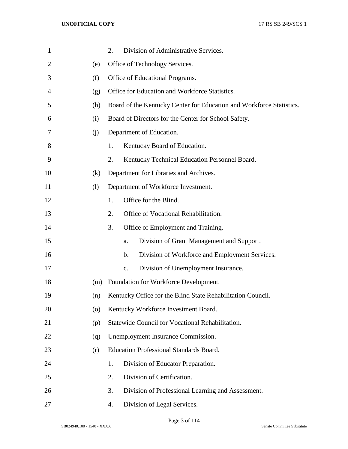| $\mathbf{1}$   |     | Division of Administrative Services.<br>2.                           |
|----------------|-----|----------------------------------------------------------------------|
| $\overline{2}$ | (e) | Office of Technology Services.                                       |
| 3              | (f) | Office of Educational Programs.                                      |
| 4              | (g) | Office for Education and Workforce Statistics.                       |
| 5              | (h) | Board of the Kentucky Center for Education and Workforce Statistics. |
| 6              | (i) | Board of Directors for the Center for School Safety.                 |
| 7              | (i) | Department of Education.                                             |
| 8              |     | Kentucky Board of Education.<br>1.                                   |
| 9              |     | Kentucky Technical Education Personnel Board.<br>2.                  |
| 10             | (k) | Department for Libraries and Archives.                               |
| 11             | (1) | Department of Workforce Investment.                                  |
| 12             |     | Office for the Blind.<br>1.                                          |
| 13             |     | Office of Vocational Rehabilitation.<br>2.                           |
| 14             |     | Office of Employment and Training.<br>3.                             |
| 15             |     | Division of Grant Management and Support.<br>a.                      |
| 16             |     | Division of Workforce and Employment Services.<br>$\mathbf b$ .      |
| 17             |     | Division of Unemployment Insurance.<br>c.                            |
| 18             | (m) | Foundation for Workforce Development.                                |
| 19             | (n) | Kentucky Office for the Blind State Rehabilitation Council.          |
| 20             | (0) | Kentucky Workforce Investment Board.                                 |
| 21             | (p) | Statewide Council for Vocational Rehabilitation.                     |
| 22             | (q) | Unemployment Insurance Commission.                                   |
| 23             | (r) | <b>Education Professional Standards Board.</b>                       |
| 24             |     | Division of Educator Preparation.<br>1.                              |
| 25             |     | Division of Certification.<br>2.                                     |
| 26             |     | Division of Professional Learning and Assessment.<br>3.              |
| 27             |     | Division of Legal Services.<br>4.                                    |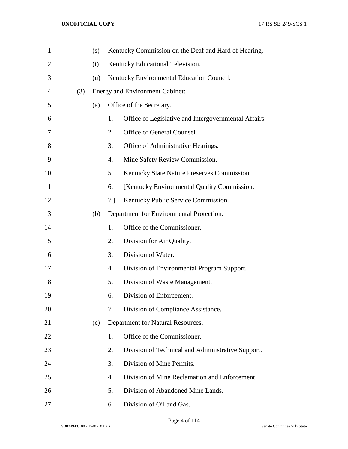| $\mathbf{1}$   |     | (s) |      | Kentucky Commission on the Deaf and Hard of Hearing. |
|----------------|-----|-----|------|------------------------------------------------------|
| $\overline{2}$ |     | (t) |      | Kentucky Educational Television.                     |
| 3              |     | (u) |      | Kentucky Environmental Education Council.            |
| 4              | (3) |     |      | <b>Energy and Environment Cabinet:</b>               |
| 5              |     | (a) |      | Office of the Secretary.                             |
| 6              |     |     | 1.   | Office of Legislative and Intergovernmental Affairs. |
| 7              |     |     | 2.   | Office of General Counsel.                           |
| 8              |     |     | 3.   | Office of Administrative Hearings.                   |
| 9              |     |     | 4.   | Mine Safety Review Commission.                       |
| 10             |     |     | 5.   | Kentucky State Nature Preserves Commission.          |
| 11             |     |     | 6.   | [Kentucky Environmental Quality Commission.          |
| 12             |     |     | $7+$ | Kentucky Public Service Commission.                  |
| 13             |     | (b) |      | Department for Environmental Protection.             |
| 14             |     |     | 1.   | Office of the Commissioner.                          |
| 15             |     |     | 2.   | Division for Air Quality.                            |
| 16             |     |     | 3.   | Division of Water.                                   |
| 17             |     |     | 4.   | Division of Environmental Program Support.           |
| 18             |     |     | 5.   | Division of Waste Management.                        |
| 19             |     |     | 6.   | Division of Enforcement.                             |
| 20             |     |     | 7.   | Division of Compliance Assistance.                   |
| 21             |     | (c) |      | Department for Natural Resources.                    |
| 22             |     |     | 1.   | Office of the Commissioner.                          |
| 23             |     |     | 2.   | Division of Technical and Administrative Support.    |
| 24             |     |     | 3.   | Division of Mine Permits.                            |
| 25             |     |     | 4.   | Division of Mine Reclamation and Enforcement.        |
| 26             |     |     | 5.   | Division of Abandoned Mine Lands.                    |
| 27             |     |     | 6.   | Division of Oil and Gas.                             |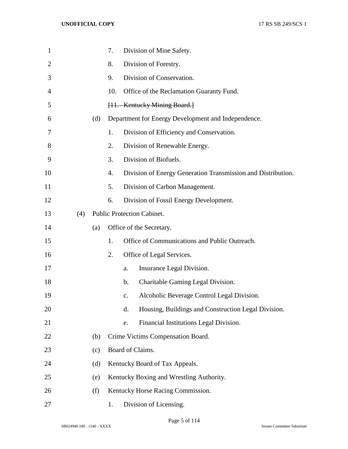| $\mathbf{1}$   |     |     | 7.  |               | Division of Mine Safety.                                     |
|----------------|-----|-----|-----|---------------|--------------------------------------------------------------|
| $\overline{2}$ |     |     | 8.  |               | Division of Forestry.                                        |
| 3              |     |     | 9.  |               | Division of Conservation.                                    |
| 4              |     |     | 10. |               | Office of the Reclamation Guaranty Fund.                     |
| 5              |     |     |     |               | [11. Kentucky Mining Board.]                                 |
| 6              |     | (d) |     |               | Department for Energy Development and Independence.          |
| 7              |     |     | 1.  |               | Division of Efficiency and Conservation.                     |
| 8              |     |     | 2.  |               | Division of Renewable Energy.                                |
| 9              |     |     | 3.  |               | Division of Biofuels.                                        |
| 10             |     |     | 4.  |               | Division of Energy Generation Transmission and Distribution. |
| 11             |     |     | 5.  |               | Division of Carbon Management.                               |
| 12             |     |     | 6.  |               | Division of Fossil Energy Development.                       |
| 13             | (4) |     |     |               | <b>Public Protection Cabinet.</b>                            |
| 14             |     | (a) |     |               | Office of the Secretary.                                     |
| 15             |     |     | 1.  |               | Office of Communications and Public Outreach.                |
| 16             |     |     | 2.  |               | Office of Legal Services.                                    |
| 17             |     |     |     | a.            | Insurance Legal Division.                                    |
| 18             |     |     |     | $\mathbf b$ . | Charitable Gaming Legal Division.                            |
| 19             |     |     |     | c.            | Alcoholic Beverage Control Legal Division.                   |
| 20             |     |     |     | d.            | Housing, Buildings and Construction Legal Division.          |
| 21             |     |     |     | e.            | Financial Institutions Legal Division.                       |
| 22             |     | (b) |     |               | Crime Victims Compensation Board.                            |
| 23             |     | (c) |     |               | Board of Claims.                                             |
| 24             |     | (d) |     |               | Kentucky Board of Tax Appeals.                               |
| 25             |     | (e) |     |               | Kentucky Boxing and Wrestling Authority.                     |
| 26             |     | (f) |     |               | Kentucky Horse Racing Commission.                            |
| 27             |     |     | 1.  |               | Division of Licensing.                                       |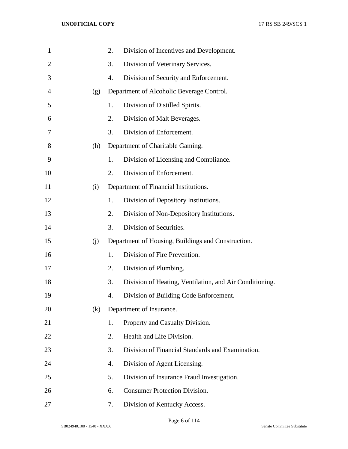| $\mathbf{1}$   |     | 2. | Division of Incentives and Development.                 |
|----------------|-----|----|---------------------------------------------------------|
| $\overline{2}$ |     | 3. | Division of Veterinary Services.                        |
| 3              |     | 4. | Division of Security and Enforcement.                   |
| $\overline{4}$ | (g) |    | Department of Alcoholic Beverage Control.               |
| 5              |     | 1. | Division of Distilled Spirits.                          |
| 6              |     | 2. | Division of Malt Beverages.                             |
| 7              |     | 3. | Division of Enforcement.                                |
| 8              | (h) |    | Department of Charitable Gaming.                        |
| 9              |     | 1. | Division of Licensing and Compliance.                   |
| 10             |     | 2. | Division of Enforcement.                                |
| 11             | (i) |    | Department of Financial Institutions.                   |
| 12             |     | 1. | Division of Depository Institutions.                    |
| 13             |     | 2. | Division of Non-Depository Institutions.                |
| 14             |     | 3. | Division of Securities.                                 |
| 15             | (j) |    | Department of Housing, Buildings and Construction.      |
| 16             |     | 1. | Division of Fire Prevention.                            |
| 17             |     | 2. | Division of Plumbing.                                   |
| 18             |     | 3. | Division of Heating, Ventilation, and Air Conditioning. |
| 19             |     | 4. | Division of Building Code Enforcement.                  |
| 20             | (k) |    | Department of Insurance.                                |
| 21             |     | 1. | Property and Casualty Division.                         |
| 22             |     | 2. | Health and Life Division.                               |
| 23             |     | 3. | Division of Financial Standards and Examination.        |
| 24             |     | 4. | Division of Agent Licensing.                            |
| 25             |     | 5. | Division of Insurance Fraud Investigation.              |
| 26             |     | 6. | <b>Consumer Protection Division.</b>                    |
| 27             |     | 7. | Division of Kentucky Access.                            |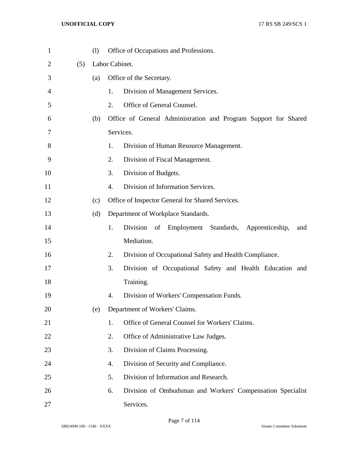| $\mathbf{1}$ |     | (1) | Office of Occupations and Professions.                           |     |
|--------------|-----|-----|------------------------------------------------------------------|-----|
| 2            | (5) |     | Labor Cabinet.                                                   |     |
| 3            |     | (a) | Office of the Secretary.                                         |     |
| 4            |     |     | Division of Management Services.<br>1.                           |     |
| 5            |     |     | 2.<br>Office of General Counsel.                                 |     |
| 6            |     | (b) | Office of General Administration and Program Support for Shared  |     |
| 7            |     |     | Services.                                                        |     |
| 8            |     |     | 1.<br>Division of Human Resource Management.                     |     |
| 9            |     |     | 2.<br>Division of Fiscal Management.                             |     |
| 10           |     |     | 3.<br>Division of Budgets.                                       |     |
| 11           |     |     | 4.<br>Division of Information Services.                          |     |
| 12           |     | (c) | Office of Inspector General for Shared Services.                 |     |
| 13           |     | (d) | Department of Workplace Standards.                               |     |
| 14           |     |     | 1.<br>Division<br>of<br>Employment Standards, Apprenticeship,    | and |
| 15           |     |     | Mediation.                                                       |     |
| 16           |     |     | 2.<br>Division of Occupational Safety and Health Compliance.     |     |
| 17           |     |     | 3.<br>Division of Occupational Safety and Health Education and   |     |
| 18           |     |     | Training.                                                        |     |
| 19           |     |     | 4.<br>Division of Workers' Compensation Funds.                   |     |
| 20           |     | (e) | Department of Workers' Claims.                                   |     |
| 21           |     |     | Office of General Counsel for Workers' Claims.<br>1.             |     |
| 22           |     |     | 2.<br>Office of Administrative Law Judges.                       |     |
| 23           |     |     | 3.<br>Division of Claims Processing.                             |     |
| 24           |     |     | Division of Security and Compliance.<br>4.                       |     |
| 25           |     |     | Division of Information and Research.<br>5.                      |     |
| 26           |     |     | 6.<br>Division of Ombudsman and Workers' Compensation Specialist |     |
| 27           |     |     | Services.                                                        |     |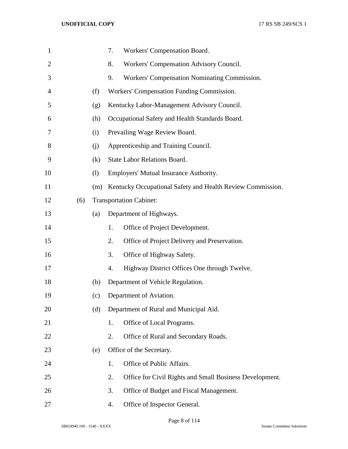| $\mathbf{1}$   |     |     | 7. | Workers' Compensation Board.                               |
|----------------|-----|-----|----|------------------------------------------------------------|
| $\overline{2}$ |     |     | 8. | Workers' Compensation Advisory Council.                    |
| 3              |     |     | 9. | Workers' Compensation Nominating Commission.               |
| 4              |     | (f) |    | Workers' Compensation Funding Commission.                  |
| 5              |     | (g) |    | Kentucky Labor-Management Advisory Council.                |
| 6              |     | (h) |    | Occupational Safety and Health Standards Board.            |
| 7              |     | (i) |    | Prevailing Wage Review Board.                              |
| 8              |     | (i) |    | Apprenticeship and Training Council.                       |
| 9              |     | (k) |    | <b>State Labor Relations Board.</b>                        |
| 10             |     | (1) |    | Employers' Mutual Insurance Authority.                     |
| 11             |     | (m) |    | Kentucky Occupational Safety and Health Review Commission. |
| 12             | (6) |     |    | <b>Transportation Cabinet:</b>                             |
| 13             |     | (a) |    | Department of Highways.                                    |
| 14             |     |     | 1. | Office of Project Development.                             |
| 15             |     |     | 2. | Office of Project Delivery and Preservation.               |
| 16             |     |     | 3. | Office of Highway Safety.                                  |
| 17             |     |     | 4. | Highway District Offices One through Twelve.               |
| 18             |     | (b) |    | Department of Vehicle Regulation.                          |
| 19             |     | (c) |    | Department of Aviation.                                    |
| 20             |     | (d) |    | Department of Rural and Municipal Aid.                     |
| 21             |     |     | 1. | Office of Local Programs.                                  |
| 22             |     |     | 2. | Office of Rural and Secondary Roads.                       |
| 23             |     | (e) |    | Office of the Secretary.                                   |
| 24             |     |     | 1. | Office of Public Affairs.                                  |
| 25             |     |     | 2. | Office for Civil Rights and Small Business Development.    |
| 26             |     |     | 3. | Office of Budget and Fiscal Management.                    |
| 27             |     |     | 4. | Office of Inspector General.                               |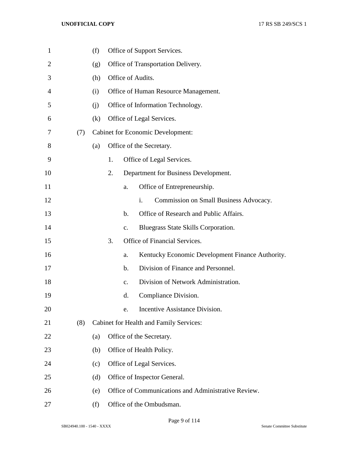| 1  |     | (f) |    |               | Office of Support Services.                              |
|----|-----|-----|----|---------------|----------------------------------------------------------|
| 2  |     | (g) |    |               | Office of Transportation Delivery.                       |
| 3  |     | (h) |    |               | Office of Audits.                                        |
| 4  |     | (i) |    |               | Office of Human Resource Management.                     |
| 5  |     | (i) |    |               | Office of Information Technology.                        |
| 6  |     | (k) |    |               | Office of Legal Services.                                |
| 7  | (7) |     |    |               | <b>Cabinet for Economic Development:</b>                 |
| 8  |     | (a) |    |               | Office of the Secretary.                                 |
| 9  |     |     | 1. |               | Office of Legal Services.                                |
| 10 |     |     | 2. |               | Department for Business Development.                     |
| 11 |     |     |    | a.            | Office of Entrepreneurship.                              |
| 12 |     |     |    |               | Commission on Small Business Advocacy.<br>$\mathbf{i}$ . |
| 13 |     |     |    | $\mathbf b$ . | Office of Research and Public Affairs.                   |
| 14 |     |     |    | $C_{\bullet}$ | Bluegrass State Skills Corporation.                      |
| 15 |     |     | 3. |               | Office of Financial Services.                            |
| 16 |     |     |    | a.            | Kentucky Economic Development Finance Authority.         |
| 17 |     |     |    | b.            | Division of Finance and Personnel.                       |
| 18 |     |     |    | $C_{\bullet}$ | Division of Network Administration.                      |
| 19 |     |     |    | d.            | Compliance Division.                                     |
| 20 |     |     |    | e.            | Incentive Assistance Division.                           |
| 21 | (8) |     |    |               | Cabinet for Health and Family Services:                  |
| 22 |     | (a) |    |               | Office of the Secretary.                                 |
| 23 |     | (b) |    |               | Office of Health Policy.                                 |
| 24 |     | (c) |    |               | Office of Legal Services.                                |
| 25 |     | (d) |    |               | Office of Inspector General.                             |
| 26 |     | (e) |    |               | Office of Communications and Administrative Review.      |
| 27 |     | (f) |    |               | Office of the Ombudsman.                                 |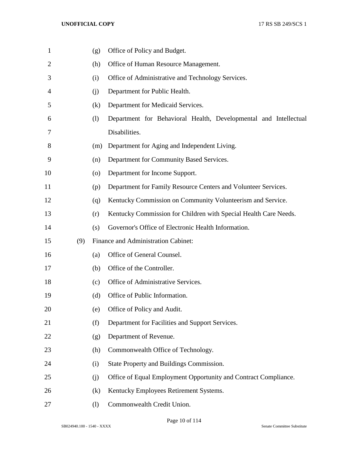| 1              |     | (g)                          | Office of Policy and Budget.                                     |
|----------------|-----|------------------------------|------------------------------------------------------------------|
| $\overline{2}$ |     | (h)                          | Office of Human Resource Management.                             |
| 3              |     | (i)                          | Office of Administrative and Technology Services.                |
| 4              |     | (i)                          | Department for Public Health.                                    |
| 5              |     | (k)                          | Department for Medicaid Services.                                |
| 6              |     | $\left( \frac{1}{2} \right)$ | Department for Behavioral Health, Developmental and Intellectual |
| 7              |     |                              | Disabilities.                                                    |
| 8              |     | (m)                          | Department for Aging and Independent Living.                     |
| 9              |     | (n)                          | Department for Community Based Services.                         |
| 10             |     | $\left( 0 \right)$           | Department for Income Support.                                   |
| 11             |     | (p)                          | Department for Family Resource Centers and Volunteer Services.   |
| 12             |     | (q)                          | Kentucky Commission on Community Volunteerism and Service.       |
| 13             |     | (r)                          | Kentucky Commission for Children with Special Health Care Needs. |
| 14             |     | (s)                          | Governor's Office of Electronic Health Information.              |
| 15             | (9) |                              | Finance and Administration Cabinet:                              |
| 16             |     | (a)                          | Office of General Counsel.                                       |
| 17             |     | (b)                          | Office of the Controller.                                        |
| 18             |     | (c)                          | Office of Administrative Services.                               |
| 19             |     | (d)                          | Office of Public Information.                                    |
| 20             |     | (e)                          | Office of Policy and Audit.                                      |
| 21             |     | (f)                          | Department for Facilities and Support Services.                  |
| 22             |     | (g)                          | Department of Revenue.                                           |
| 23             |     | (h)                          | Commonwealth Office of Technology.                               |
| 24             |     | (i)                          | State Property and Buildings Commission.                         |
| 25             |     | (j)                          | Office of Equal Employment Opportunity and Contract Compliance.  |
| 26             |     | (k)                          | Kentucky Employees Retirement Systems.                           |
| 27             |     | (1)                          | Commonwealth Credit Union.                                       |

Page 10 of 114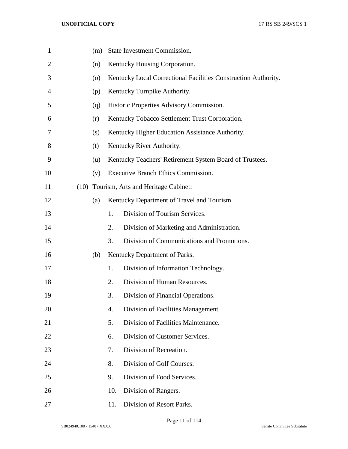| $\mathbf{1}$   |      | (m) |     | State Investment Commission.                                   |
|----------------|------|-----|-----|----------------------------------------------------------------|
| $\overline{2}$ |      | (n) |     | Kentucky Housing Corporation.                                  |
| 3              |      | (0) |     | Kentucky Local Correctional Facilities Construction Authority. |
| 4              |      | (p) |     | Kentucky Turnpike Authority.                                   |
| 5              |      | (q) |     | Historic Properties Advisory Commission.                       |
| 6              |      | (r) |     | Kentucky Tobacco Settlement Trust Corporation.                 |
| 7              |      | (s) |     | Kentucky Higher Education Assistance Authority.                |
| 8              |      | (t) |     | Kentucky River Authority.                                      |
| 9              |      | (u) |     | Kentucky Teachers' Retirement System Board of Trustees.        |
| 10             |      | (v) |     | Executive Branch Ethics Commission.                            |
| 11             | (10) |     |     | Tourism, Arts and Heritage Cabinet:                            |
| 12             |      | (a) |     | Kentucky Department of Travel and Tourism.                     |
| 13             |      |     | 1.  | Division of Tourism Services.                                  |
| 14             |      |     | 2.  | Division of Marketing and Administration.                      |
| 15             |      |     | 3.  | Division of Communications and Promotions.                     |
| 16             |      | (b) |     | Kentucky Department of Parks.                                  |
| 17             |      |     | 1.  | Division of Information Technology.                            |
| 18             |      |     | 2.  | Division of Human Resources.                                   |
| 19             |      |     | 3.  | Division of Financial Operations.                              |
| 20             |      |     | 4.  | Division of Facilities Management.                             |
| 21             |      |     | 5.  | Division of Facilities Maintenance.                            |
| 22             |      |     | 6.  | Division of Customer Services.                                 |
| 23             |      |     | 7.  | Division of Recreation.                                        |
| 24             |      |     | 8.  | Division of Golf Courses.                                      |
| 25             |      |     | 9.  | Division of Food Services.                                     |
| 26             |      |     | 10. | Division of Rangers.                                           |
| 27             |      |     | 11. | Division of Resort Parks.                                      |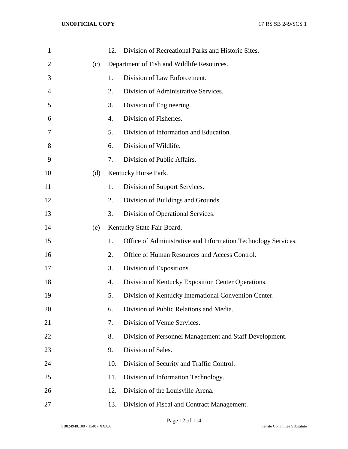| $\mathbf{1}$   |     | 12. | Division of Recreational Parks and Historic Sites.            |
|----------------|-----|-----|---------------------------------------------------------------|
| $\overline{2}$ | (c) |     | Department of Fish and Wildlife Resources.                    |
| 3              |     | 1.  | Division of Law Enforcement.                                  |
| 4              |     | 2.  | Division of Administrative Services.                          |
| 5              |     | 3.  | Division of Engineering.                                      |
| 6              |     | 4.  | Division of Fisheries.                                        |
| 7              |     | 5.  | Division of Information and Education.                        |
| 8              |     | 6.  | Division of Wildlife.                                         |
| 9              |     | 7.  | Division of Public Affairs.                                   |
| 10             | (d) |     | Kentucky Horse Park.                                          |
| 11             |     | 1.  | Division of Support Services.                                 |
| 12             |     | 2.  | Division of Buildings and Grounds.                            |
| 13             |     | 3.  | Division of Operational Services.                             |
| 14             | (e) |     | Kentucky State Fair Board.                                    |
| 15             |     | 1.  | Office of Administrative and Information Technology Services. |
| 16             |     | 2.  | Office of Human Resources and Access Control.                 |
| 17             |     | 3.  | Division of Expositions.                                      |
| 18             |     | 4.  | Division of Kentucky Exposition Center Operations.            |
| 19             |     | 5.  | Division of Kentucky International Convention Center.         |
| 20             |     | 6.  | Division of Public Relations and Media.                       |
| 21             |     | 7.  | Division of Venue Services.                                   |
| 22             |     | 8.  | Division of Personnel Management and Staff Development.       |
| 23             |     | 9.  | Division of Sales.                                            |
| 24             |     | 10. | Division of Security and Traffic Control.                     |
| 25             |     | 11. | Division of Information Technology.                           |
| 26             |     | 12. | Division of the Louisville Arena.                             |
| 27             |     | 13. | Division of Fiscal and Contract Management.                   |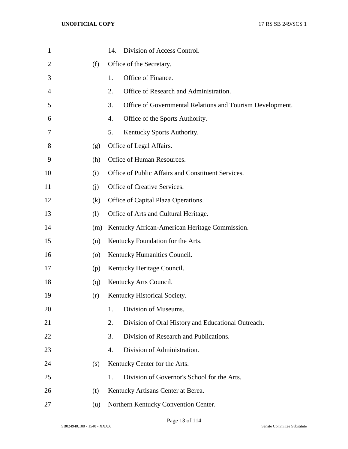| 1              |     | Division of Access Control.<br>14.                              |
|----------------|-----|-----------------------------------------------------------------|
| $\overline{2}$ | (f) | Office of the Secretary.                                        |
| 3              |     | Office of Finance.<br>1.                                        |
| $\overline{4}$ |     | Office of Research and Administration.<br>2.                    |
| 5              |     | 3.<br>Office of Governmental Relations and Tourism Development. |
| 6              |     | Office of the Sports Authority.<br>4.                           |
| 7              |     | 5.<br>Kentucky Sports Authority.                                |
| 8              | (g) | Office of Legal Affairs.                                        |
| 9              | (h) | Office of Human Resources.                                      |
| 10             | (i) | Office of Public Affairs and Constituent Services.              |
| 11             | (i) | Office of Creative Services.                                    |
| 12             | (k) | Office of Capital Plaza Operations.                             |
| 13             | (1) | Office of Arts and Cultural Heritage.                           |
| 14             | (m) | Kentucky African-American Heritage Commission.                  |
| 15             | (n) | Kentucky Foundation for the Arts.                               |
| 16             | (0) | Kentucky Humanities Council.                                    |
| 17             | (p) | Kentucky Heritage Council.                                      |
| 18             | (q) | Kentucky Arts Council.                                          |
| 19             | (r) | Kentucky Historical Society.                                    |
| 20             |     | Division of Museums.<br>1.                                      |
| 21             |     | Division of Oral History and Educational Outreach.<br>2.        |
| 22             |     | Division of Research and Publications.<br>3.                    |
| 23             |     | Division of Administration.<br>4.                               |
| 24             | (s) | Kentucky Center for the Arts.                                   |
| 25             |     | Division of Governor's School for the Arts.<br>1.               |
| 26             | (t) | Kentucky Artisans Center at Berea.                              |
| 27             | (u) | Northern Kentucky Convention Center.                            |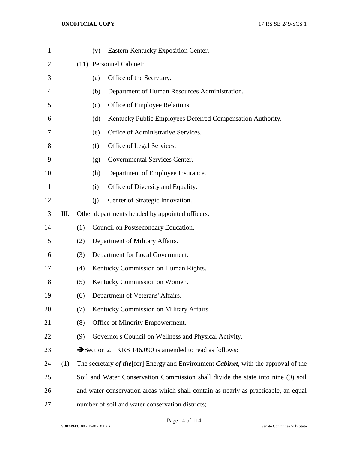| $\mathbf{1}$   |     |     | (v) | Eastern Kentucky Exposition Center.                                                 |
|----------------|-----|-----|-----|-------------------------------------------------------------------------------------|
| $\overline{2}$ |     |     |     | (11) Personnel Cabinet:                                                             |
| 3              |     |     | (a) | Office of the Secretary.                                                            |
| $\overline{4}$ |     |     | (b) | Department of Human Resources Administration.                                       |
| 5              |     |     | (c) | Office of Employee Relations.                                                       |
| 6              |     |     | (d) | Kentucky Public Employees Deferred Compensation Authority.                          |
| 7              |     |     | (e) | Office of Administrative Services.                                                  |
| 8              |     |     | (f) | Office of Legal Services.                                                           |
| 9              |     |     | (g) | Governmental Services Center.                                                       |
| 10             |     |     | (h) | Department of Employee Insurance.                                                   |
| 11             |     |     | (i) | Office of Diversity and Equality.                                                   |
| 12             |     |     | (j) | Center of Strategic Innovation.                                                     |
| 13             | Ш.  |     |     | Other departments headed by appointed officers:                                     |
| 14             |     | (1) |     | Council on Postsecondary Education.                                                 |
| 15             |     | (2) |     | Department of Military Affairs.                                                     |
| 16             |     | (3) |     | Department for Local Government.                                                    |
| 17             |     | (4) |     | Kentucky Commission on Human Rights.                                                |
| 18             |     | (5) |     | Kentucky Commission on Women.                                                       |
| 19             |     | (6) |     | Department of Veterans' Affairs.                                                    |
| 20             |     | (7) |     | Kentucky Commission on Military Affairs.                                            |
| 21             |     | (8) |     | Office of Minority Empowerment.                                                     |
| 22             |     | (9) |     | Governor's Council on Wellness and Physical Activity.                               |
| 23             |     |     |     | Section 2. KRS 146.090 is amended to read as follows:                               |
| 24             | (1) |     |     | The secretary of the [for] Energy and Environment Cabinet, with the approval of the |
| 25             |     |     |     | Soil and Water Conservation Commission shall divide the state into nine (9) soil    |
| 26             |     |     |     | and water conservation areas which shall contain as nearly as practicable, an equal |
| 27             |     |     |     | number of soil and water conservation districts;                                    |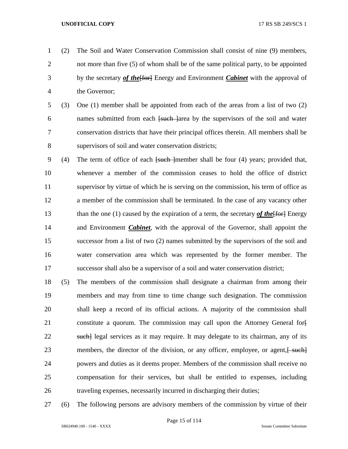- (2) The Soil and Water Conservation Commission shall consist of nine (9) members, not more than five (5) of whom shall be of the same political party, to be appointed by the secretary *of the*[for] Energy and Environment *Cabinet* with the approval of the Governor;
- (3) One (1) member shall be appointed from each of the areas from a list of two (2) 6 names submitted from each <del>[such ]</del>area by the supervisors of the soil and water conservation districts that have their principal offices therein. All members shall be supervisors of soil and water conservation districts;
- 9 (4) The term of office of each <del>[such ]</del>member shall be four (4) years; provided that, whenever a member of the commission ceases to hold the office of district supervisor by virtue of which he is serving on the commission, his term of office as a member of the commission shall be terminated. In the case of any vacancy other 13 than the one (1) caused by the expiration of a term, the secretary *of the* [for ] Energy and Environment *Cabinet*, with the approval of the Governor, shall appoint the successor from a list of two (2) names submitted by the supervisors of the soil and water conservation area which was represented by the former member. The successor shall also be a supervisor of a soil and water conservation district;
- (5) The members of the commission shall designate a chairman from among their members and may from time to time change such designation. The commission shall keep a record of its official actions. A majority of the commission shall 21 constitute a quorum. The commission may call upon the Attorney General for-22 such legal services as it may require. It may delegate to its chairman, any of its 23 members, the director of the division, or any officer, employee, or agent,  $\frac{1}{2}$  powers and duties as it deems proper. Members of the commission shall receive no compensation for their services, but shall be entitled to expenses, including traveling expenses, necessarily incurred in discharging their duties;
- (6) The following persons are advisory members of the commission by virtue of their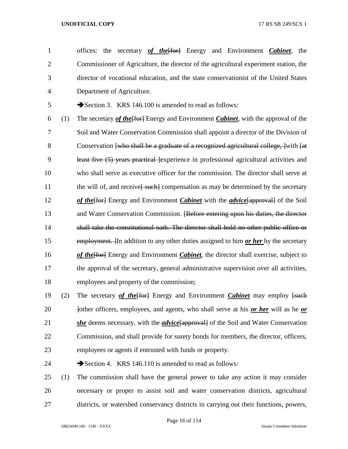offices: the secretary *of the*[for] Energy and Environment *Cabinet*, the Commissioner of Agriculture, the director of the agricultural experiment station, the director of vocational education, and the state conservationist of the United States Department of Agriculture.

5 Section 3. KRS 146.100 is amended to read as follows:

 (1) The secretary *of the*[for] Energy and Environment *Cabinet*, with the approval of the Soil and Water Conservation Commission shall appoint a director of the Division of 8 Conservation [who shall be a graduate of a recognized agricultural college, ] with [at least five (5) years practical ]experience in professional agricultural activities and who shall serve as executive officer for the commission. The director shall serve at 11 the will of, and receive<del>[ such]</del> compensation as may be determined by the secretary 12 of the [fortheler] Energy and Environment *Cabinet* with the *advice* [approval] of the Soil 13 and Water Conservation Commission. <del>[Before entering upon his duties, the director</del> shall take the constitutional oath. The director shall hold no other public office or employment. ]In addition to any other duties assigned to him *or her* by the secretary **of the form** Energy and Environment *Cabinet*, the director shall exercise, subject to the approval of the secretary, general administrative supervision over all activities, employees and property of the commission;

- 19 (2) The secretary *of the* [for ] Energy and Environment *Cabinet* may employ [such] 20 bother officers, employees, and agents, who shall serve at his *or her* will as he *or she* deems necessary, with the *advice*[approval] of the Soil and Water Conservation Commission, and shall provide for surety bonds for members, the director, officers, employees or agents if entrusted with funds or property.
- 24 Section 4. KRS 146.110 is amended to read as follows:
- (1) The commission shall have the general power to take any action it may consider necessary or proper to assist soil and water conservation districts, agricultural districts, or watershed conservancy districts in carrying out their functions, powers,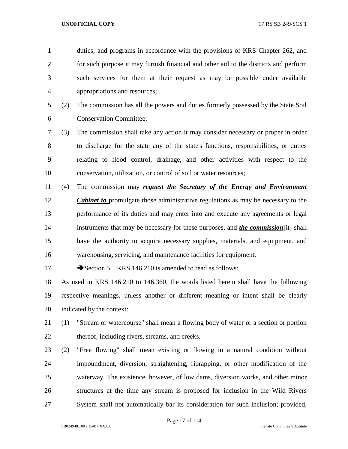duties, and programs in accordance with the provisions of KRS Chapter 262, and for such purpose it may furnish financial and other aid to the districts and perform such services for them at their request as may be possible under available appropriations and resources; (2) The commission has all the powers and duties formerly possessed by the State Soil Conservation Committee; (3) The commission shall take any action it may consider necessary or proper in order to discharge for the state any of the state's functions, responsibilities, or duties relating to flood control, drainage, and other activities with respect to the conservation, utilization, or control of soil or water resources; (4) The commission may *request the Secretary of the Energy and Environment Cabinet to* promulgate those administrative regulations as may be necessary to the performance of its duties and may enter into and execute any agreements or legal 14 instruments that may be necessary for these purposes, and *the commission* [it] shall have the authority to acquire necessary supplies, materials, and equipment, and warehousing, servicing, and maintenance facilities for equipment. 17 Section 5. KRS 146.210 is amended to read as follows:

 As used in KRS 146.210 to 146.360, the words listed herein shall have the following respective meanings, unless another or different meaning or intent shall be clearly indicated by the context:



 (2) "Free flowing" shall mean existing or flowing in a natural condition without impoundment, diversion, straightening, riprapping, or other modification of the waterway. The existence, however, of low dams, diversion works, and other minor structures at the time any stream is proposed for inclusion in the Wild Rivers System shall not automatically bar its consideration for such inclusion; provided,

Page 17 of 114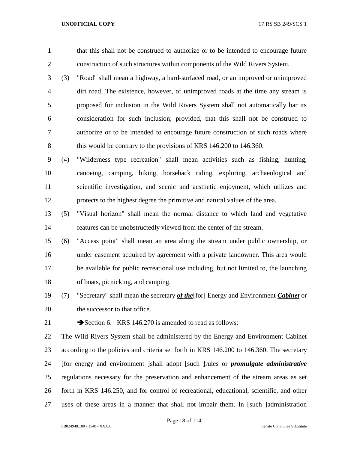that this shall not be construed to authorize or to be intended to encourage future construction of such structures within components of the Wild Rivers System.

 (3) "Road" shall mean a highway, a hard-surfaced road, or an improved or unimproved dirt road. The existence, however, of unimproved roads at the time any stream is proposed for inclusion in the Wild Rivers System shall not automatically bar its consideration for such inclusion; provided, that this shall not be construed to authorize or to be intended to encourage future construction of such roads where 8 this would be contrary to the provisions of KRS 146.200 to 146.360.

 (4) "Wilderness type recreation" shall mean activities such as fishing, hunting, canoeing, camping, hiking, horseback riding, exploring, archaeological and scientific investigation, and scenic and aesthetic enjoyment, which utilizes and protects to the highest degree the primitive and natural values of the area.

 (5) "Visual horizon" shall mean the normal distance to which land and vegetative features can be unobstructedly viewed from the center of the stream.

 (6) "Access point" shall mean an area along the stream under public ownership, or under easement acquired by agreement with a private landowner. This area would be available for public recreational use including, but not limited to, the launching of boats, picnicking, and camping.

19 (7) "Secretary" shall mean the secretary *of the* [for ] Energy and Environment *Cabinet* or the successor to that office.

21 Section 6. KRS 146.270 is amended to read as follows:

 The Wild Rivers System shall be administered by the Energy and Environment Cabinet 23 according to the policies and criteria set forth in KRS 146.200 to 146.360. The secretary [for energy and environment ]shall adopt [such ]rules or *promulgate administrative*  regulations necessary for the preservation and enhancement of the stream areas as set forth in KRS 146.250, and for control of recreational, educational, scientific, and other 27 uses of these areas in a manner that shall not impair them. In <del>[such ]</del>administration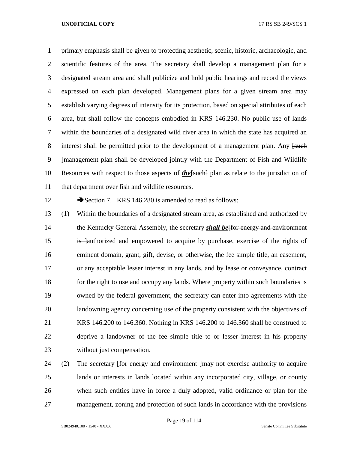primary emphasis shall be given to protecting aesthetic, scenic, historic, archaeologic, and scientific features of the area. The secretary shall develop a management plan for a designated stream area and shall publicize and hold public hearings and record the views expressed on each plan developed. Management plans for a given stream area may establish varying degrees of intensity for its protection, based on special attributes of each area, but shall follow the concepts embodied in KRS 146.230. No public use of lands within the boundaries of a designated wild river area in which the state has acquired an 8 interest shall be permitted prior to the development of a management plan. Any [such ]management plan shall be developed jointly with the Department of Fish and Wildlife Resources with respect to those aspects of *the*[such] plan as relate to the jurisdiction of that department over fish and wildlife resources.

12 Section 7. KRS 146.280 is amended to read as follows:

 (1) Within the boundaries of a designated stream area, as established and authorized by the Kentucky General Assembly, the secretary *shall be*[for energy and environment 15 is lauthorized and empowered to acquire by purchase, exercise of the rights of eminent domain, grant, gift, devise, or otherwise, the fee simple title, an easement, or any acceptable lesser interest in any lands, and by lease or conveyance, contract 18 for the right to use and occupy any lands. Where property within such boundaries is owned by the federal government, the secretary can enter into agreements with the landowning agency concerning use of the property consistent with the objectives of KRS 146.200 to 146.360. Nothing in KRS 146.200 to 146.360 shall be construed to deprive a landowner of the fee simple title to or lesser interest in his property without just compensation.

24 (2) The secretary <del>[for energy and environment ]</del>may not exercise authority to acquire lands or interests in lands located within any incorporated city, village, or county when such entities have in force a duly adopted, valid ordinance or plan for the management, zoning and protection of such lands in accordance with the provisions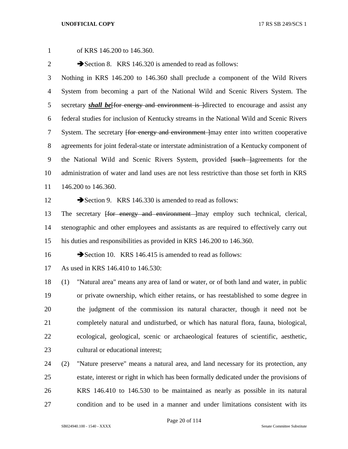of KRS 146.200 to 146.360. 2 Section 8. KRS 146.320 is amended to read as follows: Nothing in KRS 146.200 to 146.360 shall preclude a component of the Wild Rivers System from becoming a part of the National Wild and Scenic Rivers System. The 5 secretary **shall be** for energy and environment is directed to encourage and assist any federal studies for inclusion of Kentucky streams in the National Wild and Scenic Rivers 7 System. The secretary <del>[for energy and environment ]</del>may enter into written cooperative agreements for joint federal-state or interstate administration of a Kentucky component of 9 the National Wild and Scenic Rivers System, provided <del>[such ]</del>agreements for the administration of water and land uses are not less restrictive than those set forth in KRS 146.200 to 146.360. 12 Section 9. KRS 146.330 is amended to read as follows: 13 The secretary <del>[for energy and environment ]</del>may employ such technical, clerical, stenographic and other employees and assistants as are required to effectively carry out his duties and responsibilities as provided in KRS 146.200 to 146.360. 16 Section 10. KRS 146.415 is amended to read as follows: As used in KRS 146.410 to 146.530: (1) "Natural area" means any area of land or water, or of both land and water, in public or private ownership, which either retains, or has reestablished to some degree in the judgment of the commission its natural character, though it need not be completely natural and undisturbed, or which has natural flora, fauna, biological, ecological, geological, scenic or archaeological features of scientific, aesthetic, 23 cultural or educational interest: (2) "Nature preserve" means a natural area, and land necessary for its protection, any estate, interest or right in which has been formally dedicated under the provisions of

 KRS 146.410 to 146.530 to be maintained as nearly as possible in its natural condition and to be used in a manner and under limitations consistent with its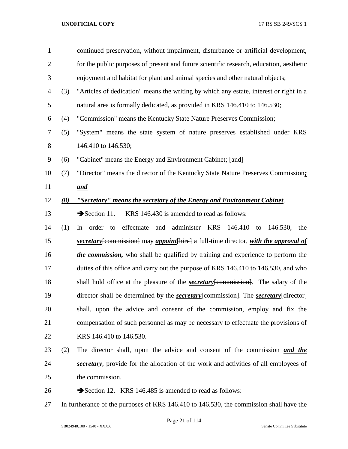| $\mathbf{1}$   |     | continued preservation, without impairment, disturbance or artificial development,                 |
|----------------|-----|----------------------------------------------------------------------------------------------------|
| $\overline{2}$ |     | for the public purposes of present and future scientific research, education, aesthetic            |
| 3              |     | enjoyment and habitat for plant and animal species and other natural objects;                      |
| $\overline{4}$ | (3) | "Articles of dedication" means the writing by which any estate, interest or right in a             |
| 5              |     | natural area is formally dedicated, as provided in KRS 146.410 to 146.530;                         |
| 6              | (4) | "Commission" means the Kentucky State Nature Preserves Commission;                                 |
| 7              | (5) | "System" means the state system of nature preserves established under KRS                          |
| 8              |     | 146.410 to 146.530;                                                                                |
| 9              | (6) | "Cabinet" means the Energy and Environment Cabinet; [and]                                          |
| 10             | (7) | "Director" means the director of the Kentucky State Nature Preserves Commission;                   |
| 11             |     | <u>and</u>                                                                                         |
| 12             | (8) | "Secretary" means the secretary of the Energy and Environment Cabinet.                             |
| 13             |     | KRS 146.430 is amended to read as follows:<br>$\rightarrow$ Section 11.                            |
| 14             | (1) | and administer KRS 146.410 to 146.530,<br>In order to effectuate<br>the                            |
| 15             |     | secretary [commission] may appoint [hire] a full-time director, with the approval of               |
| 16             |     | <i>the commission</i> , who shall be qualified by training and experience to perform the           |
| 17             |     | duties of this office and carry out the purpose of KRS 146.410 to 146.530, and who                 |
| 18             |     | shall hold office at the pleasure of the <b>secretary</b> [commission]. The salary of the          |
| 19             |     | director shall be determined by the <b>secretary</b> [commission]. The <b>secretary</b> [director] |
| 20             |     | shall, upon the advice and consent of the commission, employ and fix the                           |
| 21             |     | compensation of such personnel as may be necessary to effectuate the provisions of                 |
| 22             |     | KRS 146.410 to 146.530.                                                                            |
| 23             | (2) | The director shall, upon the advice and consent of the commission and the                          |
| 24             |     | secretary, provide for the allocation of the work and activities of all employees of               |
| 25             |     | the commission.                                                                                    |
| 26             |     | Section 12. KRS 146.485 is amended to read as follows:                                             |
| 27             |     | In furtherance of the purposes of KRS 146.410 to 146.530, the commission shall have the            |

Page 21 of 114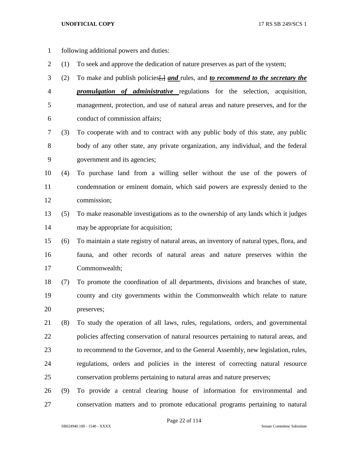- following additional powers and duties:
- (1) To seek and approve the dedication of nature preserves as part of the system;
- (2) To make and publish policies[,] *and* rules, and *to recommend to the secretary the*
- *promulgation of administrative* regulations for the selection, acquisition, management, protection, and use of natural areas and nature preserves, and for the conduct of commission affairs;
- (3) To cooperate with and to contract with any public body of this state, any public body of any other state, any private organization, any individual, and the federal government and its agencies;
- (4) To purchase land from a willing seller without the use of the powers of condemnation or eminent domain, which said powers are expressly denied to the commission;
- (5) To make reasonable investigations as to the ownership of any lands which it judges may be appropriate for acquisition;
- (6) To maintain a state registry of natural areas, an inventory of natural types, flora, and fauna, and other records of natural areas and nature preserves within the Commonwealth;
- (7) To promote the coordination of all departments, divisions and branches of state, county and city governments within the Commonwealth which relate to nature preserves;
- (8) To study the operation of all laws, rules, regulations, orders, and governmental policies affecting conservation of natural resources pertaining to natural areas, and to recommend to the Governor, and to the General Assembly, new legislation, rules, regulations, orders and policies in the interest of correcting natural resource conservation problems pertaining to natural areas and nature preserves;
- (9) To provide a central clearing house of information for environmental and conservation matters and to promote educational programs pertaining to natural

Page 22 of 114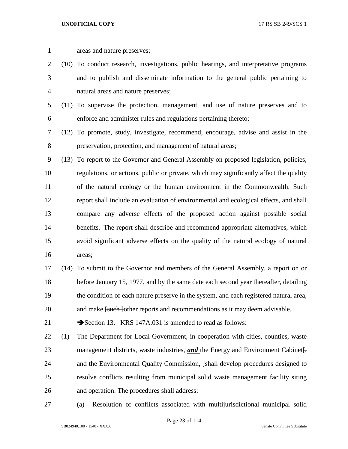| $\mathbf{1}$   |     | areas and nature preserves;                                                             |
|----------------|-----|-----------------------------------------------------------------------------------------|
| $\overline{2}$ |     | (10) To conduct research, investigations, public hearings, and interpretative programs  |
| 3              |     | and to publish and disseminate information to the general public pertaining to          |
| $\overline{4}$ |     | natural areas and nature preserves;                                                     |
| 5              |     | (11) To supervise the protection, management, and use of nature preserves and to        |
| 6              |     | enforce and administer rules and regulations pertaining thereto;                        |
| 7              |     | (12) To promote, study, investigate, recommend, encourage, advise and assist in the     |
| $8\,$          |     | preservation, protection, and management of natural areas;                              |
| 9              |     | (13) To report to the Governor and General Assembly on proposed legislation, policies,  |
| 10             |     | regulations, or actions, public or private, which may significantly affect the quality  |
| 11             |     | of the natural ecology or the human environment in the Commonwealth. Such               |
| 12             |     | report shall include an evaluation of environmental and ecological effects, and shall   |
| 13             |     | compare any adverse effects of the proposed action against possible social              |
| 14             |     | benefits. The report shall describe and recommend appropriate alternatives, which       |
| 15             |     | avoid significant adverse effects on the quality of the natural ecology of natural      |
| 16             |     | areas;                                                                                  |
| 17             |     | (14) To submit to the Governor and members of the General Assembly, a report on or      |
| 18             |     | before January 15, 1977, and by the same date each second year thereafter, detailing    |
| 19             |     | the condition of each nature preserve in the system, and each registered natural area,  |
| 20             |     | and make <del>[such ]</del> other reports and recommendations as it may deem advisable. |
| 21             |     | Section 13. KRS 147A.031 is amended to read as follows:                                 |
| 22             | (1) | The Department for Local Government, in cooperation with cities, counties, waste        |
| 23             |     | management districts, waste industries, <i>and</i> the Energy and Environment Cabinet.  |
| 24             |     | and the Environmental Quality Commission, [shall develop procedures designed to         |
| 25             |     | resolve conflicts resulting from municipal solid waste management facility siting       |
| 26             |     | and operation. The procedures shall address:                                            |
| 27             |     | Resolution of conflicts associated with multijurisdictional municipal solid<br>(a)      |

SB024940.100 - 1540 - XXXX Senate Committee Substitute

Page 23 of 114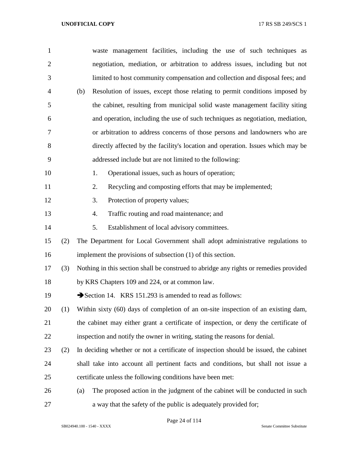| 1              |     | waste management facilities, including the use of such techniques as                  |
|----------------|-----|---------------------------------------------------------------------------------------|
| $\overline{2}$ |     | negotiation, mediation, or arbitration to address issues, including but not           |
| 3              |     | limited to host community compensation and collection and disposal fees; and          |
| $\overline{4}$ |     | Resolution of issues, except those relating to permit conditions imposed by<br>(b)    |
| 5              |     | the cabinet, resulting from municipal solid waste management facility siting          |
| 6              |     | and operation, including the use of such techniques as negotiation, mediation,        |
| 7              |     | or arbitration to address concerns of those persons and landowners who are            |
| 8              |     | directly affected by the facility's location and operation. Issues which may be       |
| 9              |     | addressed include but are not limited to the following:                               |
| 10             |     | Operational issues, such as hours of operation;<br>1.                                 |
| 11             |     | Recycling and composting efforts that may be implemented;<br>2.                       |
| 12             |     | Protection of property values;<br>3.                                                  |
| 13             |     | Traffic routing and road maintenance; and<br>4.                                       |
| 14             |     | Establishment of local advisory committees.<br>5.                                     |
| 15             | (2) | The Department for Local Government shall adopt administrative regulations to         |
| 16             |     | implement the provisions of subsection $(1)$ of this section.                         |
| 17             | (3) | Nothing in this section shall be construed to abridge any rights or remedies provided |
| 18             |     | by KRS Chapters 109 and 224, or at common law.                                        |
| 19             |     | Section 14. KRS 151.293 is amended to read as follows:                                |
| 20             | (1) | Within sixty (60) days of completion of an on-site inspection of an existing dam,     |
| 21             |     | the cabinet may either grant a certificate of inspection, or deny the certificate of  |
| 22             |     | inspection and notify the owner in writing, stating the reasons for denial.           |
| 23             | (2) | In deciding whether or not a certificate of inspection should be issued, the cabinet  |
| 24             |     | shall take into account all pertinent facts and conditions, but shall not issue a     |
| 25             |     | certificate unless the following conditions have been met:                            |
| 26             |     | The proposed action in the judgment of the cabinet will be conducted in such<br>(a)   |
| 27             |     | a way that the safety of the public is adequately provided for;                       |

Page 24 of 114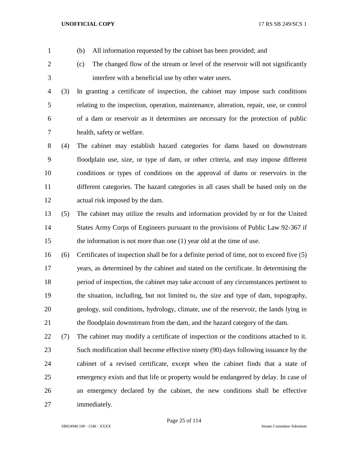- 
- (b) All information requested by the cabinet has been provided; and
- (c) The changed flow of the stream or level of the reservoir will not significantly interfere with a beneficial use by other water users.
- (3) In granting a certificate of inspection, the cabinet may impose such conditions relating to the inspection, operation, maintenance, alteration, repair, use, or control of a dam or reservoir as it determines are necessary for the protection of public health, safety or welfare.
- (4) The cabinet may establish hazard categories for dams based on downstream floodplain use, size, or type of dam, or other criteria, and may impose different conditions or types of conditions on the approval of dams or reservoirs in the different categories. The hazard categories in all cases shall be based only on the actual risk imposed by the dam.
- (5) The cabinet may utilize the results and information provided by or for the United States Army Corps of Engineers pursuant to the provisions of Public Law 92-367 if the information is not more than one (1) year old at the time of use.
- (6) Certificates of inspection shall be for a definite period of time, not to exceed five (5) years, as determined by the cabinet and stated on the certificate. In determining the period of inspection, the cabinet may take account of any circumstances pertinent to the situation, including, but not limited to, the size and type of dam, topography, geology, soil conditions, hydrology, climate, use of the reservoir, the lands lying in the floodplain downstream from the dam, and the hazard category of the dam.
- (7) The cabinet may modify a certificate of inspection or the conditions attached to it. Such modification shall become effective ninety (90) days following issuance by the cabinet of a revised certificate, except when the cabinet finds that a state of emergency exists and that life or property would be endangered by delay. In case of an emergency declared by the cabinet, the new conditions shall be effective immediately.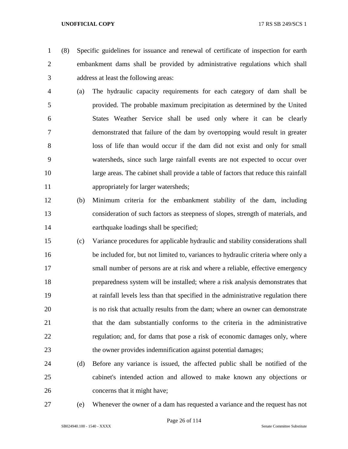(8) Specific guidelines for issuance and renewal of certificate of inspection for earth embankment dams shall be provided by administrative regulations which shall address at least the following areas:

- (a) The hydraulic capacity requirements for each category of dam shall be provided. The probable maximum precipitation as determined by the United States Weather Service shall be used only where it can be clearly demonstrated that failure of the dam by overtopping would result in greater loss of life than would occur if the dam did not exist and only for small watersheds, since such large rainfall events are not expected to occur over large areas. The cabinet shall provide a table of factors that reduce this rainfall appropriately for larger watersheds;
- (b) Minimum criteria for the embankment stability of the dam, including consideration of such factors as steepness of slopes, strength of materials, and earthquake loadings shall be specified;
- (c) Variance procedures for applicable hydraulic and stability considerations shall be included for, but not limited to, variances to hydraulic criteria where only a small number of persons are at risk and where a reliable, effective emergency preparedness system will be installed; where a risk analysis demonstrates that at rainfall levels less than that specified in the administrative regulation there is no risk that actually results from the dam; where an owner can demonstrate that the dam substantially conforms to the criteria in the administrative regulation; and, for dams that pose a risk of economic damages only, where the owner provides indemnification against potential damages;
- (d) Before any variance is issued, the affected public shall be notified of the cabinet's intended action and allowed to make known any objections or concerns that it might have;
- 

(e) Whenever the owner of a dam has requested a variance and the request has not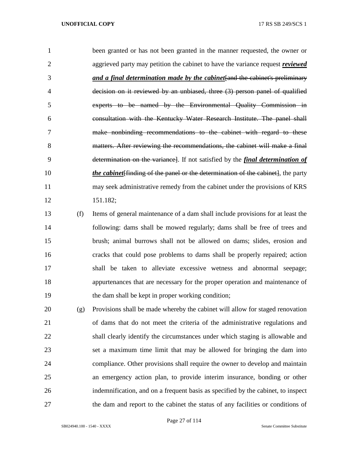|    | been granted or has not been granted in the manner requested, the owner or             |
|----|----------------------------------------------------------------------------------------|
|    | aggrieved party may petition the cabinet to have the variance request <i>reviewed</i>  |
| 3  | and a final determination made by the cabinet and the cabinet's preliminary            |
| 4  | decision on it reviewed by an unbiased, three (3) person panel of qualified            |
| 5  | experts to be named by the Environmental Quality Commission in                         |
| 6  | consultation with the Kentucky Water Research Institute. The panel shall               |
|    | make nonbinding recommendations to the cabinet with regard to these                    |
| 8  | matters. After reviewing the recommendations, the cabinet will make a final            |
| 9  | determination on the variance. If not satisfied by the <i>final determination of</i>   |
| 10 | <i>the cabinet</i> finding of the panel or the determination of the cabinet, the party |
| 11 | may seek administrative remedy from the cabinet under the provisions of KRS            |
| 12 | 151.182;                                                                               |
|    |                                                                                        |

 (f) Items of general maintenance of a dam shall include provisions for at least the following: dams shall be mowed regularly; dams shall be free of trees and brush; animal burrows shall not be allowed on dams; slides, erosion and cracks that could pose problems to dams shall be properly repaired; action shall be taken to alleviate excessive wetness and abnormal seepage; appurtenances that are necessary for the proper operation and maintenance of the dam shall be kept in proper working condition;

 (g) Provisions shall be made whereby the cabinet will allow for staged renovation of dams that do not meet the criteria of the administrative regulations and shall clearly identify the circumstances under which staging is allowable and set a maximum time limit that may be allowed for bringing the dam into compliance. Other provisions shall require the owner to develop and maintain an emergency action plan, to provide interim insurance, bonding or other indemnification, and on a frequent basis as specified by the cabinet, to inspect the dam and report to the cabinet the status of any facilities or conditions of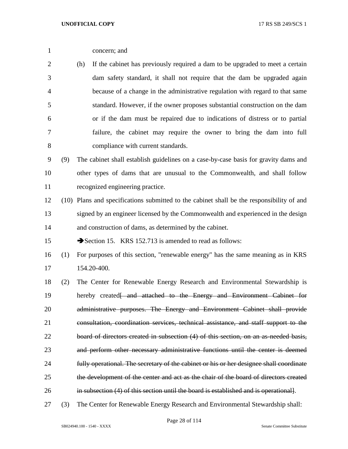concern; and

 (h) If the cabinet has previously required a dam to be upgraded to meet a certain dam safety standard, it shall not require that the dam be upgraded again because of a change in the administrative regulation with regard to that same standard. However, if the owner proposes substantial construction on the dam or if the dam must be repaired due to indications of distress or to partial failure, the cabinet may require the owner to bring the dam into full compliance with current standards.

 (9) The cabinet shall establish guidelines on a case-by-case basis for gravity dams and other types of dams that are unusual to the Commonwealth, and shall follow recognized engineering practice.

 (10) Plans and specifications submitted to the cabinet shall be the responsibility of and signed by an engineer licensed by the Commonwealth and experienced in the design and construction of dams, as determined by the cabinet.

15 Section 15. KRS 152.713 is amended to read as follows:

- (1) For purposes of this section, "renewable energy" has the same meaning as in KRS 154.20-400.
- (2) The Center for Renewable Energy Research and Environmental Stewardship is 19 hereby created<del>[ and attached to the Energy and Environment Cabinet for</del> 20 administrative purposes. The Energy and Environment Cabinet shall provide consultation, coordination services, technical assistance, and staff support to the board of directors created in subsection (4) of this section, on an as-needed basis, and perform other necessary administrative functions until the center is deemed fully operational. The secretary of the cabinet or his or her designee shall coordinate the development of the center and act as the chair of the board of directors created in subsection (4) of this section until the board is established and is operational].
- (3) The Center for Renewable Energy Research and Environmental Stewardship shall: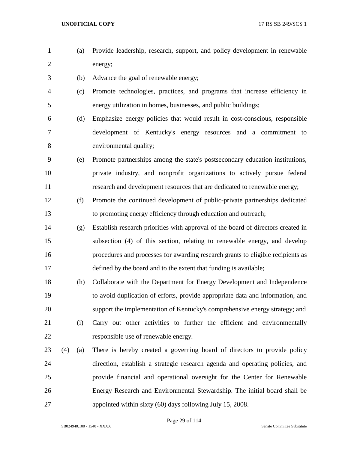- (a) Provide leadership, research, support, and policy development in renewable energy;
- (b) Advance the goal of renewable energy;
- (c) Promote technologies, practices, and programs that increase efficiency in energy utilization in homes, businesses, and public buildings;
- (d) Emphasize energy policies that would result in cost-conscious, responsible development of Kentucky's energy resources and a commitment to environmental quality;
- (e) Promote partnerships among the state's postsecondary education institutions, private industry, and nonprofit organizations to actively pursue federal research and development resources that are dedicated to renewable energy;
- (f) Promote the continued development of public-private partnerships dedicated to promoting energy efficiency through education and outreach;
- (g) Establish research priorities with approval of the board of directors created in subsection (4) of this section, relating to renewable energy, and develop procedures and processes for awarding research grants to eligible recipients as defined by the board and to the extent that funding is available;
- (h) Collaborate with the Department for Energy Development and Independence to avoid duplication of efforts, provide appropriate data and information, and support the implementation of Kentucky's comprehensive energy strategy; and (i) Carry out other activities to further the efficient and environmentally responsible use of renewable energy.
- (4) (a) There is hereby created a governing board of directors to provide policy direction, establish a strategic research agenda and operating policies, and provide financial and operational oversight for the Center for Renewable Energy Research and Environmental Stewardship. The initial board shall be appointed within sixty (60) days following July 15, 2008.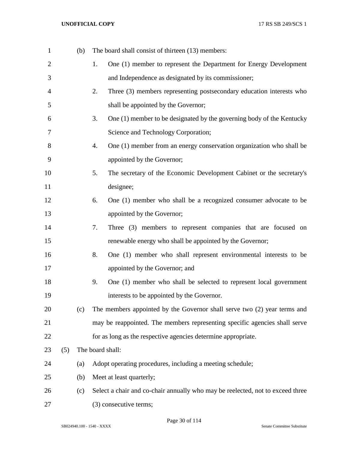| $\mathbf{1}$   |     | (b) | The board shall consist of thirteen (13) members:                              |
|----------------|-----|-----|--------------------------------------------------------------------------------|
| $\overline{2}$ |     |     | One (1) member to represent the Department for Energy Development<br>1.        |
| 3              |     |     | and Independence as designated by its commissioner;                            |
| 4              |     |     | Three (3) members representing postsecondary education interests who<br>2.     |
| 5              |     |     | shall be appointed by the Governor;                                            |
| 6              |     |     | 3.<br>One (1) member to be designated by the governing body of the Kentucky    |
| 7              |     |     | Science and Technology Corporation;                                            |
| 8              |     |     | One (1) member from an energy conservation organization who shall be<br>4.     |
| 9              |     |     | appointed by the Governor;                                                     |
| 10             |     |     | 5.<br>The secretary of the Economic Development Cabinet or the secretary's     |
| 11             |     |     | designee;                                                                      |
| 12             |     |     | One (1) member who shall be a recognized consumer advocate to be<br>6.         |
| 13             |     |     | appointed by the Governor;                                                     |
| 14             |     |     | 7.<br>Three (3) members to represent companies that are focused on             |
| 15             |     |     | renewable energy who shall be appointed by the Governor;                       |
| 16             |     |     | One (1) member who shall represent environmental interests to be<br>8.         |
| 17             |     |     | appointed by the Governor; and                                                 |
| 18             |     |     | 9.<br>One (1) member who shall be selected to represent local government       |
| 19             |     |     | interests to be appointed by the Governor.                                     |
| 20             |     | (c) | The members appointed by the Governor shall serve two (2) year terms and       |
| 21             |     |     | may be reappointed. The members representing specific agencies shall serve     |
| 22             |     |     | for as long as the respective agencies determine appropriate.                  |
| 23             | (5) |     | The board shall:                                                               |
| 24             |     | (a) | Adopt operating procedures, including a meeting schedule;                      |
| 25             |     | (b) | Meet at least quarterly;                                                       |
| 26             |     | (c) | Select a chair and co-chair annually who may be reelected, not to exceed three |
| 27             |     |     | (3) consecutive terms;                                                         |

Page 30 of 114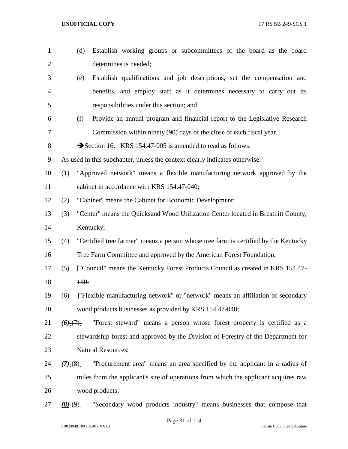| $\mathbf{1}$   | (d)            | Establish working groups or subcommittees of the board as the board                 |
|----------------|----------------|-------------------------------------------------------------------------------------|
| $\overline{2}$ |                | determines is needed;                                                               |
| 3              | (e)            | Establish qualifications and job descriptions, set the compensation and             |
| 4              |                | benefits, and employ staff as it determines necessary to carry out its              |
| 5              |                | responsibilities under this section; and                                            |
| 6              | (f)            | Provide an annual program and financial report to the Legislative Research          |
| 7              |                | Commission within ninety (90) days of the close of each fiscal year.                |
| 8              |                | Section 16. KRS 154.47-005 is amended to read as follows:                           |
| 9              |                | As used in this subchapter, unless the context clearly indicates otherwise:         |
| 10             | (1)            | "Approved network" means a flexible manufacturing network approved by the           |
| 11             |                | cabinet in accordance with KRS 154.47-040;                                          |
| 12             | (2)            | "Cabinet" means the Cabinet for Economic Development;                               |
| 13             | (3)            | "Center" means the Quicksand Wood Utilization Center located in Breathitt County,   |
| 14             |                | Kentucky;                                                                           |
| 15             | (4)            | "Certified tree farmer" means a person whose tree farm is certified by the Kentucky |
| 16             |                | Tree Farm Committee and approved by the American Forest Foundation;                 |
| 17             | (5)            | ["Council" means the Kentucky Forest Products Council as created in KRS 154.47-     |
| 18             | H <sub>0</sub> |                                                                                     |
| 19             | (6)            | - Flexible manufacturing network" or "network" means an affiliation of secondary    |
| 20             |                | wood products businesses as provided by KRS 154.47-040;                             |
| 21             | $(6)$ $(7)$    | "Forest steward" means a person whose forest property is certified as a             |
| 22             |                | stewardship forest and approved by the Division of Forestry of the Department for   |
| 23             |                | <b>Natural Resources;</b>                                                           |
| 24             | $(7)$ $(8)$    | "Procurement area" means an area specified by the applicant in a radius of          |
| 25             |                | miles from the applicant's site of operations from which the applicant acquires raw |
| 26             |                | wood products;                                                                      |
| 27             | (8)(9)         | "Secondary wood products industry" means businesses that compose that               |

Page 31 of 114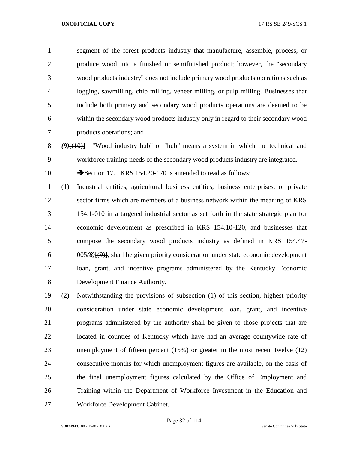segment of the forest products industry that manufacture, assemble, process, or produce wood into a finished or semifinished product; however, the "secondary wood products industry" does not include primary wood products operations such as logging, sawmilling, chip milling, veneer milling, or pulp milling. Businesses that include both primary and secondary wood products operations are deemed to be within the secondary wood products industry only in regard to their secondary wood products operations; and

 *(9)*[(10)] "Wood industry hub" or "hub" means a system in which the technical and workforce training needs of the secondary wood products industry are integrated.

10 Section 17. KRS 154.20-170 is amended to read as follows:

 (1) Industrial entities, agricultural business entities, business enterprises, or private sector firms which are members of a business network within the meaning of KRS 154.1-010 in a targeted industrial sector as set forth in the state strategic plan for economic development as prescribed in KRS 154.10-120, and businesses that compose the secondary wood products industry as defined in KRS 154.47- 005*(8)*[(9)], shall be given priority consideration under state economic development loan, grant, and incentive programs administered by the Kentucky Economic Development Finance Authority.

 (2) Notwithstanding the provisions of subsection (1) of this section, highest priority consideration under state economic development loan, grant, and incentive programs administered by the authority shall be given to those projects that are located in counties of Kentucky which have had an average countywide rate of unemployment of fifteen percent (15%) or greater in the most recent twelve (12) consecutive months for which unemployment figures are available, on the basis of the final unemployment figures calculated by the Office of Employment and Training within the Department of Workforce Investment in the Education and Workforce Development Cabinet.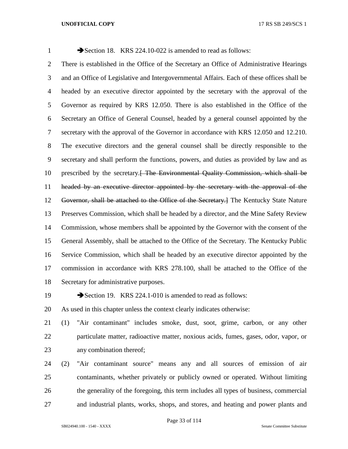# 1 Section 18. KRS 224.10-022 is amended to read as follows: There is established in the Office of the Secretary an Office of Administrative Hearings and an Office of Legislative and Intergovernmental Affairs. Each of these offices shall be headed by an executive director appointed by the secretary with the approval of the Governor as required by KRS 12.050. There is also established in the Office of the Secretary an Office of General Counsel, headed by a general counsel appointed by the secretary with the approval of the Governor in accordance with KRS 12.050 and 12.210. The executive directors and the general counsel shall be directly responsible to the secretary and shall perform the functions, powers, and duties as provided by law and as 10 prescribed by the secretary. The Environmental Quality Commission, which shall be headed by an executive director appointed by the secretary with the approval of the Governor, shall be attached to the Office of the Secretary.] The Kentucky State Nature Preserves Commission, which shall be headed by a director, and the Mine Safety Review Commission, whose members shall be appointed by the Governor with the consent of the General Assembly, shall be attached to the Office of the Secretary. The Kentucky Public Service Commission, which shall be headed by an executive director appointed by the commission in accordance with KRS 278.100, shall be attached to the Office of the Secretary for administrative purposes.

19 Section 19. KRS 224.1-010 is amended to read as follows:

As used in this chapter unless the context clearly indicates otherwise:

 (1) "Air contaminant" includes smoke, dust, soot, grime, carbon, or any other particulate matter, radioactive matter, noxious acids, fumes, gases, odor, vapor, or any combination thereof;

 (2) "Air contaminant source" means any and all sources of emission of air contaminants, whether privately or publicly owned or operated. Without limiting the generality of the foregoing, this term includes all types of business, commercial and industrial plants, works, shops, and stores, and heating and power plants and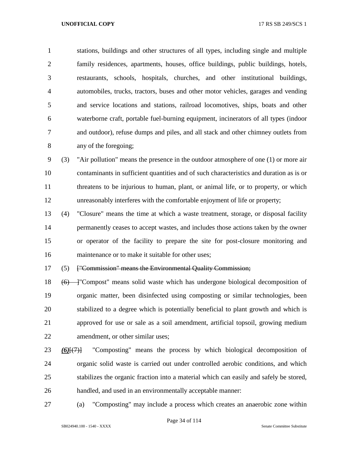stations, buildings and other structures of all types, including single and multiple family residences, apartments, houses, office buildings, public buildings, hotels, restaurants, schools, hospitals, churches, and other institutional buildings, automobiles, trucks, tractors, buses and other motor vehicles, garages and vending and service locations and stations, railroad locomotives, ships, boats and other waterborne craft, portable fuel-burning equipment, incinerators of all types (indoor and outdoor), refuse dumps and piles, and all stack and other chimney outlets from any of the foregoing;

 (3) "Air pollution" means the presence in the outdoor atmosphere of one (1) or more air contaminants in sufficient quantities and of such characteristics and duration as is or 11 threatens to be injurious to human, plant, or animal life, or to property, or which unreasonably interferes with the comfortable enjoyment of life or property;

 (4) "Closure" means the time at which a waste treatment, storage, or disposal facility permanently ceases to accept wastes, and includes those actions taken by the owner or operator of the facility to prepare the site for post-closure monitoring and maintenance or to make it suitable for other uses;

(5) ["Commission" means the Environmental Quality Commission;

18 (6) — "Compost" means solid waste which has undergone biological decomposition of organic matter, been disinfected using composting or similar technologies, been stabilized to a degree which is potentially beneficial to plant growth and which is approved for use or sale as a soil amendment, artificial topsoil, growing medium amendment, or other similar uses;

- *(6)*[(7)] "Composting" means the process by which biological decomposition of organic solid waste is carried out under controlled aerobic conditions, and which stabilizes the organic fraction into a material which can easily and safely be stored, handled, and used in an environmentally acceptable manner:
- (a) "Composting" may include a process which creates an anaerobic zone within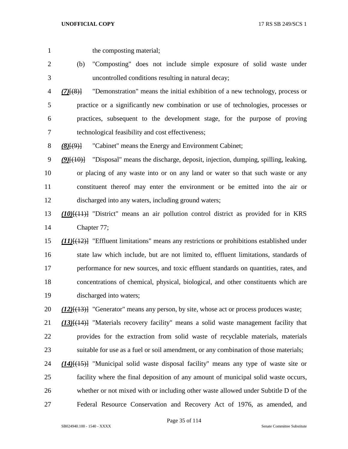1 the composting material;

- (b) "Composting" does not include simple exposure of solid waste under uncontrolled conditions resulting in natural decay;
- *(7)*[(8)] "Demonstration" means the initial exhibition of a new technology, process or practice or a significantly new combination or use of technologies, processes or practices, subsequent to the development stage, for the purpose of proving technological feasibility and cost effectiveness;

*(8)*[(9)] "Cabinet" means the Energy and Environment Cabinet;

 *(9)*[(10)] "Disposal" means the discharge, deposit, injection, dumping, spilling, leaking, or placing of any waste into or on any land or water so that such waste or any constituent thereof may enter the environment or be emitted into the air or discharged into any waters, including ground waters;

 *(10)*[(11)] "District" means an air pollution control district as provided for in KRS Chapter 77;

 *(11)*[(12)] "Effluent limitations" means any restrictions or prohibitions established under state law which include, but are not limited to, effluent limitations, standards of performance for new sources, and toxic effluent standards on quantities, rates, and concentrations of chemical, physical, biological, and other constituents which are discharged into waters;

*(12)*[(13)] "Generator" means any person, by site, whose act or process produces waste;

 *(13)*[(14)] "Materials recovery facility" means a solid waste management facility that provides for the extraction from solid waste of recyclable materials, materials suitable for use as a fuel or soil amendment, or any combination of those materials;

 *(14)*[(15)] "Municipal solid waste disposal facility" means any type of waste site or facility where the final deposition of any amount of municipal solid waste occurs, whether or not mixed with or including other waste allowed under Subtitle D of the Federal Resource Conservation and Recovery Act of 1976, as amended, and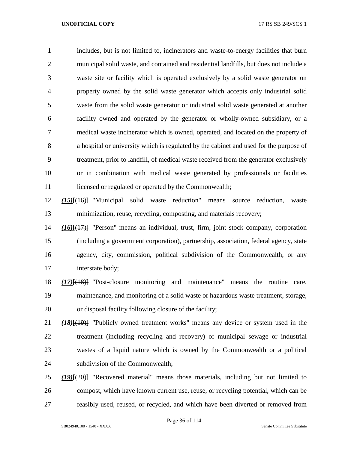includes, but is not limited to, incinerators and waste-to-energy facilities that burn municipal solid waste, and contained and residential landfills, but does not include a waste site or facility which is operated exclusively by a solid waste generator on property owned by the solid waste generator which accepts only industrial solid waste from the solid waste generator or industrial solid waste generated at another facility owned and operated by the generator or wholly-owned subsidiary, or a medical waste incinerator which is owned, operated, and located on the property of a hospital or university which is regulated by the cabinet and used for the purpose of treatment, prior to landfill, of medical waste received from the generator exclusively or in combination with medical waste generated by professionals or facilities 11 licensed or regulated or operated by the Commonwealth;

 *(15)*[(16)] "Municipal solid waste reduction" means source reduction, waste minimization, reuse, recycling, composting, and materials recovery;

 *(16)*[(17)] "Person" means an individual, trust, firm, joint stock company, corporation (including a government corporation), partnership, association, federal agency, state agency, city, commission, political subdivision of the Commonwealth, or any interstate body;

 *(17)*[(18)] "Post-closure monitoring and maintenance" means the routine care, maintenance, and monitoring of a solid waste or hazardous waste treatment, storage, or disposal facility following closure of the facility;

 *(18)*[(19)] "Publicly owned treatment works" means any device or system used in the treatment (including recycling and recovery) of municipal sewage or industrial wastes of a liquid nature which is owned by the Commonwealth or a political subdivision of the Commonwealth;

 *(19)*[(20)] "Recovered material" means those materials, including but not limited to compost, which have known current use, reuse, or recycling potential, which can be feasibly used, reused, or recycled, and which have been diverted or removed from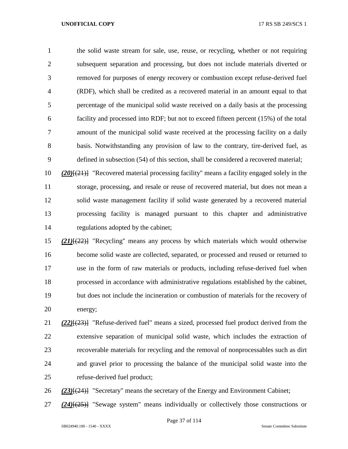the solid waste stream for sale, use, reuse, or recycling, whether or not requiring subsequent separation and processing, but does not include materials diverted or removed for purposes of energy recovery or combustion except refuse-derived fuel (RDF), which shall be credited as a recovered material in an amount equal to that percentage of the municipal solid waste received on a daily basis at the processing facility and processed into RDF; but not to exceed fifteen percent (15%) of the total amount of the municipal solid waste received at the processing facility on a daily basis. Notwithstanding any provision of law to the contrary, tire-derived fuel, as defined in subsection (54) of this section, shall be considered a recovered material;

 *(20)*[(21)] "Recovered material processing facility" means a facility engaged solely in the storage, processing, and resale or reuse of recovered material, but does not mean a solid waste management facility if solid waste generated by a recovered material processing facility is managed pursuant to this chapter and administrative regulations adopted by the cabinet;

 *(21)*[(22)] "Recycling" means any process by which materials which would otherwise become solid waste are collected, separated, or processed and reused or returned to use in the form of raw materials or products, including refuse-derived fuel when processed in accordance with administrative regulations established by the cabinet, but does not include the incineration or combustion of materials for the recovery of energy;

 *(22)*[(23)] "Refuse-derived fuel" means a sized, processed fuel product derived from the extensive separation of municipal solid waste, which includes the extraction of recoverable materials for recycling and the removal of nonprocessables such as dirt and gravel prior to processing the balance of the municipal solid waste into the refuse-derived fuel product;

*(23)*[(24)] "Secretary" means the secretary of the Energy and Environment Cabinet;

*(24)*[(25)] "Sewage system" means individually or collectively those constructions or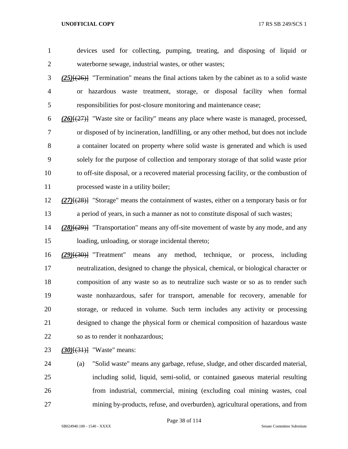devices used for collecting, pumping, treating, and disposing of liquid or waterborne sewage, industrial wastes, or other wastes; *(25)*[(26)] "Termination" means the final actions taken by the cabinet as to a solid waste or hazardous waste treatment, storage, or disposal facility when formal responsibilities for post-closure monitoring and maintenance cease; *(26)*[(27)] "Waste site or facility" means any place where waste is managed, processed, or disposed of by incineration, landfilling, or any other method, but does not include a container located on property where solid waste is generated and which is used solely for the purpose of collection and temporary storage of that solid waste prior to off-site disposal, or a recovered material processing facility, or the combustion of 11 processed waste in a utility boiler; *(27)*[(28)] "Storage" means the containment of wastes, either on a temporary basis or for a period of years, in such a manner as not to constitute disposal of such wastes; *(28)*[(29)] "Transportation" means any off-site movement of waste by any mode, and any loading, unloading, or storage incidental thereto; *(29)*[(30)] "Treatment" means any method, technique, or process, including neutralization, designed to change the physical, chemical, or biological character or composition of any waste so as to neutralize such waste or so as to render such

 waste nonhazardous, safer for transport, amenable for recovery, amenable for storage, or reduced in volume. Such term includes any activity or processing designed to change the physical form or chemical composition of hazardous waste so as to render it nonhazardous;

*(30)*[(31)] "Waste" means:

 (a) "Solid waste" means any garbage, refuse, sludge, and other discarded material, including solid, liquid, semi-solid, or contained gaseous material resulting from industrial, commercial, mining (excluding coal mining wastes, coal mining by-products, refuse, and overburden), agricultural operations, and from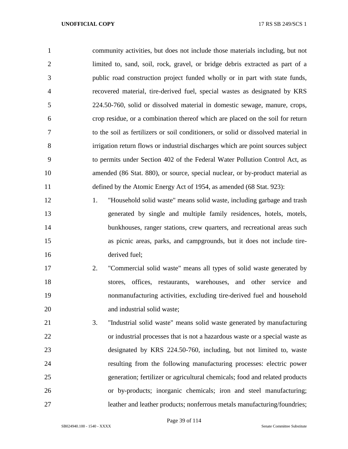community activities, but does not include those materials including, but not limited to, sand, soil, rock, gravel, or bridge debris extracted as part of a public road construction project funded wholly or in part with state funds, recovered material, tire-derived fuel, special wastes as designated by KRS 224.50-760, solid or dissolved material in domestic sewage, manure, crops, crop residue, or a combination thereof which are placed on the soil for return to the soil as fertilizers or soil conditioners, or solid or dissolved material in irrigation return flows or industrial discharges which are point sources subject to permits under Section 402 of the Federal Water Pollution Control Act, as amended (86 Stat. 880), or source, special nuclear, or by-product material as defined by the Atomic Energy Act of 1954, as amended (68 Stat. 923):

 1. "Household solid waste" means solid waste, including garbage and trash generated by single and multiple family residences, hotels, motels, 14 bunkhouses, ranger stations, crew quarters, and recreational areas such as picnic areas, parks, and campgrounds, but it does not include tire-derived fuel;

- 2. "Commercial solid waste" means all types of solid waste generated by stores, offices, restaurants, warehouses, and other service and nonmanufacturing activities, excluding tire-derived fuel and household 20 and industrial solid waste;
- 3. "Industrial solid waste" means solid waste generated by manufacturing or industrial processes that is not a hazardous waste or a special waste as designated by KRS 224.50-760, including, but not limited to, waste resulting from the following manufacturing processes: electric power generation; fertilizer or agricultural chemicals; food and related products or by-products; inorganic chemicals; iron and steel manufacturing; leather and leather products; nonferrous metals manufacturing/foundries;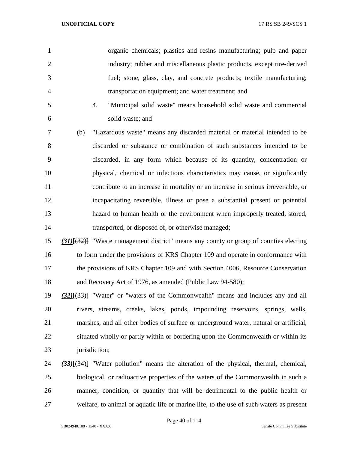|                | organic chemicals; plastics and resins manufacturing; pulp and paper     |
|----------------|--------------------------------------------------------------------------|
| 2              | industry; rubber and miscellaneous plastic products, except tire-derived |
| 3              | fuel; stone, glass, clay, and concrete products; textile manufacturing;  |
| $\overline{A}$ | transportation equipment; and water treatment; and                       |

 4. "Municipal solid waste" means household solid waste and commercial solid waste; and

 (b) "Hazardous waste" means any discarded material or material intended to be discarded or substance or combination of such substances intended to be discarded, in any form which because of its quantity, concentration or physical, chemical or infectious characteristics may cause, or significantly contribute to an increase in mortality or an increase in serious irreversible, or incapacitating reversible, illness or pose a substantial present or potential hazard to human health or the environment when improperly treated, stored, transported, or disposed of, or otherwise managed;

 *(31)*[(32)] "Waste management district" means any county or group of counties electing to form under the provisions of KRS Chapter 109 and operate in conformance with 17 the provisions of KRS Chapter 109 and with Section 4006, Resource Conservation and Recovery Act of 1976, as amended (Public Law 94-580);

 *(32)*[(33)] "Water" or "waters of the Commonwealth" means and includes any and all rivers, streams, creeks, lakes, ponds, impounding reservoirs, springs, wells, marshes, and all other bodies of surface or underground water, natural or artificial, situated wholly or partly within or bordering upon the Commonwealth or within its 23 jurisdiction;

 *(33)*[(34)] "Water pollution" means the alteration of the physical, thermal, chemical, biological, or radioactive properties of the waters of the Commonwealth in such a manner, condition, or quantity that will be detrimental to the public health or welfare, to animal or aquatic life or marine life, to the use of such waters as present

Page 40 of 114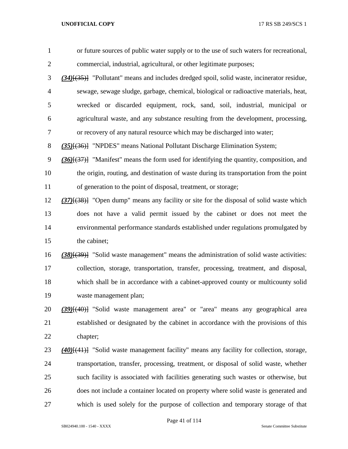| or future sources of public water supply or to the use of such waters for recreational,           |
|---------------------------------------------------------------------------------------------------|
| commercial, industrial, agricultural, or other legitimate purposes;                               |
| $(34)$ [ $(35)$ ] "Pollutant" means and includes dredged spoil, solid waste, incinerator residue, |
| sewage, sewage sludge, garbage, chemical, biological or radioactive materials, heat,              |
| wrecked or discarded equipment, rock, sand, soil, industrial, municipal or                        |
| agricultural waste, and any substance resulting from the development, processing,                 |
| or recovery of any natural resource which may be discharged into water;                           |
| (35) <sup>{(36)}</sup> "NPDES" means National Pollutant Discharge Elimination System;             |
| $(36)$ $(37)$ ] "Manifest" means the form used for identifying the quantity, composition, and     |
| the origin, routing, and destination of waste during its transportation from the point            |
| of generation to the point of disposal, treatment, or storage;                                    |
| $(37)$ [ $(38)$ ] "Open dump" means any facility or site for the disposal of solid waste which    |
| does not have a valid permit issued by the cabinet or does not meet the                           |
| environmental performance standards established under regulations promulgated by                  |
| the cabinet;                                                                                      |
| $(38)(39)$ "Solid waste management" means the administration of solid waste activities:           |
| collection, storage, transportation, transfer, processing, treatment, and disposal,               |
| which shall be in accordance with a cabinet-approved county or multicounty solid                  |
| waste management plan;                                                                            |
| (39)[(40)] "Solid waste management area" or "area" means any geographical area                    |
| established or designated by the cabinet in accordance with the provisions of this                |
| chapter;                                                                                          |
| (40)[(41)] "Solid waste management facility" means any facility for collection, storage,          |
| transportation, transfer, processing, treatment, or disposal of solid waste, whether              |
| such facility is associated with facilities generating such wastes or otherwise, but              |
| does not include a container located on property where solid waste is generated and               |
| which is used solely for the purpose of collection and temporary storage of that                  |
|                                                                                                   |

Page 41 of 114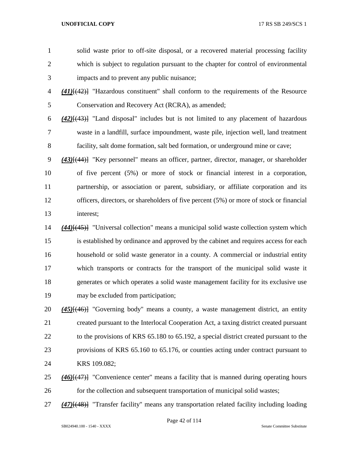solid waste prior to off-site disposal, or a recovered material processing facility which is subject to regulation pursuant to the chapter for control of environmental impacts and to prevent any public nuisance; *(41)*[(42)] "Hazardous constituent" shall conform to the requirements of the Resource Conservation and Recovery Act (RCRA), as amended; *(42)*[(43)] "Land disposal" includes but is not limited to any placement of hazardous waste in a landfill, surface impoundment, waste pile, injection well, land treatment facility, salt dome formation, salt bed formation, or underground mine or cave; *(43)*[(44)] "Key personnel" means an officer, partner, director, manager, or shareholder of five percent (5%) or more of stock or financial interest in a corporation, partnership, or association or parent, subsidiary, or affiliate corporation and its officers, directors, or shareholders of five percent (5%) or more of stock or financial interest; *(44)*[(45)] "Universal collection" means a municipal solid waste collection system which is established by ordinance and approved by the cabinet and requires access for each household or solid waste generator in a county. A commercial or industrial entity which transports or contracts for the transport of the municipal solid waste it generates or which operates a solid waste management facility for its exclusive use may be excluded from participation; *(45)*[(46)] "Governing body" means a county, a waste management district, an entity

 created pursuant to the Interlocal Cooperation Act, a taxing district created pursuant 22 to the provisions of KRS 65.180 to 65.192, a special district created pursuant to the provisions of KRS 65.160 to 65.176, or counties acting under contract pursuant to KRS 109.082;

 *(46)*[(47)] "Convenience center" means a facility that is manned during operating hours for the collection and subsequent transportation of municipal solid wastes;

*(47)*[(48)] "Transfer facility" means any transportation related facility including loading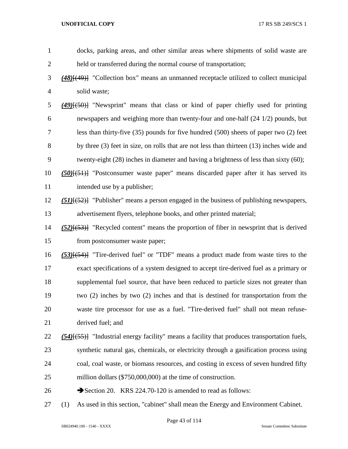| $\mathbf{1}$   | docks, parking areas, and other similar areas where shipments of solid waste are                    |
|----------------|-----------------------------------------------------------------------------------------------------|
| $\overline{c}$ | held or transferred during the normal course of transportation;                                     |
| 3              | $(48)$ [ $(49)$ ] "Collection box" means an unmanned receptacle utilized to collect municipal       |
| 4              | solid waste;                                                                                        |
| 5              | $(49)$ [ $(50)$ ] "Newsprint" means that class or kind of paper chiefly used for printing           |
| 6              | newspapers and weighing more than twenty-four and one-half (24 1/2) pounds, but                     |
| 7              | less than thirty-five $(35)$ pounds for five hundred $(500)$ sheets of paper two $(2)$ feet         |
| 8              | by three (3) feet in size, on rolls that are not less than thirteen (13) inches wide and            |
| 9              | twenty-eight (28) inches in diameter and having a brightness of less than sixty (60);               |
| 10             | $(50)(51)$ "Postconsumer waste paper" means discarded paper after it has served its                 |
| 11             | intended use by a publisher;                                                                        |
| 12             | $(51)$ [ $(52)$ ] "Publisher" means a person engaged in the business of publishing newspapers,      |
| 13             | advertisement flyers, telephone books, and other printed material;                                  |
| 14             | $(52)$ [ $(53)$ ] "Recycled content" means the proportion of fiber in newsprint that is derived     |
| 15             | from postconsumer waste paper;                                                                      |
| 16             | $(53)$ [(54)] "Tire-derived fuel" or "TDF" means a product made from waste tires to the             |
| 17             | exact specifications of a system designed to accept tire-derived fuel as a primary or               |
| 18             | supplemental fuel source, that have been reduced to particle sizes not greater than                 |
| 19             | two (2) inches by two (2) inches and that is destined for transportation from the                   |
| 20             | waste tire processor for use as a fuel. "Tire-derived fuel" shall not mean refuse-                  |
| 21             | derived fuel; and                                                                                   |
| 22             | $(54)$ [ $(55)$ ] "Industrial energy facility" means a facility that produces transportation fuels, |
| 23             | synthetic natural gas, chemicals, or electricity through a gasification process using               |
| 24             | coal, coal waste, or biomass resources, and costing in excess of seven hundred fifty                |
| 25             | million dollars (\$750,000,000) at the time of construction.                                        |
| 26             | Section 20. KRS 224.70-120 is amended to read as follows:                                           |
| 27             | As used in this section, "cabinet" shall mean the Energy and Environment Cabinet.<br>(1)            |

Page 43 of 114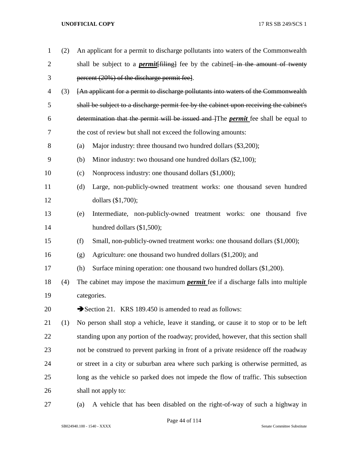| $\mathbf{1}$   | (2) | An applicant for a permit to discharge pollutants into waters of the Commonwealth        |
|----------------|-----|------------------------------------------------------------------------------------------|
| $\overline{2}$ |     | shall be subject to a <i>permit</i> [filing] fee by the cabinet in the amount of twenty  |
| 3              |     | percent (20%) of the discharge permit fee.                                               |
| 4              | (3) | [An applicant for a permit to discharge pollutants into waters of the Commonwealth       |
| 5              |     | shall be subject to a discharge permit fee by the cabinet upon receiving the cabinet's   |
| 6              |     | determination that the permit will be issued and The <i>permit</i> fee shall be equal to |
| 7              |     | the cost of review but shall not exceed the following amounts:                           |
| 8              |     | Major industry: three thousand two hundred dollars (\$3,200);<br>(a)                     |
| 9              |     | Minor industry: two thousand one hundred dollars (\$2,100);<br>(b)                       |
| 10             |     | Nonprocess industry: one thousand dollars (\$1,000);<br>(c)                              |
| 11             |     | Large, non-publicly-owned treatment works: one thousand seven hundred<br>(d)             |
| 12             |     | dollars (\$1,700);                                                                       |
| 13             |     | Intermediate, non-publicly-owned treatment works: one thousand five<br>(e)               |
| 14             |     | hundred dollars (\$1,500);                                                               |
| 15             |     | (f)<br>Small, non-publicly-owned treatment works: one thousand dollars (\$1,000);        |
| 16             |     | Agriculture: one thousand two hundred dollars (\$1,200); and<br>(g)                      |
| 17             |     | Surface mining operation: one thousand two hundred dollars (\$1,200).<br>(h)             |
| 18             | (4) | The cabinet may impose the maximum <i>permit</i> fee if a discharge falls into multiple  |
| 19             |     | categories.                                                                              |
| 20             |     | Section 21. KRS 189.450 is amended to read as follows:                                   |
| 21             | (1) | No person shall stop a vehicle, leave it standing, or cause it to stop or to be left     |
| 22             |     | standing upon any portion of the roadway; provided, however, that this section shall     |
| 23             |     | not be construed to prevent parking in front of a private residence off the roadway      |
| 24             |     | or street in a city or suburban area where such parking is otherwise permitted, as       |
| 25             |     | long as the vehicle so parked does not impede the flow of traffic. This subsection       |
| 26             |     | shall not apply to:                                                                      |
| 27             |     | A vehicle that has been disabled on the right-of-way of such a highway in<br>(a)         |

SB024940.100 - 1540 - XXXX Senate Committee Substitute

Page 44 of 114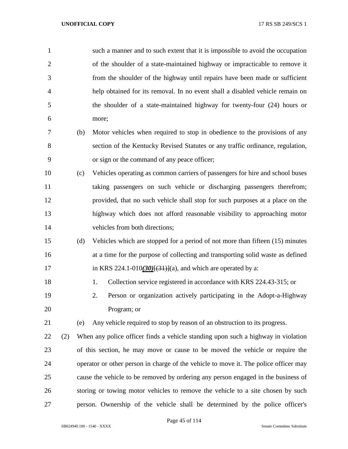| $\mathbf{1}$   |     |     | such a manner and to such extent that it is impossible to avoid the occupation       |
|----------------|-----|-----|--------------------------------------------------------------------------------------|
| $\overline{2}$ |     |     | of the shoulder of a state-maintained highway or impracticable to remove it          |
| 3              |     |     | from the shoulder of the highway until repairs have been made or sufficient          |
| $\overline{4}$ |     |     | help obtained for its removal. In no event shall a disabled vehicle remain on        |
| 5              |     |     | the shoulder of a state-maintained highway for twenty-four (24) hours or             |
| 6              |     |     | more;                                                                                |
| 7              |     | (b) | Motor vehicles when required to stop in obedience to the provisions of any           |
| 8              |     |     | section of the Kentucky Revised Statutes or any traffic ordinance, regulation,       |
| 9              |     |     | or sign or the command of any peace officer;                                         |
| 10             |     | (c) | Vehicles operating as common carriers of passengers for hire and school buses        |
| 11             |     |     | taking passengers on such vehicle or discharging passengers therefrom;               |
| 12             |     |     | provided, that no such vehicle shall stop for such purposes at a place on the        |
| 13             |     |     | highway which does not afford reasonable visibility to approaching motor             |
| 14             |     |     | vehicles from both directions;                                                       |
| 15             |     | (d) | Vehicles which are stopped for a period of not more than fifteen (15) minutes        |
| 16             |     |     | at a time for the purpose of collecting and transporting solid waste as defined      |
| 17             |     |     | in KRS 224.1-010 $(30)(31)(31)$ and which are operated by a:                         |
| 18             |     |     | Collection service registered in accordance with KRS 224.43-315; or<br>1.            |
| 19             |     |     | Person or organization actively participating in the Adopt-a-Highway<br>2.           |
| 20             |     |     | Program; or                                                                          |
| 21             |     | (e) | Any vehicle required to stop by reason of an obstruction to its progress.            |
| 22             | (2) |     | When any police officer finds a vehicle standing upon such a highway in violation    |
| 23             |     |     | of this section, he may move or cause to be moved the vehicle or require the         |
| 24             |     |     | operator or other person in charge of the vehicle to move it. The police officer may |
| 25             |     |     | cause the vehicle to be removed by ordering any person engaged in the business of    |
| 26             |     |     | storing or towing motor vehicles to remove the vehicle to a site chosen by such      |
| 27             |     |     | person. Ownership of the vehicle shall be determined by the police officer's         |

Page 45 of 114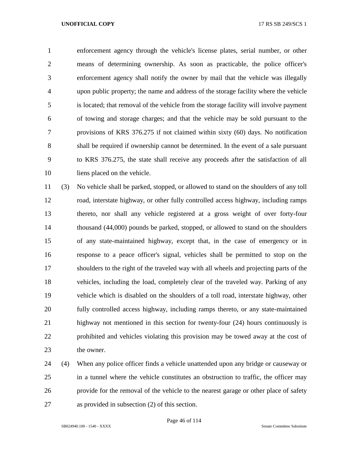enforcement agency through the vehicle's license plates, serial number, or other means of determining ownership. As soon as practicable, the police officer's enforcement agency shall notify the owner by mail that the vehicle was illegally upon public property; the name and address of the storage facility where the vehicle is located; that removal of the vehicle from the storage facility will involve payment of towing and storage charges; and that the vehicle may be sold pursuant to the provisions of KRS 376.275 if not claimed within sixty (60) days. No notification shall be required if ownership cannot be determined. In the event of a sale pursuant to KRS 376.275, the state shall receive any proceeds after the satisfaction of all liens placed on the vehicle.

 (3) No vehicle shall be parked, stopped, or allowed to stand on the shoulders of any toll road, interstate highway, or other fully controlled access highway, including ramps thereto, nor shall any vehicle registered at a gross weight of over forty-four thousand (44,000) pounds be parked, stopped, or allowed to stand on the shoulders of any state-maintained highway, except that, in the case of emergency or in response to a peace officer's signal, vehicles shall be permitted to stop on the shoulders to the right of the traveled way with all wheels and projecting parts of the vehicles, including the load, completely clear of the traveled way. Parking of any vehicle which is disabled on the shoulders of a toll road, interstate highway, other fully controlled access highway, including ramps thereto, or any state-maintained highway not mentioned in this section for twenty-four (24) hours continuously is prohibited and vehicles violating this provision may be towed away at the cost of the owner.

 (4) When any police officer finds a vehicle unattended upon any bridge or causeway or in a tunnel where the vehicle constitutes an obstruction to traffic, the officer may provide for the removal of the vehicle to the nearest garage or other place of safety as provided in subsection (2) of this section.

Page 46 of 114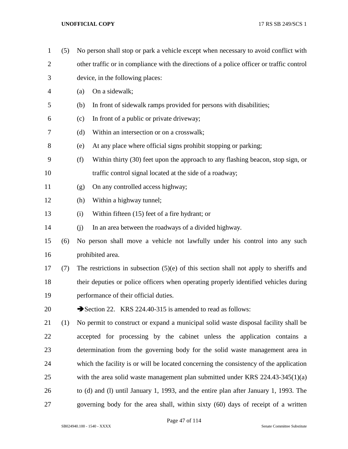(5) No person shall stop or park a vehicle except when necessary to avoid conflict with other traffic or in compliance with the directions of a police officer or traffic control device, in the following places: (a) On a sidewalk; (b) In front of sidewalk ramps provided for persons with disabilities; (c) In front of a public or private driveway; (d) Within an intersection or on a crosswalk; (e) At any place where official signs prohibit stopping or parking; (f) Within thirty (30) feet upon the approach to any flashing beacon, stop sign, or traffic control signal located at the side of a roadway; (g) On any controlled access highway; (h) Within a highway tunnel; (i) Within fifteen (15) feet of a fire hydrant; or (j) In an area between the roadways of a divided highway. (6) No person shall move a vehicle not lawfully under his control into any such prohibited area. (7) The restrictions in subsection (5)(e) of this section shall not apply to sheriffs and their deputies or police officers when operating properly identified vehicles during performance of their official duties. 20 Section 22. KRS 224.40-315 is amended to read as follows: (1) No permit to construct or expand a municipal solid waste disposal facility shall be accepted for processing by the cabinet unless the application contains a determination from the governing body for the solid waste management area in which the facility is or will be located concerning the consistency of the application 25 with the area solid waste management plan submitted under KRS 224.43-345(1)(a) to (d) and (l) until January 1, 1993, and the entire plan after January 1, 1993. The governing body for the area shall, within sixty (60) days of receipt of a written

Page 47 of 114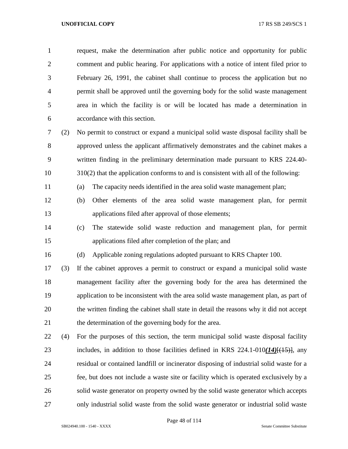request, make the determination after public notice and opportunity for public comment and public hearing. For applications with a notice of intent filed prior to February 26, 1991, the cabinet shall continue to process the application but no permit shall be approved until the governing body for the solid waste management area in which the facility is or will be located has made a determination in accordance with this section.

 (2) No permit to construct or expand a municipal solid waste disposal facility shall be approved unless the applicant affirmatively demonstrates and the cabinet makes a written finding in the preliminary determination made pursuant to KRS 224.40- 310(2) that the application conforms to and is consistent with all of the following:

(a) The capacity needs identified in the area solid waste management plan;

- (b) Other elements of the area solid waste management plan, for permit applications filed after approval of those elements;
- (c) The statewide solid waste reduction and management plan, for permit applications filed after completion of the plan; and

(d) Applicable zoning regulations adopted pursuant to KRS Chapter 100.

 (3) If the cabinet approves a permit to construct or expand a municipal solid waste management facility after the governing body for the area has determined the application to be inconsistent with the area solid waste management plan, as part of the written finding the cabinet shall state in detail the reasons why it did not accept the determination of the governing body for the area.

 (4) For the purposes of this section, the term municipal solid waste disposal facility includes, in addition to those facilities defined in KRS 224.1-010*(14)*[(15)], any residual or contained landfill or incinerator disposing of industrial solid waste for a fee, but does not include a waste site or facility which is operated exclusively by a solid waste generator on property owned by the solid waste generator which accepts only industrial solid waste from the solid waste generator or industrial solid waste

Page 48 of 114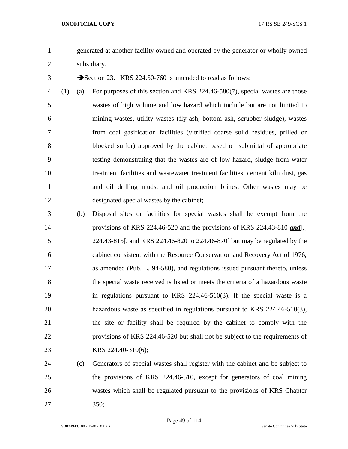generated at another facility owned and operated by the generator or wholly-owned subsidiary.

3 Section 23. KRS 224.50-760 is amended to read as follows:

- (1) (a) For purposes of this section and KRS 224.46-580(7), special wastes are those wastes of high volume and low hazard which include but are not limited to mining wastes, utility wastes (fly ash, bottom ash, scrubber sludge), wastes from coal gasification facilities (vitrified coarse solid residues, prilled or blocked sulfur) approved by the cabinet based on submittal of appropriate testing demonstrating that the wastes are of low hazard, sludge from water treatment facilities and wastewater treatment facilities, cement kiln dust, gas and oil drilling muds, and oil production brines. Other wastes may be designated special wastes by the cabinet;
- (b) Disposal sites or facilities for special wastes shall be exempt from the 14 provisions of KRS 224.46-520 and the provisions of KRS 224.43-810 *and*  224.43-815[, and KRS 224.46-820 to 224.46-870] but may be regulated by the cabinet consistent with the Resource Conservation and Recovery Act of 1976, as amended (Pub. L. 94-580), and regulations issued pursuant thereto, unless the special waste received is listed or meets the criteria of a hazardous waste in regulations pursuant to KRS 224.46-510(3). If the special waste is a hazardous waste as specified in regulations pursuant to KRS 224.46-510(3), the site or facility shall be required by the cabinet to comply with the provisions of KRS 224.46-520 but shall not be subject to the requirements of KRS 224.40-310(6);
- (c) Generators of special wastes shall register with the cabinet and be subject to the provisions of KRS 224.46-510, except for generators of coal mining wastes which shall be regulated pursuant to the provisions of KRS Chapter 350;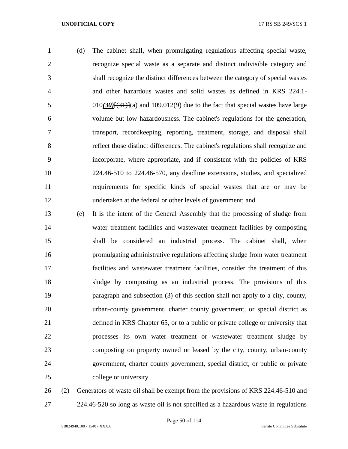(d) The cabinet shall, when promulgating regulations affecting special waste, recognize special waste as a separate and distinct indivisible category and shall recognize the distinct differences between the category of special wastes and other hazardous wastes and solid wastes as defined in KRS 224.1- 010*(30)*[(31)](a) and 109.012(9) due to the fact that special wastes have large volume but low hazardousness. The cabinet's regulations for the generation, transport, recordkeeping, reporting, treatment, storage, and disposal shall reflect those distinct differences. The cabinet's regulations shall recognize and incorporate, where appropriate, and if consistent with the policies of KRS 224.46-510 to 224.46-570, any deadline extensions, studies, and specialized requirements for specific kinds of special wastes that are or may be undertaken at the federal or other levels of government; and

 (e) It is the intent of the General Assembly that the processing of sludge from water treatment facilities and wastewater treatment facilities by composting shall be considered an industrial process. The cabinet shall, when promulgating administrative regulations affecting sludge from water treatment facilities and wastewater treatment facilities, consider the treatment of this sludge by composting as an industrial process. The provisions of this paragraph and subsection (3) of this section shall not apply to a city, county, urban-county government, charter county government, or special district as defined in KRS Chapter 65, or to a public or private college or university that processes its own water treatment or wastewater treatment sludge by composting on property owned or leased by the city, county, urban-county government, charter county government, special district, or public or private college or university.

 (2) Generators of waste oil shall be exempt from the provisions of KRS 224.46-510 and 224.46-520 so long as waste oil is not specified as a hazardous waste in regulations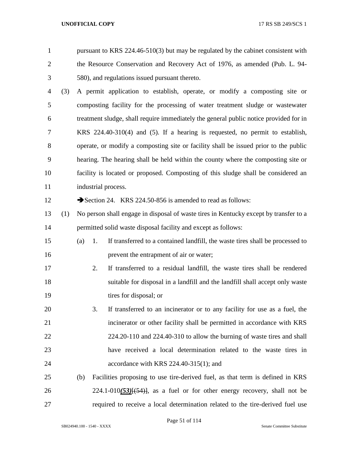pursuant to KRS  $224.46-510(3)$  but may be regulated by the cabinet consistent with the Resource Conservation and Recovery Act of 1976, as amended (Pub. L. 94- 580), and regulations issued pursuant thereto.

 (3) A permit application to establish, operate, or modify a composting site or composting facility for the processing of water treatment sludge or wastewater treatment sludge, shall require immediately the general public notice provided for in KRS 224.40-310(4) and (5). If a hearing is requested, no permit to establish, operate, or modify a composting site or facility shall be issued prior to the public hearing. The hearing shall be held within the county where the composting site or facility is located or proposed. Composting of this sludge shall be considered an 11 industrial process.

12 Section 24. KRS 224.50-856 is amended to read as follows:

- (1) No person shall engage in disposal of waste tires in Kentucky except by transfer to a permitted solid waste disposal facility and except as follows:
- (a) 1. If transferred to a contained landfill, the waste tires shall be processed to prevent the entrapment of air or water;
- 2. If transferred to a residual landfill, the waste tires shall be rendered suitable for disposal in a landfill and the landfill shall accept only waste 19 tires for disposal; or
- 3. If transferred to an incinerator or to any facility for use as a fuel, the incinerator or other facility shall be permitted in accordance with KRS 224.20-110 and 224.40-310 to allow the burning of waste tires and shall have received a local determination related to the waste tires in accordance with KRS 224.40-315(1); and
- (b) Facilities proposing to use tire-derived fuel, as that term is defined in KRS 26 224.1-010(53)<del>[(54)]</del>, as a fuel or for other energy recovery, shall not be required to receive a local determination related to the tire-derived fuel use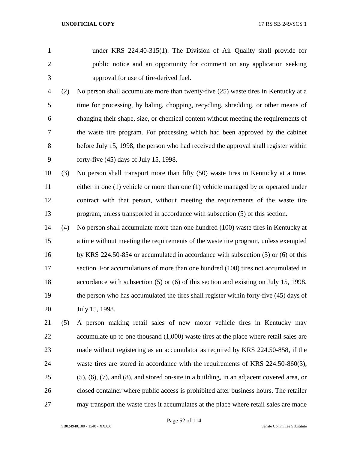- under KRS 224.40-315(1). The Division of Air Quality shall provide for public notice and an opportunity for comment on any application seeking approval for use of tire-derived fuel.
- (2) No person shall accumulate more than twenty-five (25) waste tires in Kentucky at a time for processing, by baling, chopping, recycling, shredding, or other means of changing their shape, size, or chemical content without meeting the requirements of the waste tire program. For processing which had been approved by the cabinet before July 15, 1998, the person who had received the approval shall register within forty-five (45) days of July 15, 1998.
- (3) No person shall transport more than fifty (50) waste tires in Kentucky at a time, either in one (1) vehicle or more than one (1) vehicle managed by or operated under contract with that person, without meeting the requirements of the waste tire program, unless transported in accordance with subsection (5) of this section.
- (4) No person shall accumulate more than one hundred (100) waste tires in Kentucky at a time without meeting the requirements of the waste tire program, unless exempted by KRS 224.50-854 or accumulated in accordance with subsection (5) or (6) of this section. For accumulations of more than one hundred (100) tires not accumulated in accordance with subsection (5) or (6) of this section and existing on July 15, 1998, the person who has accumulated the tires shall register within forty-five (45) days of July 15, 1998.
- (5) A person making retail sales of new motor vehicle tires in Kentucky may 22 accumulate up to one thousand (1,000) waste tires at the place where retail sales are made without registering as an accumulator as required by KRS 224.50-858, if the waste tires are stored in accordance with the requirements of KRS 224.50-860(3), (5), (6), (7), and (8), and stored on-site in a building, in an adjacent covered area, or closed container where public access is prohibited after business hours. The retailer may transport the waste tires it accumulates at the place where retail sales are made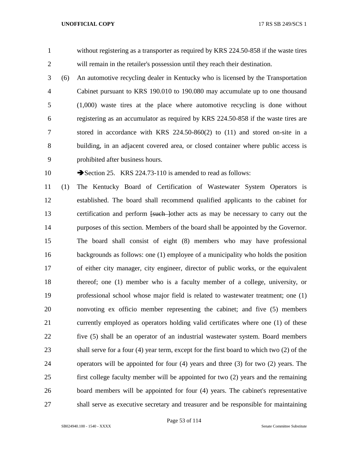without registering as a transporter as required by KRS 224.50-858 if the waste tires will remain in the retailer's possession until they reach their destination.

- (6) An automotive recycling dealer in Kentucky who is licensed by the Transportation Cabinet pursuant to KRS 190.010 to 190.080 may accumulate up to one thousand (1,000) waste tires at the place where automotive recycling is done without registering as an accumulator as required by KRS 224.50-858 if the waste tires are stored in accordance with KRS 224.50-860(2) to (11) and stored on-site in a building, in an adjacent covered area, or closed container where public access is prohibited after business hours.
- 

10 Section 25. KRS 224.73-110 is amended to read as follows:

 (1) The Kentucky Board of Certification of Wastewater System Operators is established. The board shall recommend qualified applicants to the cabinet for 13 certification and perform <del>[such ]</del>other acts as may be necessary to carry out the purposes of this section. Members of the board shall be appointed by the Governor. The board shall consist of eight (8) members who may have professional backgrounds as follows: one (1) employee of a municipality who holds the position of either city manager, city engineer, director of public works, or the equivalent thereof; one (1) member who is a faculty member of a college, university, or professional school whose major field is related to wastewater treatment; one (1) nonvoting ex officio member representing the cabinet; and five (5) members currently employed as operators holding valid certificates where one (1) of these five (5) shall be an operator of an industrial wastewater system. Board members shall serve for a four (4) year term, except for the first board to which two (2) of the operators will be appointed for four (4) years and three (3) for two (2) years. The first college faculty member will be appointed for two (2) years and the remaining board members will be appointed for four (4) years. The cabinet's representative shall serve as executive secretary and treasurer and be responsible for maintaining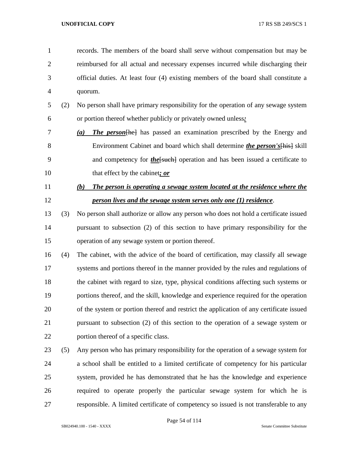records. The members of the board shall serve without compensation but may be reimbursed for all actual and necessary expenses incurred while discharging their official duties. At least four (4) existing members of the board shall constitute a quorum.

- (2) No person shall have primary responsibility for the operation of any sewage system or portion thereof whether publicly or privately owned unless*:*
- *(a) The person*[he] has passed an examination prescribed by the Energy and Environment Cabinet and board which shall determine *the person's*[his] skill 9 and competency for *the*[such] operation and has been issued a certificate to that effect by the cabinet*; or*
- *(b) The person is operating a sewage system located at the residence where the person lives and the sewage system serves only one (1) residence*.
- (3) No person shall authorize or allow any person who does not hold a certificate issued pursuant to subsection (2) of this section to have primary responsibility for the operation of any sewage system or portion thereof.
- (4) The cabinet, with the advice of the board of certification, may classify all sewage systems and portions thereof in the manner provided by the rules and regulations of the cabinet with regard to size, type, physical conditions affecting such systems or portions thereof, and the skill, knowledge and experience required for the operation of the system or portion thereof and restrict the application of any certificate issued pursuant to subsection (2) of this section to the operation of a sewage system or portion thereof of a specific class.
- (5) Any person who has primary responsibility for the operation of a sewage system for a school shall be entitled to a limited certificate of competency for his particular system, provided he has demonstrated that he has the knowledge and experience required to operate properly the particular sewage system for which he is responsible. A limited certificate of competency so issued is not transferable to any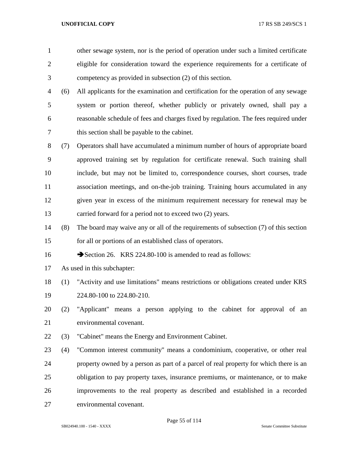- other sewage system, nor is the period of operation under such a limited certificate eligible for consideration toward the experience requirements for a certificate of competency as provided in subsection (2) of this section. (6) All applicants for the examination and certification for the operation of any sewage system or portion thereof, whether publicly or privately owned, shall pay a reasonable schedule of fees and charges fixed by regulation. The fees required under this section shall be payable to the cabinet. (7) Operators shall have accumulated a minimum number of hours of appropriate board approved training set by regulation for certificate renewal. Such training shall include, but may not be limited to, correspondence courses, short courses, trade association meetings, and on-the-job training. Training hours accumulated in any given year in excess of the minimum requirement necessary for renewal may be carried forward for a period not to exceed two (2) years. (8) The board may waive any or all of the requirements of subsection (7) of this section for all or portions of an established class of operators. 16 Section 26. KRS 224.80-100 is amended to read as follows: As used in this subchapter: (1) "Activity and use limitations" means restrictions or obligations created under KRS
- 224.80-100 to 224.80-210.
- (2) "Applicant" means a person applying to the cabinet for approval of an environmental covenant.
- (3) "Cabinet" means the Energy and Environment Cabinet.

 (4) "Common interest community" means a condominium, cooperative, or other real property owned by a person as part of a parcel of real property for which there is an obligation to pay property taxes, insurance premiums, or maintenance, or to make improvements to the real property as described and established in a recorded environmental covenant.

Page 55 of 114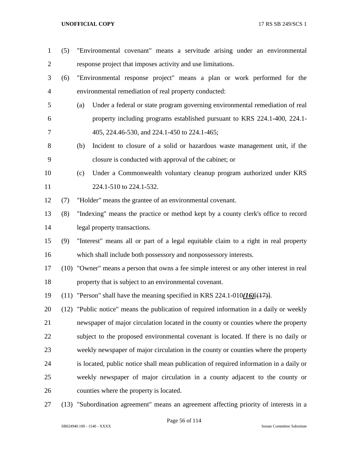- (5) "Environmental covenant" means a servitude arising under an environmental response project that imposes activity and use limitations. (6) "Environmental response project" means a plan or work performed for the environmental remediation of real property conducted: (a) Under a federal or state program governing environmental remediation of real property including programs established pursuant to KRS 224.1-400, 224.1- 405, 224.46-530, and 224.1-450 to 224.1-465; (b) Incident to closure of a solid or hazardous waste management unit, if the closure is conducted with approval of the cabinet; or (c) Under a Commonwealth voluntary cleanup program authorized under KRS 11 224.1-510 to 224.1-532. (7) "Holder" means the grantee of an environmental covenant. (8) "Indexing" means the practice or method kept by a county clerk's office to record legal property transactions. (9) "Interest" means all or part of a legal equitable claim to a right in real property which shall include both possessory and nonpossessory interests. (10) "Owner" means a person that owns a fee simple interest or any other interest in real property that is subject to an environmental covenant. (11) "Person" shall have the meaning specified in KRS 224.1-010*(16)*[(17)]. (12) "Public notice" means the publication of required information in a daily or weekly newspaper of major circulation located in the county or counties where the property subject to the proposed environmental covenant is located. If there is no daily or weekly newspaper of major circulation in the county or counties where the property is located, public notice shall mean publication of required information in a daily or weekly newspaper of major circulation in a county adjacent to the county or counties where the property is located.
- (13) "Subordination agreement" means an agreement affecting priority of interests in a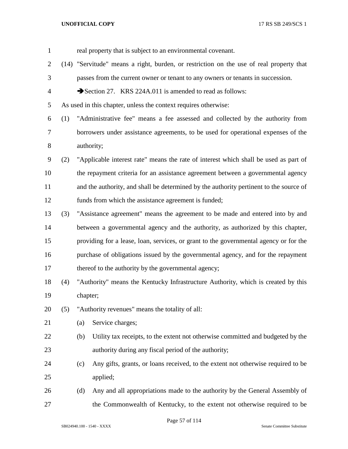| $\mathbf{1}$   |     |          | real property that is subject to an environmental covenant.                             |
|----------------|-----|----------|-----------------------------------------------------------------------------------------|
| $\overline{2}$ |     |          | (14) "Servitude" means a right, burden, or restriction on the use of real property that |
| 3              |     |          | passes from the current owner or tenant to any owners or tenants in succession.         |
| $\overline{4}$ |     |          | Section 27. KRS 224A.011 is amended to read as follows:                                 |
| 5              |     |          | As used in this chapter, unless the context requires otherwise:                         |
| 6              | (1) |          | "Administrative fee" means a fee assessed and collected by the authority from           |
| 7              |     |          | borrowers under assistance agreements, to be used for operational expenses of the       |
| $8\,$          |     |          | authority;                                                                              |
| 9              | (2) |          | "Applicable interest rate" means the rate of interest which shall be used as part of    |
| 10             |     |          | the repayment criteria for an assistance agreement between a governmental agency        |
| 11             |     |          | and the authority, and shall be determined by the authority pertinent to the source of  |
| 12             |     |          | funds from which the assistance agreement is funded;                                    |
| 13             | (3) |          | "Assistance agreement" means the agreement to be made and entered into by and           |
| 14             |     |          | between a governmental agency and the authority, as authorized by this chapter,         |
| 15             |     |          | providing for a lease, loan, services, or grant to the governmental agency or for the   |
| 16             |     |          | purchase of obligations issued by the governmental agency, and for the repayment        |
| 17             |     |          | thereof to the authority by the governmental agency;                                    |
| 18             | (4) |          | "Authority" means the Kentucky Infrastructure Authority, which is created by this       |
| 19             |     | chapter; |                                                                                         |
| 20             | (5) |          | "Authority revenues" means the totality of all:                                         |
| 21             |     | (a)      | Service charges;                                                                        |
| 22             |     | (b)      | Utility tax receipts, to the extent not otherwise committed and budgeted by the         |
| 23             |     |          | authority during any fiscal period of the authority;                                    |
| 24             |     | (c)      | Any gifts, grants, or loans received, to the extent not otherwise required to be        |
| 25             |     |          | applied;                                                                                |
| 26             |     | (d)      | Any and all appropriations made to the authority by the General Assembly of             |
| 27             |     |          | the Commonwealth of Kentucky, to the extent not otherwise required to be                |

Page 57 of 114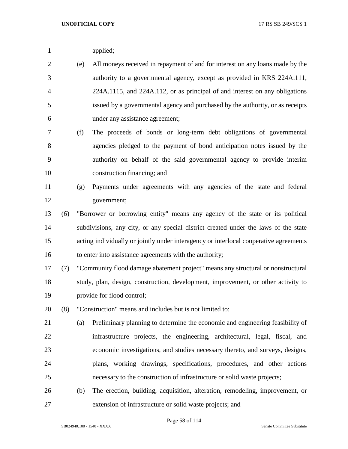|  | applied; |
|--|----------|
|--|----------|

- (e) All moneys received in repayment of and for interest on any loans made by the authority to a governmental agency, except as provided in KRS 224A.111, 224A.1115, and 224A.112, or as principal of and interest on any obligations issued by a governmental agency and purchased by the authority, or as receipts under any assistance agreement;
- (f) The proceeds of bonds or long-term debt obligations of governmental agencies pledged to the payment of bond anticipation notes issued by the authority on behalf of the said governmental agency to provide interim construction financing; and
- (g) Payments under agreements with any agencies of the state and federal government;
	- (6) "Borrower or borrowing entity" means any agency of the state or its political subdivisions, any city, or any special district created under the laws of the state acting individually or jointly under interagency or interlocal cooperative agreements to enter into assistance agreements with the authority;
	- (7) "Community flood damage abatement project" means any structural or nonstructural study, plan, design, construction, development, improvement, or other activity to provide for flood control;
	- (8) "Construction" means and includes but is not limited to:
	- (a) Preliminary planning to determine the economic and engineering feasibility of infrastructure projects, the engineering, architectural, legal, fiscal, and economic investigations, and studies necessary thereto, and surveys, designs, plans, working drawings, specifications, procedures, and other actions necessary to the construction of infrastructure or solid waste projects;
	- (b) The erection, building, acquisition, alteration, remodeling, improvement, or extension of infrastructure or solid waste projects; and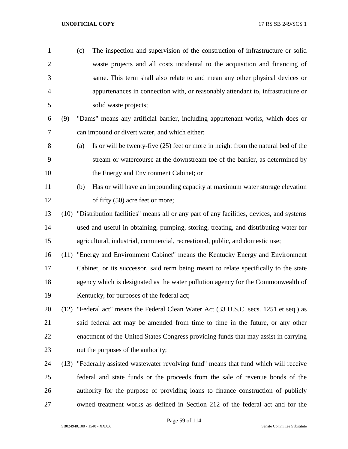| $\mathbf{1}$   |      | (c) | The inspection and supervision of the construction of infrastructure or solid                |
|----------------|------|-----|----------------------------------------------------------------------------------------------|
| $\overline{2}$ |      |     | waste projects and all costs incidental to the acquisition and financing of                  |
| 3              |      |     | same. This term shall also relate to and mean any other physical devices or                  |
| $\overline{4}$ |      |     | appurtenances in connection with, or reasonably attendant to, infrastructure or              |
| 5              |      |     | solid waste projects;                                                                        |
| 6              | (9)  |     | "Dams" means any artificial barrier, including appurtenant works, which does or              |
| 7              |      |     | can impound or divert water, and which either:                                               |
| 8              |      | (a) | Is or will be twenty-five (25) feet or more in height from the natural bed of the            |
| 9              |      |     | stream or watercourse at the downstream toe of the barrier, as determined by                 |
| 10             |      |     | the Energy and Environment Cabinet; or                                                       |
| 11             |      | (b) | Has or will have an impounding capacity at maximum water storage elevation                   |
| 12             |      |     | of fifty (50) acre feet or more;                                                             |
| 13             |      |     | (10) "Distribution facilities" means all or any part of any facilities, devices, and systems |
| 14             |      |     | used and useful in obtaining, pumping, storing, treating, and distributing water for         |
| 15             |      |     | agricultural, industrial, commercial, recreational, public, and domestic use;                |
| 16             | (11) |     | "Energy and Environment Cabinet" means the Kentucky Energy and Environment                   |
| 17             |      |     | Cabinet, or its successor, said term being meant to relate specifically to the state         |
| 18             |      |     | agency which is designated as the water pollution agency for the Commonwealth of             |
| 19             |      |     | Kentucky, for purposes of the federal act;                                                   |
| 20             |      |     | (12) "Federal act" means the Federal Clean Water Act (33 U.S.C. secs. 1251 et seq.) as       |
| 21             |      |     | said federal act may be amended from time to time in the future, or any other                |
| 22             |      |     | enactment of the United States Congress providing funds that may assist in carrying          |
| 23             |      |     | out the purposes of the authority;                                                           |
| 24             | (13) |     | "Federally assisted wastewater revolving fund" means that fund which will receive            |

 federal and state funds or the proceeds from the sale of revenue bonds of the authority for the purpose of providing loans to finance construction of publicly owned treatment works as defined in Section 212 of the federal act and for the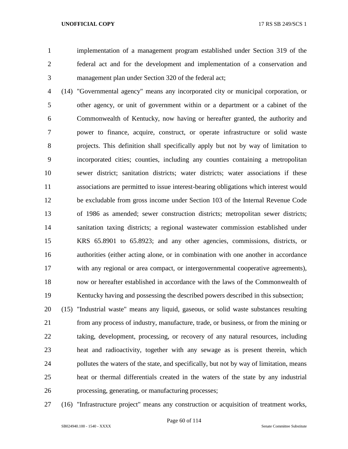implementation of a management program established under Section 319 of the federal act and for the development and implementation of a conservation and management plan under Section 320 of the federal act;

 (14) "Governmental agency" means any incorporated city or municipal corporation, or other agency, or unit of government within or a department or a cabinet of the Commonwealth of Kentucky, now having or hereafter granted, the authority and power to finance, acquire, construct, or operate infrastructure or solid waste projects. This definition shall specifically apply but not by way of limitation to incorporated cities; counties, including any counties containing a metropolitan sewer district; sanitation districts; water districts; water associations if these associations are permitted to issue interest-bearing obligations which interest would be excludable from gross income under Section 103 of the Internal Revenue Code of 1986 as amended; sewer construction districts; metropolitan sewer districts; sanitation taxing districts; a regional wastewater commission established under KRS 65.8901 to 65.8923; and any other agencies, commissions, districts, or authorities (either acting alone, or in combination with one another in accordance with any regional or area compact, or intergovernmental cooperative agreements), now or hereafter established in accordance with the laws of the Commonwealth of Kentucky having and possessing the described powers described in this subsection;

 (15) "Industrial waste" means any liquid, gaseous, or solid waste substances resulting from any process of industry, manufacture, trade, or business, or from the mining or taking, development, processing, or recovery of any natural resources, including heat and radioactivity, together with any sewage as is present therein, which pollutes the waters of the state, and specifically, but not by way of limitation, means heat or thermal differentials created in the waters of the state by any industrial processing, generating, or manufacturing processes;

(16) "Infrastructure project" means any construction or acquisition of treatment works,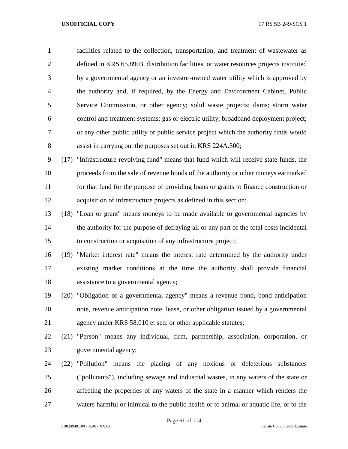facilities related to the collection, transportation, and treatment of wastewater as defined in KRS 65.8903, distribution facilities, or water resources projects instituted by a governmental agency or an investor-owned water utility which is approved by the authority and, if required, by the Energy and Environment Cabinet, Public Service Commission, or other agency; solid waste projects; dams; storm water control and treatment systems; gas or electric utility; broadband deployment project; or any other public utility or public service project which the authority finds would assist in carrying out the purposes set out in KRS 224A.300;

 (17) "Infrastructure revolving fund" means that fund which will receive state funds, the proceeds from the sale of revenue bonds of the authority or other moneys earmarked for that fund for the purpose of providing loans or grants to finance construction or acquisition of infrastructure projects as defined in this section;

 (18) "Loan or grant" means moneys to be made available to governmental agencies by the authority for the purpose of defraying all or any part of the total costs incidental to construction or acquisition of any infrastructure project;

 (19) "Market interest rate" means the interest rate determined by the authority under existing market conditions at the time the authority shall provide financial assistance to a governmental agency;

 (20) "Obligation of a governmental agency" means a revenue bond, bond anticipation note, revenue anticipation note, lease, or other obligation issued by a governmental agency under KRS 58.010 et seq. or other applicable statutes;

 (21) "Person" means any individual, firm, partnership, association, corporation, or governmental agency;

 (22) "Pollution" means the placing of any noxious or deleterious substances ("pollutants"), including sewage and industrial wastes, in any waters of the state or affecting the properties of any waters of the state in a manner which renders the waters harmful or inimical to the public health or to animal or aquatic life, or to the

Page 61 of 114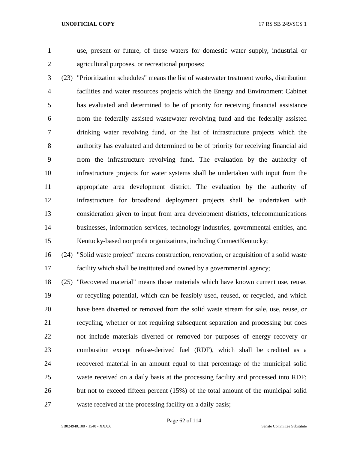- 
- 

 use, present or future, of these waters for domestic water supply, industrial or agricultural purposes, or recreational purposes;

 (23) "Prioritization schedules" means the list of wastewater treatment works, distribution facilities and water resources projects which the Energy and Environment Cabinet has evaluated and determined to be of priority for receiving financial assistance from the federally assisted wastewater revolving fund and the federally assisted drinking water revolving fund, or the list of infrastructure projects which the authority has evaluated and determined to be of priority for receiving financial aid from the infrastructure revolving fund. The evaluation by the authority of infrastructure projects for water systems shall be undertaken with input from the appropriate area development district. The evaluation by the authority of infrastructure for broadband deployment projects shall be undertaken with consideration given to input from area development districts, telecommunications businesses, information services, technology industries, governmental entities, and Kentucky-based nonprofit organizations, including ConnectKentucky;

 (24) "Solid waste project" means construction, renovation, or acquisition of a solid waste facility which shall be instituted and owned by a governmental agency;

 (25) "Recovered material" means those materials which have known current use, reuse, or recycling potential, which can be feasibly used, reused, or recycled, and which have been diverted or removed from the solid waste stream for sale, use, reuse, or recycling, whether or not requiring subsequent separation and processing but does not include materials diverted or removed for purposes of energy recovery or combustion except refuse-derived fuel (RDF), which shall be credited as a recovered material in an amount equal to that percentage of the municipal solid waste received on a daily basis at the processing facility and processed into RDF; but not to exceed fifteen percent (15%) of the total amount of the municipal solid waste received at the processing facility on a daily basis;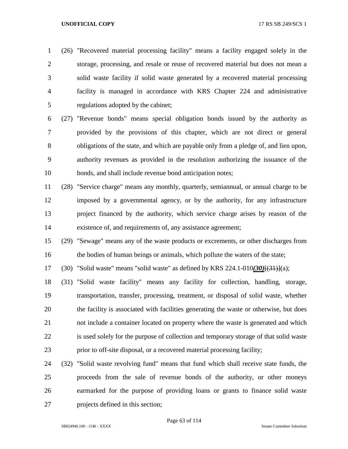(26) "Recovered material processing facility" means a facility engaged solely in the storage, processing, and resale or reuse of recovered material but does not mean a solid waste facility if solid waste generated by a recovered material processing facility is managed in accordance with KRS Chapter 224 and administrative regulations adopted by the cabinet;

 (27) "Revenue bonds" means special obligation bonds issued by the authority as provided by the provisions of this chapter, which are not direct or general obligations of the state, and which are payable only from a pledge of, and lien upon, authority revenues as provided in the resolution authorizing the issuance of the bonds, and shall include revenue bond anticipation notes;

 (28) "Service charge" means any monthly, quarterly, semiannual, or annual charge to be imposed by a governmental agency, or by the authority, for any infrastructure project financed by the authority, which service charge arises by reason of the existence of, and requirements of, any assistance agreement;

 (29) "Sewage" means any of the waste products or excrements, or other discharges from the bodies of human beings or animals, which pollute the waters of the state;

(30) "Solid waste" means "solid waste" as defined by KRS 224.1-010*(30)*[(31)](a);

 (31) "Solid waste facility" means any facility for collection, handling, storage, transportation, transfer, processing, treatment, or disposal of solid waste, whether the facility is associated with facilities generating the waste or otherwise, but does not include a container located on property where the waste is generated and which is used solely for the purpose of collection and temporary storage of that solid waste prior to off-site disposal, or a recovered material processing facility;

 (32) "Solid waste revolving fund" means that fund which shall receive state funds, the proceeds from the sale of revenue bonds of the authority, or other moneys earmarked for the purpose of providing loans or grants to finance solid waste projects defined in this section;

Page 63 of 114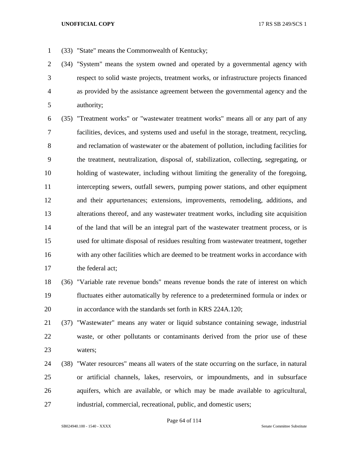- (33) "State" means the Commonwealth of Kentucky;
- (34) "System" means the system owned and operated by a governmental agency with respect to solid waste projects, treatment works, or infrastructure projects financed as provided by the assistance agreement between the governmental agency and the authority;

 (35) "Treatment works" or "wastewater treatment works" means all or any part of any facilities, devices, and systems used and useful in the storage, treatment, recycling, and reclamation of wastewater or the abatement of pollution, including facilities for the treatment, neutralization, disposal of, stabilization, collecting, segregating, or holding of wastewater, including without limiting the generality of the foregoing, intercepting sewers, outfall sewers, pumping power stations, and other equipment and their appurtenances; extensions, improvements, remodeling, additions, and alterations thereof, and any wastewater treatment works, including site acquisition of the land that will be an integral part of the wastewater treatment process, or is used for ultimate disposal of residues resulting from wastewater treatment, together with any other facilities which are deemed to be treatment works in accordance with the federal act;

- (36) "Variable rate revenue bonds" means revenue bonds the rate of interest on which fluctuates either automatically by reference to a predetermined formula or index or in accordance with the standards set forth in KRS 224A.120;
- (37) "Wastewater" means any water or liquid substance containing sewage, industrial waste, or other pollutants or contaminants derived from the prior use of these waters;
- (38) "Water resources" means all waters of the state occurring on the surface, in natural or artificial channels, lakes, reservoirs, or impoundments, and in subsurface aquifers, which are available, or which may be made available to agricultural, industrial, commercial, recreational, public, and domestic users;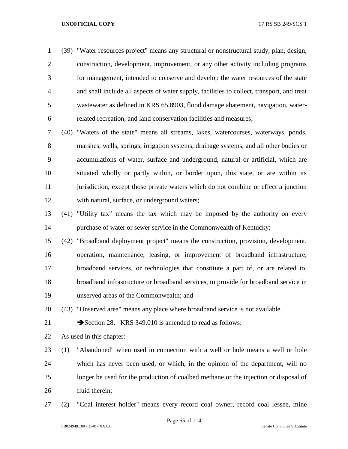(39) "Water resources project" means any structural or nonstructural study, plan, design, construction, development, improvement, or any other activity including programs for management, intended to conserve and develop the water resources of the state and shall include all aspects of water supply, facilities to collect, transport, and treat wastewater as defined in KRS 65.8903, flood damage abatement, navigation, water-related recreation, and land conservation facilities and measures;

 (40) "Waters of the state" means all streams, lakes, watercourses, waterways, ponds, marshes, wells, springs, irrigation systems, drainage systems, and all other bodies or accumulations of water, surface and underground, natural or artificial, which are situated wholly or partly within, or border upon, this state, or are within its 11 jurisdiction, except those private waters which do not combine or effect a junction with natural, surface, or underground waters;

 (41) "Utility tax" means the tax which may be imposed by the authority on every purchase of water or sewer service in the Commonwealth of Kentucky;

 (42) "Broadband deployment project" means the construction, provision, development, operation, maintenance, leasing, or improvement of broadband infrastructure, broadband services, or technologies that constitute a part of, or are related to, broadband infrastructure or broadband services, to provide for broadband service in unserved areas of the Commonwealth; and

(43) "Unserved area" means any place where broadband service is not available.

21 Section 28. KRS 349,010 is amended to read as follows:

As used in this chapter:

 (1) "Abandoned" when used in connection with a well or hole means a well or hole which has never been used, or which, in the opinion of the department, will no longer be used for the production of coalbed methane or the injection or disposal of fluid therein;

(2) "Coal interest holder" means every record coal owner, record coal lessee, mine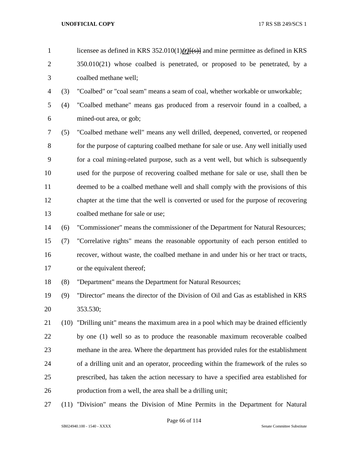- licensee as defined in KRS 352.010(1)*(r)*[(s)] and mine permittee as defined in KRS 2 350.010(21) whose coalbed is penetrated, or proposed to be penetrated, by a coalbed methane well;
- (3) "Coalbed" or "coal seam" means a seam of coal, whether workable or unworkable;
- (4) "Coalbed methane" means gas produced from a reservoir found in a coalbed, a mined-out area, or gob;
- (5) "Coalbed methane well" means any well drilled, deepened, converted, or reopened for the purpose of capturing coalbed methane for sale or use. Any well initially used for a coal mining-related purpose, such as a vent well, but which is subsequently used for the purpose of recovering coalbed methane for sale or use, shall then be deemed to be a coalbed methane well and shall comply with the provisions of this chapter at the time that the well is converted or used for the purpose of recovering coalbed methane for sale or use;
- (6) "Commissioner" means the commissioner of the Department for Natural Resources;
- (7) "Correlative rights" means the reasonable opportunity of each person entitled to recover, without waste, the coalbed methane in and under his or her tract or tracts, or the equivalent thereof;
- (8) "Department" means the Department for Natural Resources;
- (9) "Director" means the director of the Division of Oil and Gas as established in KRS 353.530;
- (10) "Drilling unit" means the maximum area in a pool which may be drained efficiently by one (1) well so as to produce the reasonable maximum recoverable coalbed methane in the area. Where the department has provided rules for the establishment of a drilling unit and an operator, proceeding within the framework of the rules so prescribed, has taken the action necessary to have a specified area established for production from a well, the area shall be a drilling unit;
- (11) "Division" means the Division of Mine Permits in the Department for Natural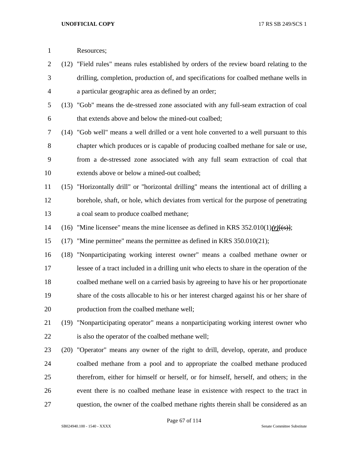| $\mathbf{1}$   |      | Resources;                                                                                 |
|----------------|------|--------------------------------------------------------------------------------------------|
| $\overline{2}$ |      | (12) "Field rules" means rules established by orders of the review board relating to the   |
| 3              |      | drilling, completion, production of, and specifications for coalbed methane wells in       |
| 4              |      | a particular geographic area as defined by an order;                                       |
| 5              |      | (13) "Gob" means the de-stressed zone associated with any full-seam extraction of coal     |
| 6              |      | that extends above and below the mined-out coalbed;                                        |
| 7              |      | (14) "Gob well" means a well drilled or a vent hole converted to a well pursuant to this   |
| 8              |      | chapter which produces or is capable of producing coalbed methane for sale or use,         |
| 9              |      | from a de-stressed zone associated with any full seam extraction of coal that              |
| 10             |      | extends above or below a mined-out coalbed;                                                |
| 11             |      | (15) "Horizontally drill" or "horizontal drilling" means the intentional act of drilling a |
| 12             |      | borehole, shaft, or hole, which deviates from vertical for the purpose of penetrating      |
| 13             |      | a coal seam to produce coalbed methane;                                                    |
| 14             | (16) | "Mine licensee" means the mine licensee as defined in KRS $352.010(1)(r)(s)$ ;             |
| 15             | (17) | "Mine permittee" means the permittee as defined in KRS 350.010(21);                        |
| 16             | (18) | "Nonparticipating working interest owner" means a coalbed methane owner or                 |
| 17             |      | lessee of a tract included in a drilling unit who elects to share in the operation of the  |
| 18             |      | coalbed methane well on a carried basis by agreeing to have his or her proportionate       |
| 19             |      | share of the costs allocable to his or her interest charged against his or her share of    |
| 20             |      | production from the coalbed methane well;                                                  |
| 21             |      | (19) "Nonparticipating operator" means a nonparticipating working interest owner who       |
| 22             |      | is also the operator of the coalbed methane well;                                          |
| 23             |      | (20) "Operator" means any owner of the right to drill, develop, operate, and produce       |
| 24             |      | coalbed methane from a pool and to appropriate the coalbed methane produced                |
| 25             |      | therefrom, either for himself or herself, or for himself, herself, and others; in the      |
| 26             |      | event there is no coalbed methane lease in existence with respect to the tract in          |
| 27             |      | question, the owner of the coalbed methane rights therein shall be considered as an        |

Page 67 of 114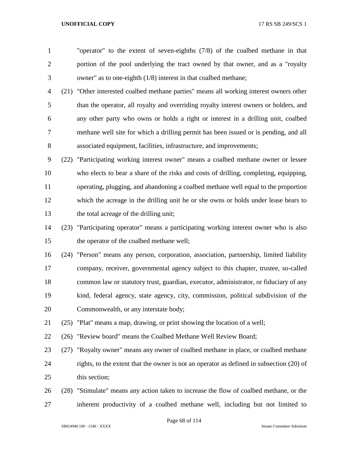"operator" to the extent of seven-eighths (7/8) of the coalbed methane in that portion of the pool underlying the tract owned by that owner, and as a "royalty owner" as to one-eighth (1/8) interest in that coalbed methane;

 (21) "Other interested coalbed methane parties" means all working interest owners other than the operator, all royalty and overriding royalty interest owners or holders, and any other party who owns or holds a right or interest in a drilling unit, coalbed methane well site for which a drilling permit has been issued or is pending, and all associated equipment, facilities, infrastructure, and improvements;

 (22) "Participating working interest owner" means a coalbed methane owner or lessee who elects to bear a share of the risks and costs of drilling, completing, equipping, operating, plugging, and abandoning a coalbed methane well equal to the proportion which the acreage in the drilling unit he or she owns or holds under lease bears to the total acreage of the drilling unit;

 (23) "Participating operator" means a participating working interest owner who is also the operator of the coalbed methane well;

 (24) "Person" means any person, corporation, association, partnership, limited liability company, receiver, governmental agency subject to this chapter, trustee, so-called common law or statutory trust, guardian, executor, administrator, or fiduciary of any kind, federal agency, state agency, city, commission, political subdivision of the Commonwealth, or any interstate body;

(25) "Plat" means a map, drawing, or print showing the location of a well;

(26) "Review board" means the Coalbed Methane Well Review Board;

 (27) "Royalty owner" means any owner of coalbed methane in place, or coalbed methane rights, to the extent that the owner is not an operator as defined in subsection (20) of this section;

 (28) "Stimulate" means any action taken to increase the flow of coalbed methane, or the inherent productivity of a coalbed methane well, including but not limited to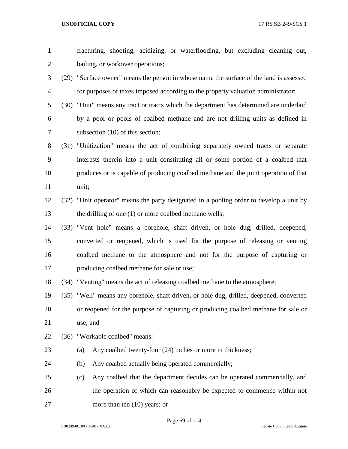| $\mathbf{1}$   |      | fracturing, shooting, acidizing, or waterflooding, but excluding cleaning out,          |
|----------------|------|-----------------------------------------------------------------------------------------|
| $\overline{2}$ |      | bailing, or workover operations;                                                        |
| 3              |      | (29) "Surface owner" means the person in whose name the surface of the land is assessed |
| $\overline{4}$ |      | for purposes of taxes imposed according to the property valuation administrator;        |
| 5              |      | (30) "Unit" means any tract or tracts which the department has determined are underlaid |
| 6              |      | by a pool or pools of coalbed methane and are not drilling units as defined in          |
| 7              |      | subsection $(10)$ of this section;                                                      |
| 8              |      | (31) "Unitization" means the act of combining separately owned tracts or separate       |
| 9              |      | interests therein into a unit constituting all or some portion of a coalbed that        |
| 10             |      | produces or is capable of producing coalbed methane and the joint operation of that     |
| 11             |      | unit;                                                                                   |
| 12             |      | (32) "Unit operator" means the party designated in a pooling order to develop a unit by |
| 13             |      | the drilling of one (1) or more coalbed methane wells;                                  |
| 14             |      | (33) "Vent hole" means a borehole, shaft driven, or hole dug, drilled, deepened,        |
| 15             |      | converted or reopened, which is used for the purpose of releasing or venting            |
| 16             |      | coalbed methane to the atmosphere and not for the purpose of capturing or               |
| 17             |      | producing coalbed methane for sale or use;                                              |
| 18             |      | (34) "Venting" means the act of releasing coalbed methane to the atmosphere;            |
| 19             |      | (35) "Well" means any borehole, shaft driven, or hole dug, drilled, deepened, converted |
| 20             |      | or reopened for the purpose of capturing or producing coalbed methane for sale or       |
| 21             |      | use; and                                                                                |
| 22             | (36) | "Workable coalbed" means:                                                               |
| 23             |      | Any coalbed twenty-four (24) inches or more in thickness;<br>(a)                        |
| 24             |      | Any coalbed actually being operated commercially;<br>(b)                                |
| 25             |      | Any coalbed that the department decides can be operated commercially, and<br>(c)        |
| 26             |      | the operation of which can reasonably be expected to commence within not                |
| 27             |      | more than ten $(10)$ years; or                                                          |

Page 69 of 114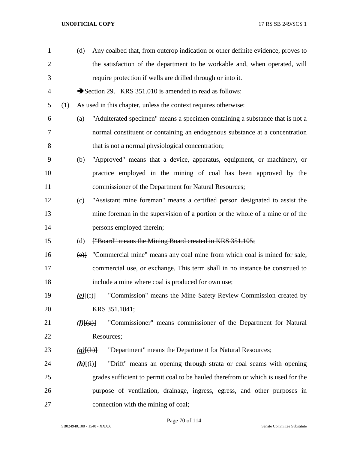| $\mathbf{1}$   |     | (d)                    | Any coalbed that, from outcrop indication or other definite evidence, proves to           |
|----------------|-----|------------------------|-------------------------------------------------------------------------------------------|
| $\overline{2}$ |     |                        | the satisfaction of the department to be workable and, when operated, will                |
| 3              |     |                        | require protection if wells are drilled through or into it.                               |
| $\overline{4}$ |     |                        | Section 29. KRS 351.010 is amended to read as follows:                                    |
| 5              | (1) |                        | As used in this chapter, unless the context requires otherwise:                           |
| 6              |     | (a)                    | "Adulterated specimen" means a specimen containing a substance that is not a              |
| 7              |     |                        | normal constituent or containing an endogenous substance at a concentration               |
| $8\,$          |     |                        | that is not a normal physiological concentration;                                         |
| 9              |     | (b)                    | "Approved" means that a device, apparatus, equipment, or machinery, or                    |
| 10             |     |                        | practice employed in the mining of coal has been approved by the                          |
| 11             |     |                        | commissioner of the Department for Natural Resources;                                     |
| 12             |     | (c)                    | "Assistant mine foreman" means a certified person designated to assist the                |
| 13             |     |                        | mine foreman in the supervision of a portion or the whole of a mine or of the             |
| 14             |     |                        | persons employed therein;                                                                 |
| 15             |     | (d)                    | ["Board" means the Mining Board created in KRS 351.105;                                   |
| 16             |     |                        | $\overline{(e)}$ "Commercial mine" means any coal mine from which coal is mined for sale, |
| 17             |     |                        | commercial use, or exchange. This term shall in no instance be construed to               |
| 18             |     |                        | include a mine where coal is produced for own use;                                        |
| 19             |     | $(e)$ [(f)]            | "Commission" means the Mine Safety Review Commission created by                           |
| 20             |     |                        | KRS 351.1041;                                                                             |
| 21             |     | f(f)(g)                | "Commissioner" means commissioner of the Department for Natural                           |
| 22             |     |                        | Resources;                                                                                |
| 23             |     | $(g)$ $(h)$            | "Department" means the Department for Natural Resources;                                  |
| 24             |     | $(h)$ $\{(\dagger)\}\$ | "Drift" means an opening through strata or coal seams with opening                        |
| 25             |     |                        | grades sufficient to permit coal to be hauled therefrom or which is used for the          |
| 26             |     |                        | purpose of ventilation, drainage, ingress, egress, and other purposes in                  |
| 27             |     |                        | connection with the mining of coal;                                                       |

Page 70 of 114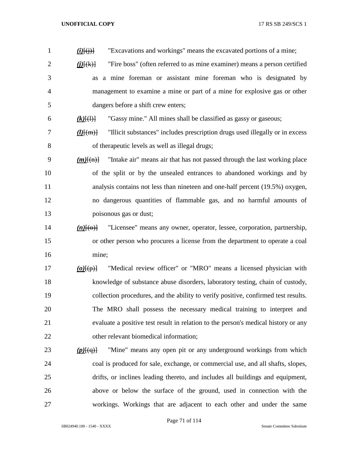| "Excavations and workings" means the excavated portions of a mine;<br>$(i)$ $(i)$ $(i)$ $(i)$                   |
|-----------------------------------------------------------------------------------------------------------------|
| "Fire boss" (often referred to as mine examiner) means a person certified<br>$\underline{(i)}[\overline{(k)}]$  |
| a mine foreman or assistant mine foreman who is designated by<br>as                                             |
| management to examine a mine or part of a mine for explosive gas or other                                       |
| dangers before a shift crew enters;                                                                             |
| "Gassy mine." All mines shall be classified as gassy or gaseous;<br>$(k)$ $(\theta)$                            |
| "Illicit substances" includes prescription drugs used illegally or in excess<br>$\underline{(l)}\overline{[m]}$ |
| of therapeutic levels as well as illegal drugs;                                                                 |
| "Intake air" means air that has not passed through the last working place<br>$(m)$ [(n)]                        |
| of the split or by the unsealed entrances to abandoned workings and by                                          |
| analysis contains not less than nineteen and one-half percent (19.5%) oxygen,                                   |
| no dangerous quantities of flammable gas, and no harmful amounts of                                             |
| poisonous gas or dust;                                                                                          |
| "Licensee" means any owner, operator, lessee, corporation, partnership,<br>$(n)$ [ $\Theta$ }]                  |
| or other person who procures a license from the department to operate a coal                                    |
| mine;                                                                                                           |
| "Medical review officer" or "MRO" means a licensed physician with<br>$(o)$ [ $(p)$ ]                            |
| knowledge of substance abuse disorders, laboratory testing, chain of custody,                                   |
| collection procedures, and the ability to verify positive, confirmed test results.                              |
| The MRO shall possess the necessary medical training to interpret and                                           |
| evaluate a positive test result in relation to the person's medical history or any                              |
| other relevant biomedical information;                                                                          |
| "Mine" means any open pit or any underground workings from which<br>$(p)$ $\{(q)\}$                             |
| coal is produced for sale, exchange, or commercial use, and all shafts, slopes,                                 |
| drifts, or inclines leading thereto, and includes all buildings and equipment,                                  |
| above or below the surface of the ground, used in connection with the                                           |
| workings. Workings that are adjacent to each other and under the same                                           |
|                                                                                                                 |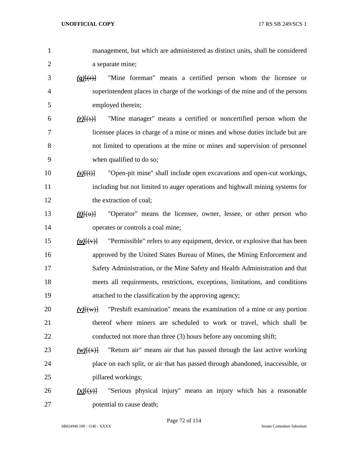| 1              | management, but which are administered as distinct units, shall be considered             |
|----------------|-------------------------------------------------------------------------------------------|
| $\overline{2}$ | a separate mine;                                                                          |
| 3              | "Mine foreman" means a certified person whom the licensee or<br>$(q)$ $(r)$ $\frac{1}{r}$ |
| $\overline{4}$ | superintendent places in charge of the workings of the mine and of the persons            |
| 5              | employed therein;                                                                         |
| 6              | "Mine manager" means a certified or noncertified person whom the<br>$(r)$ $(s)$           |
| $\tau$         | licensee places in charge of a mine or mines and whose duties include but are             |
| 8              | not limited to operations at the mine or mines and supervision of personnel               |
| 9              | when qualified to do so;                                                                  |
| 10             | "Open-pit mine" shall include open excavations and open-cut workings,<br>$(s)$ [(t)]      |
| 11             | including but not limited to auger operations and highwall mining systems for             |
| 12             | the extraction of coal;                                                                   |
| 13             | "Operator" means the licensee, owner, lessee, or other person who<br>$(t)$ [ $(u)$ ]      |
| 14             | operates or controls a coal mine;                                                         |
| 15             | "Permissible" refers to any equipment, device, or explosive that has been<br>$(u)$ $(v)$  |
| 16             | approved by the United States Bureau of Mines, the Mining Enforcement and                 |
| 17             | Safety Administration, or the Mine Safety and Health Administration and that              |
| 18             | meets all requirements, restrictions, exceptions, limitations, and conditions             |
| 19             | attached to the classification by the approving agency;                                   |
| 20             | "Preshift examination" means the examination of a mine or any portion<br>$(v)$ $\{w\}$    |
| 21             | thereof where miners are scheduled to work or travel, which shall be                      |
| 22             | conducted not more than three (3) hours before any oncoming shift;                        |
| 23             | "Return air" means air that has passed through the last active working<br>$(w)$ $(x)$     |
| 24             | place on each split, or air that has passed through abandoned, inaccessible, or           |
| 25             | pillared workings;                                                                        |
| 26             | "Serious physical injury" means an injury which has a reasonable<br>$(x)$ [(y)]           |
| 27             | potential to cause death;                                                                 |

Page 72 of 114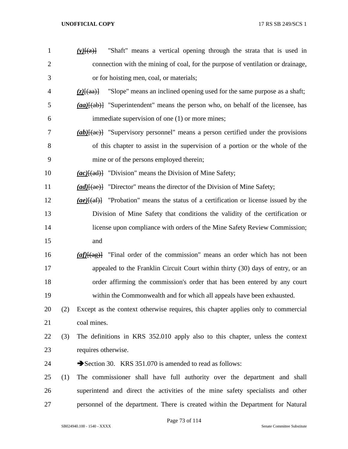| $\mathbf{1}$   |     | "Shaft" means a vertical opening through the strata that is used in<br>$(y)$ $(x)$ $(x)$                           |
|----------------|-----|--------------------------------------------------------------------------------------------------------------------|
| $\mathbf{2}$   |     | connection with the mining of coal, for the purpose of ventilation or drainage,                                    |
| 3              |     | or for hoisting men, coal, or materials;                                                                           |
| $\overline{4}$ |     | "Slope" means an inclined opening used for the same purpose as a shaft;<br>$(z)$ $\{aa\}$                          |
| 5              |     | $(a\alpha)$ { $(a\alpha)$ } "Superintendent" means the person who, on behalf of the licensee, has                  |
| 6              |     | immediate supervision of one (1) or more mines;                                                                    |
| 7              |     | $(ab)$ [(ae)] "Supervisory personnel" means a person certified under the provisions                                |
| 8              |     | of this chapter to assist in the supervision of a portion or the whole of the                                      |
| 9              |     | mine or of the persons employed therein;                                                                           |
| 10             |     | $(ac)$ {(ad)} "Division" means the Division of Mine Safety;                                                        |
| 11             |     | $(ad)$ [(ae)] "Director" means the director of the Division of Mine Safety;                                        |
| 12             |     | "Probation" means the status of a certification or license issued by the<br>$(ae)$ $\overline{+a}$ $\overline{+a}$ |
| 13             |     | Division of Mine Safety that conditions the validity of the certification or                                       |
| 14             |     | license upon compliance with orders of the Mine Safety Review Commission;                                          |
| 15             |     | and                                                                                                                |
| 16             |     | $\frac{af}{f(ag)}$ "Final order of the commission" means an order which has not been                               |
| 17             |     | appealed to the Franklin Circuit Court within thirty (30) days of entry, or an                                     |
| 18             |     | order affirming the commission's order that has been entered by any court                                          |
| 19             |     | within the Commonwealth and for which all appeals have been exhausted.                                             |
| 20             | (2) | Except as the context otherwise requires, this chapter applies only to commercial                                  |
| 21             |     | coal mines.                                                                                                        |
| 22             | (3) | The definitions in KRS 352.010 apply also to this chapter, unless the context                                      |
| 23             |     | requires otherwise.                                                                                                |
| 24             |     | Section 30. KRS 351.070 is amended to read as follows:                                                             |
| 25             | (1) | The commissioner shall have full authority over the department and shall                                           |
| 26             |     | superintend and direct the activities of the mine safety specialists and other                                     |
| 27             |     | personnel of the department. There is created within the Department for Natural                                    |
|                |     |                                                                                                                    |

Page 73 of 114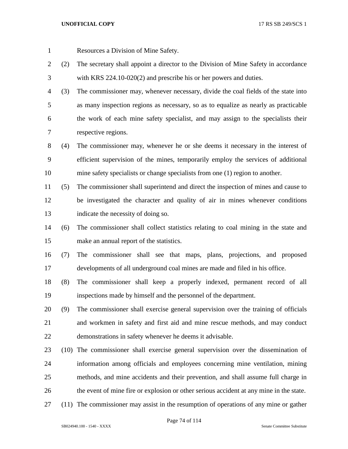Resources a Division of Mine Safety.

- (2) The secretary shall appoint a director to the Division of Mine Safety in accordance with KRS 224.10-020(2) and prescribe his or her powers and duties.
- (3) The commissioner may, whenever necessary, divide the coal fields of the state into as many inspection regions as necessary, so as to equalize as nearly as practicable the work of each mine safety specialist, and may assign to the specialists their respective regions.
- (4) The commissioner may, whenever he or she deems it necessary in the interest of efficient supervision of the mines, temporarily employ the services of additional mine safety specialists or change specialists from one (1) region to another.
- (5) The commissioner shall superintend and direct the inspection of mines and cause to be investigated the character and quality of air in mines whenever conditions indicate the necessity of doing so.
- (6) The commissioner shall collect statistics relating to coal mining in the state and make an annual report of the statistics.
- (7) The commissioner shall see that maps, plans, projections, and proposed developments of all underground coal mines are made and filed in his office.
- (8) The commissioner shall keep a properly indexed, permanent record of all inspections made by himself and the personnel of the department.
- (9) The commissioner shall exercise general supervision over the training of officials and workmen in safety and first aid and mine rescue methods, and may conduct demonstrations in safety whenever he deems it advisable.
- (10) The commissioner shall exercise general supervision over the dissemination of information among officials and employees concerning mine ventilation, mining methods, and mine accidents and their prevention, and shall assume full charge in the event of mine fire or explosion or other serious accident at any mine in the state.
- (11) The commissioner may assist in the resumption of operations of any mine or gather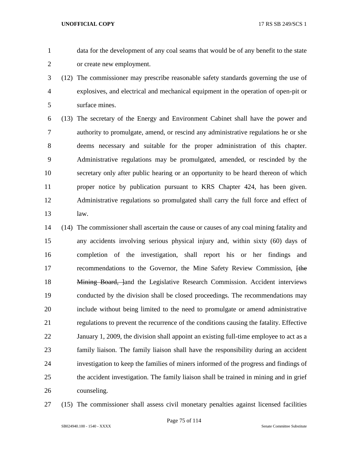data for the development of any coal seams that would be of any benefit to the state or create new employment.

 (12) The commissioner may prescribe reasonable safety standards governing the use of explosives, and electrical and mechanical equipment in the operation of open-pit or surface mines.

 (13) The secretary of the Energy and Environment Cabinet shall have the power and authority to promulgate, amend, or rescind any administrative regulations he or she deems necessary and suitable for the proper administration of this chapter. Administrative regulations may be promulgated, amended, or rescinded by the secretary only after public hearing or an opportunity to be heard thereon of which proper notice by publication pursuant to KRS Chapter 424, has been given. Administrative regulations so promulgated shall carry the full force and effect of law.

- (14) The commissioner shall ascertain the cause or causes of any coal mining fatality and any accidents involving serious physical injury and, within sixty (60) days of completion of the investigation, shall report his or her findings and 17 recommendations to the Governor, the Mine Safety Review Commission, the 18 Mining Board, land the Legislative Research Commission. Accident interviews conducted by the division shall be closed proceedings. The recommendations may include without being limited to the need to promulgate or amend administrative regulations to prevent the recurrence of the conditions causing the fatality. Effective January 1, 2009, the division shall appoint an existing full-time employee to act as a family liaison. The family liaison shall have the responsibility during an accident investigation to keep the families of miners informed of the progress and findings of the accident investigation. The family liaison shall be trained in mining and in grief counseling.
- 

(15) The commissioner shall assess civil monetary penalties against licensed facilities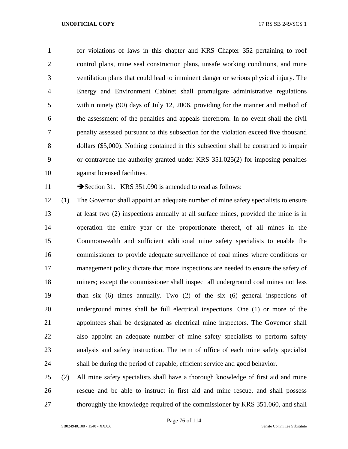for violations of laws in this chapter and KRS Chapter 352 pertaining to roof control plans, mine seal construction plans, unsafe working conditions, and mine ventilation plans that could lead to imminent danger or serious physical injury. The Energy and Environment Cabinet shall promulgate administrative regulations within ninety (90) days of July 12, 2006, providing for the manner and method of the assessment of the penalties and appeals therefrom. In no event shall the civil penalty assessed pursuant to this subsection for the violation exceed five thousand dollars (\$5,000). Nothing contained in this subsection shall be construed to impair or contravene the authority granted under KRS 351.025(2) for imposing penalties against licensed facilities.

11 Section 31. KRS 351.090 is amended to read as follows:

 (1) The Governor shall appoint an adequate number of mine safety specialists to ensure at least two (2) inspections annually at all surface mines, provided the mine is in operation the entire year or the proportionate thereof, of all mines in the Commonwealth and sufficient additional mine safety specialists to enable the commissioner to provide adequate surveillance of coal mines where conditions or management policy dictate that more inspections are needed to ensure the safety of miners; except the commissioner shall inspect all underground coal mines not less than six (6) times annually. Two (2) of the six (6) general inspections of underground mines shall be full electrical inspections. One (1) or more of the appointees shall be designated as electrical mine inspectors. The Governor shall also appoint an adequate number of mine safety specialists to perform safety analysis and safety instruction. The term of office of each mine safety specialist shall be during the period of capable, efficient service and good behavior.

 (2) All mine safety specialists shall have a thorough knowledge of first aid and mine rescue and be able to instruct in first aid and mine rescue, and shall possess 27 thoroughly the knowledge required of the commissioner by KRS 351.060, and shall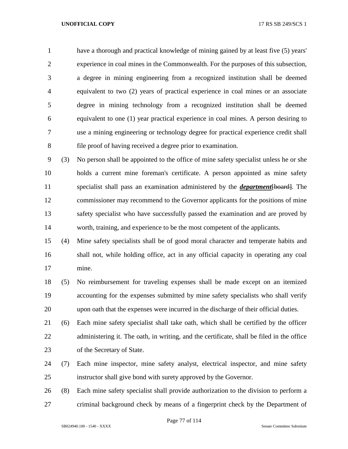have a thorough and practical knowledge of mining gained by at least five (5) years' experience in coal mines in the Commonwealth. For the purposes of this subsection, a degree in mining engineering from a recognized institution shall be deemed equivalent to two (2) years of practical experience in coal mines or an associate degree in mining technology from a recognized institution shall be deemed equivalent to one (1) year practical experience in coal mines. A person desiring to use a mining engineering or technology degree for practical experience credit shall file proof of having received a degree prior to examination.

 (3) No person shall be appointed to the office of mine safety specialist unless he or she holds a current mine foreman's certificate. A person appointed as mine safety specialist shall pass an examination administered by the *department*[board]. The commissioner may recommend to the Governor applicants for the positions of mine safety specialist who have successfully passed the examination and are proved by worth, training, and experience to be the most competent of the applicants.

 (4) Mine safety specialists shall be of good moral character and temperate habits and shall not, while holding office, act in any official capacity in operating any coal mine.

 (5) No reimbursement for traveling expenses shall be made except on an itemized accounting for the expenses submitted by mine safety specialists who shall verify upon oath that the expenses were incurred in the discharge of their official duties.

 (6) Each mine safety specialist shall take oath, which shall be certified by the officer 22 administering it. The oath, in writing, and the certificate, shall be filed in the office of the Secretary of State.

 (7) Each mine inspector, mine safety analyst, electrical inspector, and mine safety instructor shall give bond with surety approved by the Governor.

 (8) Each mine safety specialist shall provide authorization to the division to perform a criminal background check by means of a fingerprint check by the Department of

Page 77 of 114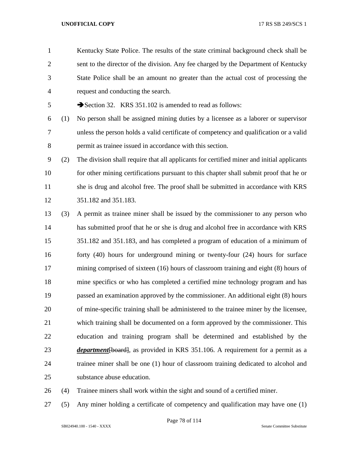Kentucky State Police. The results of the state criminal background check shall be sent to the director of the division. Any fee charged by the Department of Kentucky State Police shall be an amount no greater than the actual cost of processing the request and conducting the search.

5 Section 32. KRS 351.102 is amended to read as follows:

- (1) No person shall be assigned mining duties by a licensee as a laborer or supervisor unless the person holds a valid certificate of competency and qualification or a valid permit as trainee issued in accordance with this section.
- (2) The division shall require that all applicants for certified miner and initial applicants 10 for other mining certifications pursuant to this chapter shall submit proof that he or she is drug and alcohol free. The proof shall be submitted in accordance with KRS 351.182 and 351.183.
- (3) A permit as trainee miner shall be issued by the commissioner to any person who has submitted proof that he or she is drug and alcohol free in accordance with KRS 351.182 and 351.183, and has completed a program of education of a minimum of forty (40) hours for underground mining or twenty-four (24) hours for surface mining comprised of sixteen (16) hours of classroom training and eight (8) hours of mine specifics or who has completed a certified mine technology program and has passed an examination approved by the commissioner. An additional eight (8) hours of mine-specific training shall be administered to the trainee miner by the licensee, which training shall be documented on a form approved by the commissioner. This education and training program shall be determined and established by the *department* [board], as provided in KRS 351.106. A requirement for a permit as a trainee miner shall be one (1) hour of classroom training dedicated to alcohol and substance abuse education.
- (4) Trainee miners shall work within the sight and sound of a certified miner.
- (5) Any miner holding a certificate of competency and qualification may have one (1)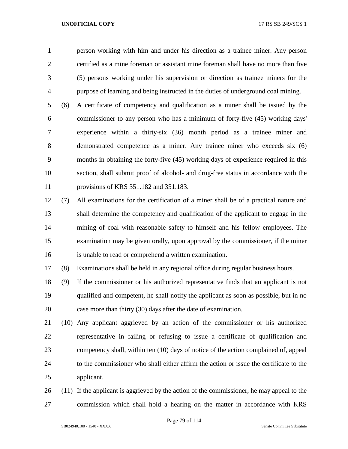person working with him and under his direction as a trainee miner. Any person certified as a mine foreman or assistant mine foreman shall have no more than five (5) persons working under his supervision or direction as trainee miners for the purpose of learning and being instructed in the duties of underground coal mining.

 (6) A certificate of competency and qualification as a miner shall be issued by the commissioner to any person who has a minimum of forty-five (45) working days' experience within a thirty-six (36) month period as a trainee miner and demonstrated competence as a miner. Any trainee miner who exceeds six (6) months in obtaining the forty-five (45) working days of experience required in this section, shall submit proof of alcohol- and drug-free status in accordance with the provisions of KRS 351.182 and 351.183.

 (7) All examinations for the certification of a miner shall be of a practical nature and shall determine the competency and qualification of the applicant to engage in the mining of coal with reasonable safety to himself and his fellow employees. The examination may be given orally, upon approval by the commissioner, if the miner is unable to read or comprehend a written examination.

(8) Examinations shall be held in any regional office during regular business hours.

 (9) If the commissioner or his authorized representative finds that an applicant is not qualified and competent, he shall notify the applicant as soon as possible, but in no case more than thirty (30) days after the date of examination.

 (10) Any applicant aggrieved by an action of the commissioner or his authorized representative in failing or refusing to issue a certificate of qualification and competency shall, within ten (10) days of notice of the action complained of, appeal to the commissioner who shall either affirm the action or issue the certificate to the applicant.

 (11) If the applicant is aggrieved by the action of the commissioner, he may appeal to the commission which shall hold a hearing on the matter in accordance with KRS

Page 79 of 114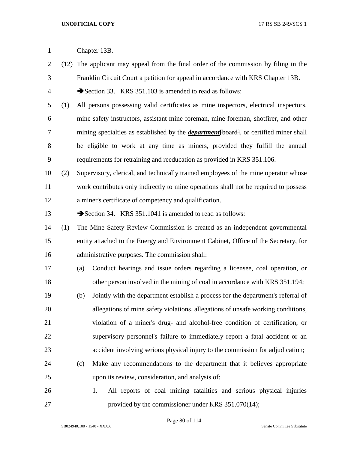- (12) The applicant may appeal from the final order of the commission by filing in the Franklin Circuit Court a petition for appeal in accordance with KRS Chapter 13B.
- 4 Section 33. KRS 351.103 is amended to read as follows:
- (1) All persons possessing valid certificates as mine inspectors, electrical inspectors, mine safety instructors, assistant mine foreman, mine foreman, shotfirer, and other 7 mining specialties as established by the *department* [board], or certified miner shall be eligible to work at any time as miners, provided they fulfill the annual requirements for retraining and reeducation as provided in KRS 351.106.
- (2) Supervisory, clerical, and technically trained employees of the mine operator whose work contributes only indirectly to mine operations shall not be required to possess a miner's certificate of competency and qualification.

13 Section 34. KRS 351.1041 is amended to read as follows:

- (1) The Mine Safety Review Commission is created as an independent governmental entity attached to the Energy and Environment Cabinet, Office of the Secretary, for administrative purposes. The commission shall:
- (a) Conduct hearings and issue orders regarding a licensee, coal operation, or other person involved in the mining of coal in accordance with KRS 351.194;
- (b) Jointly with the department establish a process for the department's referral of allegations of mine safety violations, allegations of unsafe working conditions, violation of a miner's drug- and alcohol-free condition of certification, or supervisory personnel's failure to immediately report a fatal accident or an accident involving serious physical injury to the commission for adjudication;
- (c) Make any recommendations to the department that it believes appropriate upon its review, consideration, and analysis of:
- 1. All reports of coal mining fatalities and serious physical injuries provided by the commissioner under KRS 351.070(14);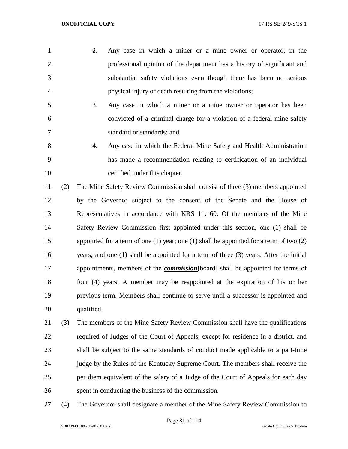- 2. Any case in which a miner or a mine owner or operator, in the professional opinion of the department has a history of significant and substantial safety violations even though there has been no serious physical injury or death resulting from the violations;
- 3. Any case in which a miner or a mine owner or operator has been convicted of a criminal charge for a violation of a federal mine safety standard or standards; and
- 4. Any case in which the Federal Mine Safety and Health Administration has made a recommendation relating to certification of an individual certified under this chapter.

 (2) The Mine Safety Review Commission shall consist of three (3) members appointed by the Governor subject to the consent of the Senate and the House of Representatives in accordance with KRS 11.160. Of the members of the Mine Safety Review Commission first appointed under this section, one (1) shall be appointed for a term of one (1) year; one (1) shall be appointed for a term of two (2) years; and one (1) shall be appointed for a term of three (3) years. After the initial 17 appointments, members of the *commission*[board] shall be appointed for terms of four (4) years. A member may be reappointed at the expiration of his or her previous term. Members shall continue to serve until a successor is appointed and qualified.

- (3) The members of the Mine Safety Review Commission shall have the qualifications required of Judges of the Court of Appeals, except for residence in a district, and shall be subject to the same standards of conduct made applicable to a part-time judge by the Rules of the Kentucky Supreme Court. The members shall receive the per diem equivalent of the salary of a Judge of the Court of Appeals for each day spent in conducting the business of the commission.
- (4) The Governor shall designate a member of the Mine Safety Review Commission to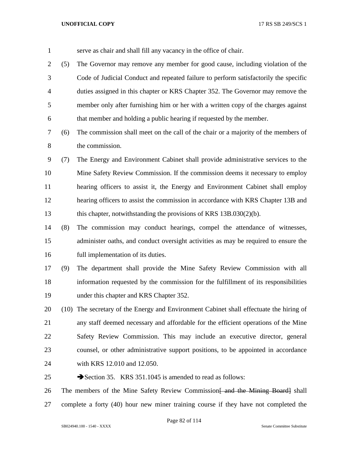| $\mathbf{1}$   |     | serve as chair and shall fill any vacancy in the office of chair.                       |
|----------------|-----|-----------------------------------------------------------------------------------------|
| $\overline{2}$ | (5) | The Governor may remove any member for good cause, including violation of the           |
| 3              |     | Code of Judicial Conduct and repeated failure to perform satisfactorily the specific    |
| $\overline{4}$ |     | duties assigned in this chapter or KRS Chapter 352. The Governor may remove the         |
| 5              |     | member only after furnishing him or her with a written copy of the charges against      |
| 6              |     | that member and holding a public hearing if requested by the member.                    |
| 7              | (6) | The commission shall meet on the call of the chair or a majority of the members of      |
| 8              |     | the commission.                                                                         |
| 9              | (7) | The Energy and Environment Cabinet shall provide administrative services to the         |
| 10             |     | Mine Safety Review Commission. If the commission deems it necessary to employ           |
| 11             |     | hearing officers to assist it, the Energy and Environment Cabinet shall employ          |
| 12             |     | hearing officers to assist the commission in accordance with KRS Chapter 13B and        |
| 13             |     | this chapter, notwithstanding the provisions of KRS $13B.030(2)(b)$ .                   |
| 14             | (8) | The commission may conduct hearings, compel the attendance of witnesses,                |
| 15             |     | administer oaths, and conduct oversight activities as may be required to ensure the     |
| 16             |     | full implementation of its duties.                                                      |
| 17             | (9) | The department shall provide the Mine Safety Review Commission with all                 |
| 18             |     | information requested by the commission for the fulfillment of its responsibilities     |
| 19             |     | under this chapter and KRS Chapter 352.                                                 |
| 20             |     | (10) The secretary of the Energy and Environment Cabinet shall effectuate the hiring of |
| 21             |     | any staff deemed necessary and affordable for the efficient operations of the Mine      |
| 22             |     | Safety Review Commission. This may include an executive director, general               |
| 23             |     | counsel, or other administrative support positions, to be appointed in accordance       |
| 24             |     | with KRS 12.010 and 12.050.                                                             |
| 25             |     | Section 35. KRS 351.1045 is amended to read as follows:                                 |
| 26             |     | The members of the Mine Safety Review Commission and the Mining Board shall             |
| 27             |     | complete a forty (40) hour new miner training course if they have not completed the     |

Page 82 of 114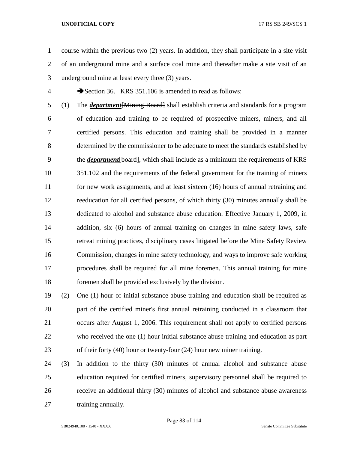course within the previous two (2) years. In addition, they shall participate in a site visit of an underground mine and a surface coal mine and thereafter make a site visit of an underground mine at least every three (3) years.

4 Section 36. KRS 351.106 is amended to read as follows:

 (1) The *department*[Mining Board] shall establish criteria and standards for a program of education and training to be required of prospective miners, miners, and all certified persons. This education and training shall be provided in a manner determined by the commissioner to be adequate to meet the standards established by the *department*[board], which shall include as a minimum the requirements of KRS 351.102 and the requirements of the federal government for the training of miners for new work assignments, and at least sixteen (16) hours of annual retraining and reeducation for all certified persons, of which thirty (30) minutes annually shall be dedicated to alcohol and substance abuse education. Effective January 1, 2009, in addition, six (6) hours of annual training on changes in mine safety laws, safe retreat mining practices, disciplinary cases litigated before the Mine Safety Review Commission, changes in mine safety technology, and ways to improve safe working procedures shall be required for all mine foremen. This annual training for mine foremen shall be provided exclusively by the division.

 (2) One (1) hour of initial substance abuse training and education shall be required as part of the certified miner's first annual retraining conducted in a classroom that occurs after August 1, 2006. This requirement shall not apply to certified persons who received the one (1) hour initial substance abuse training and education as part of their forty (40) hour or twenty-four (24) hour new miner training.

 (3) In addition to the thirty (30) minutes of annual alcohol and substance abuse education required for certified miners, supervisory personnel shall be required to receive an additional thirty (30) minutes of alcohol and substance abuse awareness 27 training annually.

Page 83 of 114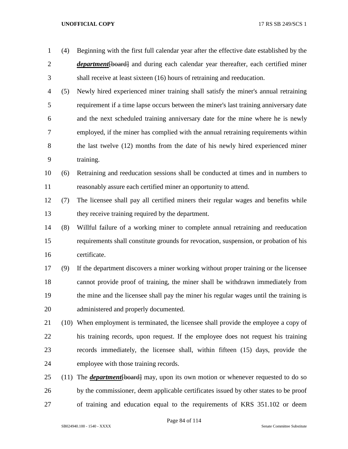| $\mathbf{1}$   | (4)  | Beginning with the first full calendar year after the effective date established by the      |
|----------------|------|----------------------------------------------------------------------------------------------|
| $\overline{2}$ |      | <i>department</i> [board] and during each calendar year thereafter, each certified miner     |
| 3              |      | shall receive at least sixteen (16) hours of retraining and reeducation.                     |
| 4              | (5)  | Newly hired experienced miner training shall satisfy the miner's annual retraining           |
| 5              |      | requirement if a time lapse occurs between the miner's last training anniversary date        |
| 6              |      | and the next scheduled training anniversary date for the mine where he is newly              |
| 7              |      | employed, if the miner has complied with the annual retraining requirements within           |
| 8              |      | the last twelve (12) months from the date of his newly hired experienced miner               |
| 9              |      | training.                                                                                    |
| 10             | (6)  | Retraining and reeducation sessions shall be conducted at times and in numbers to            |
| 11             |      | reasonably assure each certified miner an opportunity to attend.                             |
| 12             | (7)  | The licensee shall pay all certified miners their regular wages and benefits while           |
| 13             |      | they receive training required by the department.                                            |
| 14             | (8)  | Willful failure of a working miner to complete annual retraining and reeducation             |
| 15             |      | requirements shall constitute grounds for revocation, suspension, or probation of his        |
| 16             |      | certificate.                                                                                 |
| 17             | (9)  | If the department discovers a miner working without proper training or the licensee          |
| 18             |      | cannot provide proof of training, the miner shall be withdrawn immediately from              |
| 19             |      | the mine and the licensee shall pay the miner his regular wages until the training is        |
| 20             |      | administered and properly documented.                                                        |
| 21             |      | (10) When employment is terminated, the licensee shall provide the employee a copy of        |
| 22             |      | his training records, upon request. If the employee does not request his training            |
| 23             |      | records immediately, the licensee shall, within fifteen (15) days, provide the               |
| 24             |      | employee with those training records.                                                        |
| 25             | (11) | The <b><i>department</i></b> [board] may, upon its own motion or whenever requested to do so |
| 26             |      | by the commissioner, deem applicable certificates issued by other states to be proof         |
| 27             |      | of training and education equal to the requirements of KRS 351.102 or deem                   |

Page 84 of 114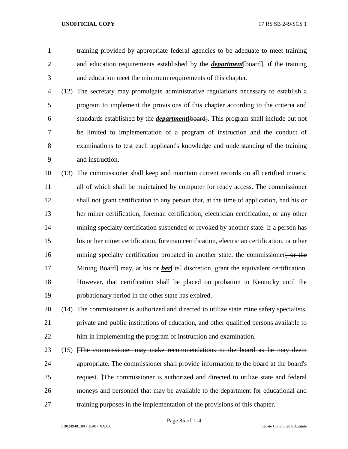training provided by appropriate federal agencies to be adequate to meet training and education requirements established by the *department*[board], if the training and education meet the minimum requirements of this chapter.

 (12) The secretary may promulgate administrative regulations necessary to establish a program to implement the provisions of this chapter according to the criteria and standards established by the *department*[board]. This program shall include but not be limited to implementation of a program of instruction and the conduct of examinations to test each applicant's knowledge and understanding of the training and instruction.

 (13) The commissioner shall keep and maintain current records on all certified miners, all of which shall be maintained by computer for ready access. The commissioner shall not grant certification to any person that, at the time of application, had his or her miner certification, foreman certification, electrician certification, or any other mining specialty certification suspended or revoked by another state. If a person has his or her miner certification, foreman certification, electrician certification, or other 16 mining specialty certification probated in another state, the commissioner or the Mining Board] may, at his or *her*[its] discretion, grant the equivalent certification. However, that certification shall be placed on probation in Kentucky until the probationary period in the other state has expired.

 (14) The commissioner is authorized and directed to utilize state mine safety specialists, private and public institutions of education, and other qualified persons available to him in implementing the program of instruction and examination.

23 (15) *FFR commissioner may make recommendations to the board as he may deem*  appropriate. The commissioner shall provide information to the board at the board's 25 request. The commissioner is authorized and directed to utilize state and federal moneys and personnel that may be available to the department for educational and training purposes in the implementation of the provisions of this chapter.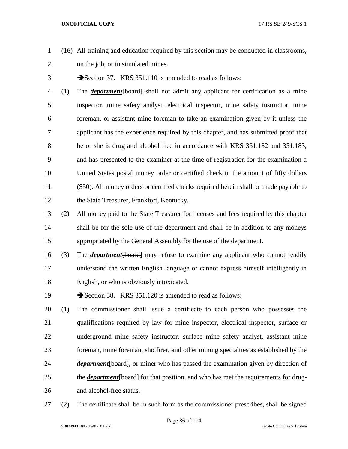- (16) All training and education required by this section may be conducted in classrooms, on the job, or in simulated mines.
- 3 Section 37. KRS 351.110 is amended to read as follows:
- (1) The *department*[board] shall not admit any applicant for certification as a mine inspector, mine safety analyst, electrical inspector, mine safety instructor, mine foreman, or assistant mine foreman to take an examination given by it unless the applicant has the experience required by this chapter, and has submitted proof that he or she is drug and alcohol free in accordance with KRS 351.182 and 351.183, and has presented to the examiner at the time of registration for the examination a United States postal money order or certified check in the amount of fifty dollars (\$50). All money orders or certified checks required herein shall be made payable to the State Treasurer, Frankfort, Kentucky.
- (2) All money paid to the State Treasurer for licenses and fees required by this chapter shall be for the sole use of the department and shall be in addition to any moneys appropriated by the General Assembly for the use of the department.
- (3) The *department*[board] may refuse to examine any applicant who cannot readily understand the written English language or cannot express himself intelligently in English, or who is obviously intoxicated.
- 19 Section 38. KRS 351.120 is amended to read as follows:
- (1) The commissioner shall issue a certificate to each person who possesses the qualifications required by law for mine inspector, electrical inspector, surface or underground mine safety instructor, surface mine safety analyst, assistant mine foreman, mine foreman, shotfirer, and other mining specialties as established by the *department* [board], or miner who has passed the examination given by direction of 25 the *department* [board] for that position, and who has met the requirements for drug-and alcohol-free status.
- (2) The certificate shall be in such form as the commissioner prescribes, shall be signed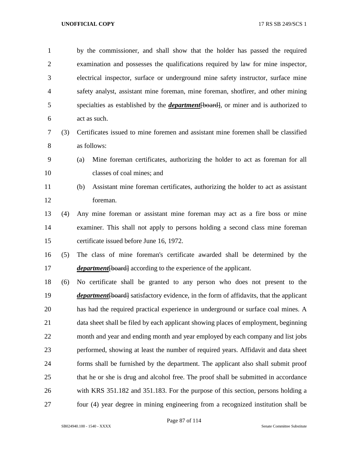by the commissioner, and shall show that the holder has passed the required examination and possesses the qualifications required by law for mine inspector, electrical inspector, surface or underground mine safety instructor, surface mine safety analyst, assistant mine foreman, mine foreman, shotfirer, and other mining specialties as established by the *department*[board], or miner and is authorized to act as such.

- (3) Certificates issued to mine foremen and assistant mine foremen shall be classified as follows:
- (a) Mine foreman certificates, authorizing the holder to act as foreman for all classes of coal mines; and
- 
- (b) Assistant mine foreman certificates, authorizing the holder to act as assistant foreman.
- (4) Any mine foreman or assistant mine foreman may act as a fire boss or mine examiner. This shall not apply to persons holding a second class mine foreman certificate issued before June 16, 1972.
- (5) The class of mine foreman's certificate awarded shall be determined by the *department* [board] according to the experience of the applicant.
- (6) No certificate shall be granted to any person who does not present to the *department* [board] satisfactory evidence, in the form of affidavits, that the applicant has had the required practical experience in underground or surface coal mines. A data sheet shall be filed by each applicant showing places of employment, beginning month and year and ending month and year employed by each company and list jobs performed, showing at least the number of required years. Affidavit and data sheet forms shall be furnished by the department. The applicant also shall submit proof that he or she is drug and alcohol free. The proof shall be submitted in accordance with KRS 351.182 and 351.183. For the purpose of this section, persons holding a four (4) year degree in mining engineering from a recognized institution shall be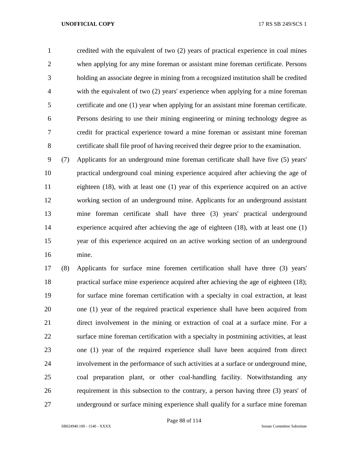credited with the equivalent of two (2) years of practical experience in coal mines when applying for any mine foreman or assistant mine foreman certificate. Persons holding an associate degree in mining from a recognized institution shall be credited with the equivalent of two (2) years' experience when applying for a mine foreman certificate and one (1) year when applying for an assistant mine foreman certificate. Persons desiring to use their mining engineering or mining technology degree as credit for practical experience toward a mine foreman or assistant mine foreman certificate shall file proof of having received their degree prior to the examination.

 (7) Applicants for an underground mine foreman certificate shall have five (5) years' practical underground coal mining experience acquired after achieving the age of eighteen (18), with at least one (1) year of this experience acquired on an active working section of an underground mine. Applicants for an underground assistant mine foreman certificate shall have three (3) years' practical underground experience acquired after achieving the age of eighteen (18), with at least one (1) year of this experience acquired on an active working section of an underground mine.

 (8) Applicants for surface mine foremen certification shall have three (3) years' practical surface mine experience acquired after achieving the age of eighteen (18); for surface mine foreman certification with a specialty in coal extraction, at least one (1) year of the required practical experience shall have been acquired from direct involvement in the mining or extraction of coal at a surface mine. For a surface mine foreman certification with a specialty in postmining activities, at least one (1) year of the required experience shall have been acquired from direct involvement in the performance of such activities at a surface or underground mine, coal preparation plant, or other coal-handling facility. Notwithstanding any requirement in this subsection to the contrary, a person having three (3) years' of underground or surface mining experience shall qualify for a surface mine foreman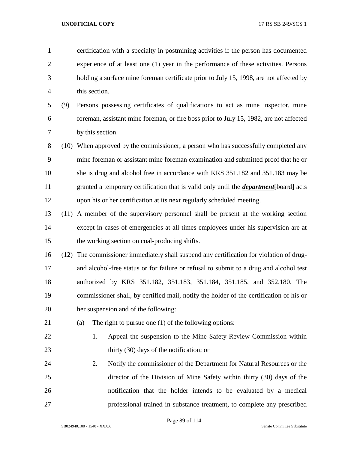| $\mathbf{1}$   |      | certification with a specialty in postmining activities if the person has documented          |
|----------------|------|-----------------------------------------------------------------------------------------------|
| $\overline{2}$ |      | experience of at least one (1) year in the performance of these activities. Persons           |
| 3              |      | holding a surface mine foreman certificate prior to July 15, 1998, are not affected by        |
| 4              |      | this section.                                                                                 |
| 5              | (9)  | Persons possessing certificates of qualifications to act as mine inspector, mine              |
| 6              |      | foreman, assistant mine foreman, or fire boss prior to July 15, 1982, are not affected        |
| 7              |      | by this section.                                                                              |
| 8              |      | (10) When approved by the commissioner, a person who has successfully completed any           |
| 9              |      | mine foreman or assistant mine foreman examination and submitted proof that he or             |
| 10             |      | she is drug and alcohol free in accordance with KRS 351.182 and 351.183 may be                |
| 11             |      | granted a temporary certification that is valid only until the <i>department</i> [board] acts |
| 12             |      | upon his or her certification at its next regularly scheduled meeting.                        |
| 13             | (11) | A member of the supervisory personnel shall be present at the working section                 |
| 14             |      | except in cases of emergencies at all times employees under his supervision are at            |
| 15             |      | the working section on coal-producing shifts.                                                 |
| 16             | (12) | The commissioner immediately shall suspend any certification for violation of drug-           |
| 17             |      | and alcohol-free status or for failure or refusal to submit to a drug and alcohol test        |
| 18             |      | authorized by KRS 351.182, 351.183, 351.184, 351.185, and 352.180. The                        |
| 19             |      | commissioner shall, by certified mail, notify the holder of the certification of his or       |
| 20             |      | her suspension and of the following:                                                          |
| 21             |      | The right to pursue one $(1)$ of the following options:<br>(a)                                |
| 22             |      | Appeal the suspension to the Mine Safety Review Commission within<br>1.                       |
| 23             |      | thirty $(30)$ days of the notification; or                                                    |
| 24             |      | Notify the commissioner of the Department for Natural Resources or the<br>2.                  |
| 25             |      | director of the Division of Mine Safety within thirty (30) days of the                        |
| 26             |      | notification that the holder intends to be evaluated by a medical                             |
| 27             |      | professional trained in substance treatment, to complete any prescribed                       |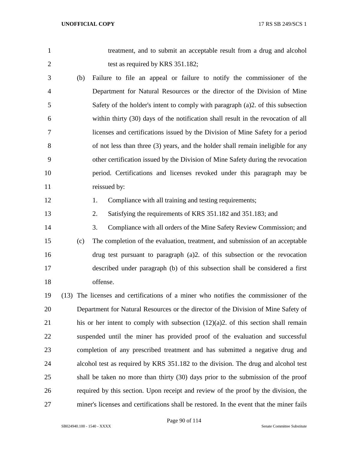treatment, and to submit an acceptable result from a drug and alcohol 2 test as required by KRS 351.182;

- (b) Failure to file an appeal or failure to notify the commissioner of the Department for Natural Resources or the director of the Division of Mine Safety of the holder's intent to comply with paragraph (a)2. of this subsection within thirty (30) days of the notification shall result in the revocation of all licenses and certifications issued by the Division of Mine Safety for a period of not less than three (3) years, and the holder shall remain ineligible for any other certification issued by the Division of Mine Safety during the revocation period. Certifications and licenses revoked under this paragraph may be 11 reissued by:
- 

12 1. Compliance with all training and testing requirements;

- 2. Satisfying the requirements of KRS 351.182 and 351.183; and
- 3. Compliance with all orders of the Mine Safety Review Commission; and (c) The completion of the evaluation, treatment, and submission of an acceptable drug test pursuant to paragraph (a)2. of this subsection or the revocation described under paragraph (b) of this subsection shall be considered a first offense.
- (13) The licenses and certifications of a miner who notifies the commissioner of the Department for Natural Resources or the director of the Division of Mine Safety of his or her intent to comply with subsection (12)(a)2. of this section shall remain suspended until the miner has provided proof of the evaluation and successful completion of any prescribed treatment and has submitted a negative drug and alcohol test as required by KRS 351.182 to the division. The drug and alcohol test shall be taken no more than thirty (30) days prior to the submission of the proof required by this section. Upon receipt and review of the proof by the division, the miner's licenses and certifications shall be restored. In the event that the miner fails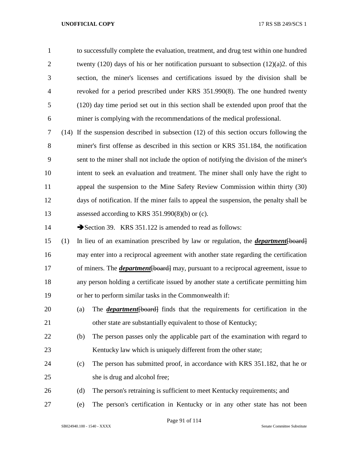to successfully complete the evaluation, treatment, and drug test within one hundred 2 twenty (120) days of his or her notification pursuant to subsection  $(12)(a)2$ . of this section, the miner's licenses and certifications issued by the division shall be revoked for a period prescribed under KRS 351.990(8). The one hundred twenty (120) day time period set out in this section shall be extended upon proof that the miner is complying with the recommendations of the medical professional.

 (14) If the suspension described in subsection (12) of this section occurs following the miner's first offense as described in this section or KRS 351.184, the notification sent to the miner shall not include the option of notifying the division of the miner's intent to seek an evaluation and treatment. The miner shall only have the right to appeal the suspension to the Mine Safety Review Commission within thirty (30) days of notification. If the miner fails to appeal the suspension, the penalty shall be assessed according to KRS 351.990(8)(b) or (c).

14 Section 39. KRS 351.122 is amended to read as follows:

 (1) In lieu of an examination prescribed by law or regulation, the *department*[board] may enter into a reciprocal agreement with another state regarding the certification of miners. The *department*[board] may, pursuant to a reciprocal agreement, issue to any person holding a certificate issued by another state a certificate permitting him or her to perform similar tasks in the Commonwealth if:

- (a) The *department*[board] finds that the requirements for certification in the other state are substantially equivalent to those of Kentucky;
- (b) The person passes only the applicable part of the examination with regard to 23 Kentucky law which is uniquely different from the other state;
- (c) The person has submitted proof, in accordance with KRS 351.182, that he or she is drug and alcohol free;
- (d) The person's retraining is sufficient to meet Kentucky requirements; and
- (e) The person's certification in Kentucky or in any other state has not been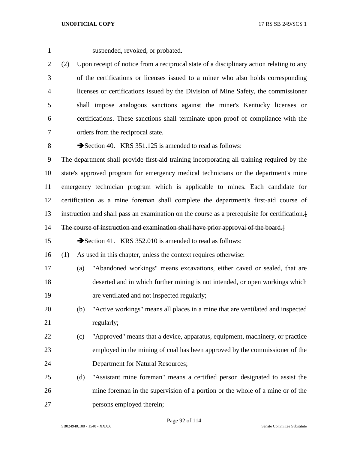suspended, revoked, or probated.

 (2) Upon receipt of notice from a reciprocal state of a disciplinary action relating to any of the certifications or licenses issued to a miner who also holds corresponding licenses or certifications issued by the Division of Mine Safety, the commissioner shall impose analogous sanctions against the miner's Kentucky licenses or certifications. These sanctions shall terminate upon proof of compliance with the orders from the reciprocal state.

8 Section 40. KRS 351.125 is amended to read as follows:

 The department shall provide first-aid training incorporating all training required by the state's approved program for emergency medical technicians or the department's mine emergency technician program which is applicable to mines. Each candidate for certification as a mine foreman shall complete the department's first-aid course of instruction and shall pass an examination on the course as a prerequisite for certification.[

14 The course of instruction and examination shall have prior approval of the board.

15 Section 41. KRS 352.010 is amended to read as follows:

(1) As used in this chapter, unless the context requires otherwise:

- (a) "Abandoned workings" means excavations, either caved or sealed, that are deserted and in which further mining is not intended, or open workings which are ventilated and not inspected regularly;
- (b) "Active workings" means all places in a mine that are ventilated and inspected 21 regularly;
- (c) "Approved" means that a device, apparatus, equipment, machinery, or practice employed in the mining of coal has been approved by the commissioner of the Department for Natural Resources;
- (d) "Assistant mine foreman" means a certified person designated to assist the mine foreman in the supervision of a portion or the whole of a mine or of the persons employed therein;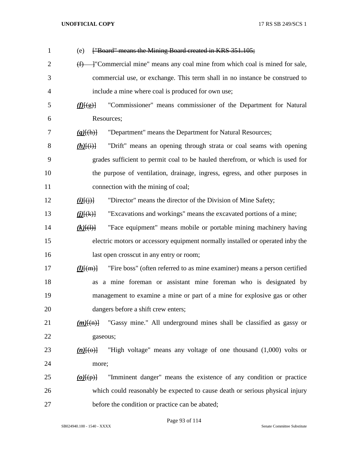| $\mathbf{1}$   | ["Board" means the Mining Board created in KRS 351.105;<br>(e)                                          |
|----------------|---------------------------------------------------------------------------------------------------------|
| $\overline{2}$ | - "Commercial mine" means any coal mine from which coal is mined for sale,<br>(f)                       |
| 3              | commercial use, or exchange. This term shall in no instance be construed to                             |
| 4              | include a mine where coal is produced for own use;                                                      |
| 5              | "Commissioner" means commissioner of the Department for Natural<br>f(E(g))                              |
| 6              | Resources;                                                                                              |
| 7              | "Department" means the Department for Natural Resources;<br>$(g)$ [(h)]                                 |
| 8              | "Drift" means an opening through strata or coal seams with opening<br>$(h)$ [(i)]                       |
| 9              | grades sufficient to permit coal to be hauled therefrom, or which is used for                           |
| 10             | the purpose of ventilation, drainage, ingress, egress, and other purposes in                            |
| 11             | connection with the mining of coal;                                                                     |
| 12             | "Director" means the director of the Division of Mine Safety;<br>$\underline{(i)}\overline{\{j\}}$      |
| 13             | "Excavations and workings" means the excavated portions of a mine;<br>$\underline{(i)}[\overline{(k)}]$ |
| 14             | "Face equipment" means mobile or portable mining machinery having<br>$(k)$ $(\dagger)$                  |
| 15             | electric motors or accessory equipment normally installed or operated inby the                          |
| 16             | last open crosscut in any entry or room;                                                                |
| 17             | "Fire boss" (often referred to as mine examiner) means a person certified<br>$(l)$ $\{ (m) \}$          |
| 18             | a mine foreman or assistant mine foreman who is designated by<br>as                                     |
| 19             | management to examine a mine or part of a mine for explosive gas or other                               |
| 20             | dangers before a shift crew enters;                                                                     |
| 21             | "Gassy mine." All underground mines shall be classified as gassy or<br>$(m)$ $\{(m)\}$                  |
| 22             | gaseous;                                                                                                |
| 23             | "High voltage" means any voltage of one thousand (1,000) volts or<br>$(n)$ [(o)]                        |
| 24             | more;                                                                                                   |
| 25             | "Imminent danger" means the existence of any condition or practice<br>$\omega(\varphi)$                 |
| 26             | which could reasonably be expected to cause death or serious physical injury                            |
| 27             | before the condition or practice can be abated;                                                         |

Page 93 of 114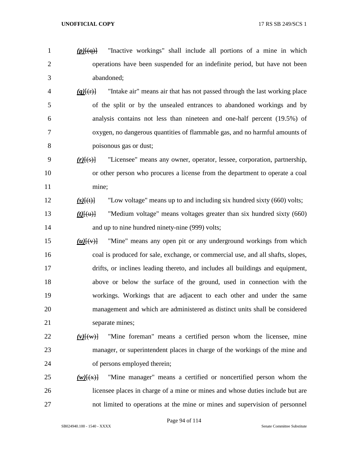- 
- *(p)*[(q)] "Inactive workings" shall include all portions of a mine in which operations have been suspended for an indefinite period, but have not been abandoned;
	- *(q)*[(r)] "Intake air" means air that has not passed through the last working place of the split or by the unsealed entrances to abandoned workings and by analysis contains not less than nineteen and one-half percent (19.5%) of oxygen, no dangerous quantities of flammable gas, and no harmful amounts of poisonous gas or dust;
- *(r)*[(s)] "Licensee" means any owner, operator, lessee, corporation, partnership, or other person who procures a license from the department to operate a coal mine;
- *(s)*[(t)] "Low voltage" means up to and including six hundred sixty (660) volts;
- *(t)*[(u)] "Medium voltage" means voltages greater than six hundred sixty (660) 14 and up to nine hundred ninety-nine (999) volts;
- *(u)*[(v)] "Mine" means any open pit or any underground workings from which coal is produced for sale, exchange, or commercial use, and all shafts, slopes, drifts, or inclines leading thereto, and includes all buildings and equipment, above or below the surface of the ground, used in connection with the workings. Workings that are adjacent to each other and under the same management and which are administered as distinct units shall be considered 21 separate mines;

# *(v)*[(w)] "Mine foreman" means a certified person whom the licensee, mine manager, or superintendent places in charge of the workings of the mine and of persons employed therein;

 *(w)* $\frac{f(x)}{g}$  "Mine manager" means a certified or noncertified person whom the licensee places in charge of a mine or mines and whose duties include but are not limited to operations at the mine or mines and supervision of personnel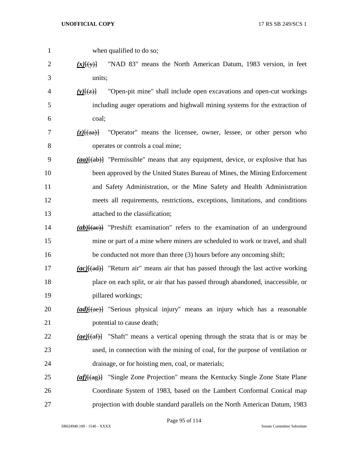when qualified to do so; *(x)*[(y)] "NAD 83" means the North American Datum, 1983 version, in feet units; *(y)*[(z)] "Open-pit mine" shall include open excavations and open-cut workings including auger operations and highwall mining systems for the extraction of coal; *(z)*[(aa)] "Operator" means the licensee, owner, lessee, or other person who operates or controls a coal mine; *(aa)*[(ab)] "Permissible" means that any equipment, device, or explosive that has been approved by the United States Bureau of Mines, the Mining Enforcement and Safety Administration, or the Mine Safety and Health Administration meets all requirements, restrictions, exceptions, limitations, and conditions attached to the classification; *(ab)* $\frac{1}{2}$  <sup>"</sup>Preshift examination" refers to the examination of an underground mine or part of a mine where miners are scheduled to work or travel, and shall be conducted not more than three (3) hours before any oncoming shift; *(ac)*[(ad)] "Return air" means air that has passed through the last active working place on each split, or air that has passed through abandoned, inaccessible, or pillared workings; *(ad)*[(ae)] "Serious physical injury" means an injury which has a reasonable 21 potential to cause death; *(ae)*[(af)] "Shaft" means a vertical opening through the strata that is or may be used, in connection with the mining of coal, for the purpose of ventilation or drainage, or for hoisting men, coal, or materials; *(af)*[(ag)] "Single Zone Projection" means the Kentucky Single Zone State Plane Coordinate System of 1983, based on the Lambert Conformal Conical map projection with double standard parallels on the North American Datum, 1983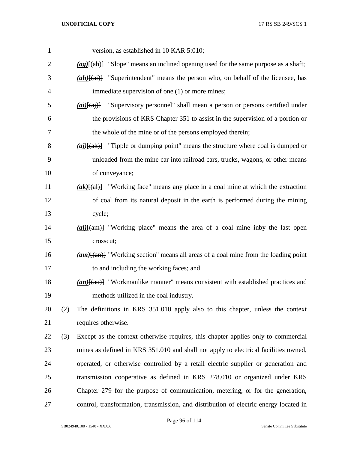| $\mathbf{1}$ |     | version, as established in 10 KAR 5:010;                                                                          |
|--------------|-----|-------------------------------------------------------------------------------------------------------------------|
| 2            |     | $\frac{(\text{ag})[(ah)]}{\text{Islope}}$ "Slope" means an inclined opening used for the same purpose as a shaft; |
| 3            |     | $(ah)$ [(ai)] "Superintendent" means the person who, on behalf of the licensee, has                               |
| 4            |     | immediate supervision of one (1) or more mines;                                                                   |
| 5            |     | $(ai)$ [(ai)] "Supervisory personnel" shall mean a person or persons certified under                              |
| 6            |     | the provisions of KRS Chapter 351 to assist in the supervision of a portion or                                    |
| 7            |     | the whole of the mine or of the persons employed therein;                                                         |
| 8            |     | $\frac{ai}{kak}$ "Tipple or dumping point" means the structure where coal is dumped or                            |
| 9            |     | unloaded from the mine car into railroad cars, trucks, wagons, or other means                                     |
| 10           |     | of conveyance;                                                                                                    |
| 11           |     | $(ak)$ [(al)] "Working face" means any place in a coal mine at which the extraction                               |
| 12           |     | of coal from its natural deposit in the earth is performed during the mining                                      |
| 13           |     | cycle;                                                                                                            |
| 14           |     | (al)[(am)] "Working place" means the area of a coal mine inby the last open                                       |
| 15           |     | crosscut;                                                                                                         |
| 16           |     | $(\mathbf{am})$ "Working section" means all areas of a coal mine from the loading point                           |
| 17           |     | to and including the working faces; and                                                                           |
| 18           |     | (an)[(ao)] "Workmanlike manner" means consistent with established practices and                                   |
| 19           |     | methods utilized in the coal industry.                                                                            |
| 20           | (2) | The definitions in KRS 351.010 apply also to this chapter, unless the context                                     |
| 21           |     | requires otherwise.                                                                                               |
| 22           | (3) | Except as the context otherwise requires, this chapter applies only to commercial                                 |
| 23           |     | mines as defined in KRS 351.010 and shall not apply to electrical facilities owned,                               |
| 24           |     | operated, or otherwise controlled by a retail electric supplier or generation and                                 |
| 25           |     | transmission cooperative as defined in KRS 278.010 or organized under KRS                                         |
| 26           |     | Chapter 279 for the purpose of communication, metering, or for the generation,                                    |
| 27           |     | control, transformation, transmission, and distribution of electric energy located in                             |

Page 96 of 114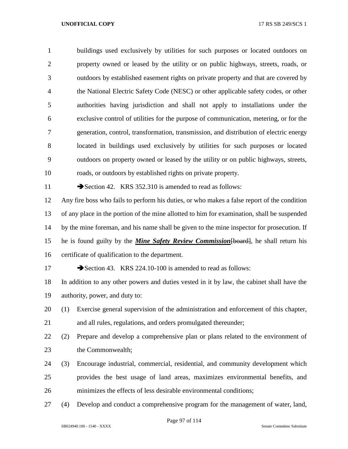buildings used exclusively by utilities for such purposes or located outdoors on property owned or leased by the utility or on public highways, streets, roads, or outdoors by established easement rights on private property and that are covered by the National Electric Safety Code (NESC) or other applicable safety codes, or other authorities having jurisdiction and shall not apply to installations under the exclusive control of utilities for the purpose of communication, metering, or for the generation, control, transformation, transmission, and distribution of electric energy located in buildings used exclusively by utilities for such purposes or located outdoors on property owned or leased by the utility or on public highways, streets, roads, or outdoors by established rights on private property. 11 Section 42. KRS 352.310 is amended to read as follows: Any fire boss who fails to perform his duties, or who makes a false report of the condition of any place in the portion of the mine allotted to him for examination, shall be suspended by the mine foreman, and his name shall be given to the mine inspector for prosecution. If

 he is found guilty by the *Mine Safety Review Commission*[board], he shall return his certificate of qualification to the department.

17 Section 43. KRS 224.10-100 is amended to read as follows:

 In addition to any other powers and duties vested in it by law, the cabinet shall have the authority, power, and duty to:

 (1) Exercise general supervision of the administration and enforcement of this chapter, and all rules, regulations, and orders promulgated thereunder;

 (2) Prepare and develop a comprehensive plan or plans related to the environment of 23 the Commonwealth:

- (3) Encourage industrial, commercial, residential, and community development which provides the best usage of land areas, maximizes environmental benefits, and minimizes the effects of less desirable environmental conditions;
- (4) Develop and conduct a comprehensive program for the management of water, land,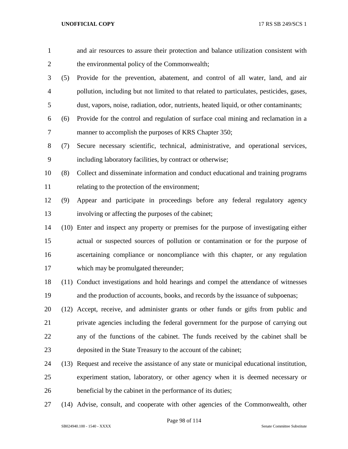| $\mathbf{1}$   |     | and air resources to assure their protection and balance utilization consistent with       |
|----------------|-----|--------------------------------------------------------------------------------------------|
| $\overline{c}$ |     | the environmental policy of the Commonwealth;                                              |
| 3              | (5) | Provide for the prevention, abatement, and control of all water, land, and air             |
| $\overline{4}$ |     | pollution, including but not limited to that related to particulates, pesticides, gases,   |
| 5              |     | dust, vapors, noise, radiation, odor, nutrients, heated liquid, or other contaminants;     |
| 6              | (6) | Provide for the control and regulation of surface coal mining and reclamation in a         |
| 7              |     | manner to accomplish the purposes of KRS Chapter 350;                                      |
| 8              | (7) | Secure necessary scientific, technical, administrative, and operational services,          |
| 9              |     | including laboratory facilities, by contract or otherwise;                                 |
| 10             | (8) | Collect and disseminate information and conduct educational and training programs          |
| 11             |     | relating to the protection of the environment;                                             |
| 12             | (9) | Appear and participate in proceedings before any federal regulatory agency                 |
| 13             |     | involving or affecting the purposes of the cabinet;                                        |
| 14             |     | (10) Enter and inspect any property or premises for the purpose of investigating either    |
| 15             |     | actual or suspected sources of pollution or contamination or for the purpose of            |
| 16             |     | ascertaining compliance or noncompliance with this chapter, or any regulation              |
| 17             |     | which may be promulgated thereunder;                                                       |
| 18             |     | (11) Conduct investigations and hold hearings and compel the attendance of witnesses       |
| 19             |     | and the production of accounts, books, and records by the issuance of subpoenas;           |
| 20             |     | (12) Accept, receive, and administer grants or other funds or gifts from public and        |
| 21             |     | private agencies including the federal government for the purpose of carrying out          |
| 22             |     | any of the functions of the cabinet. The funds received by the cabinet shall be            |
| 23             |     | deposited in the State Treasury to the account of the cabinet;                             |
| 24             |     | (13) Request and receive the assistance of any state or municipal educational institution, |
| 25             |     | experiment station, laboratory, or other agency when it is deemed necessary or             |
| 26             |     | beneficial by the cabinet in the performance of its duties;                                |
|                |     |                                                                                            |

(14) Advise, consult, and cooperate with other agencies of the Commonwealth, other

Page 98 of 114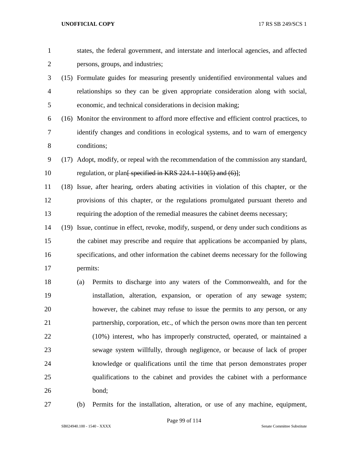| $\mathbf{1}$   |          | states, the federal government, and interstate and interlocal agencies, and affected      |
|----------------|----------|-------------------------------------------------------------------------------------------|
| $\mathbf{2}$   |          | persons, groups, and industries;                                                          |
| 3              |          | (15) Formulate guides for measuring presently unidentified environmental values and       |
| $\overline{4}$ |          | relationships so they can be given appropriate consideration along with social,           |
| 5              |          | economic, and technical considerations in decision making;                                |
| 6              |          | (16) Monitor the environment to afford more effective and efficient control practices, to |
| 7              |          | identify changes and conditions in ecological systems, and to warn of emergency           |
| $8\,$          |          | conditions;                                                                               |
| 9              |          | (17) Adopt, modify, or repeal with the recommendation of the commission any standard,     |
| 10             |          | regulation, or plan <del>[ specified in KRS 224.1-110(5) and (6)]</del> ;                 |
| 11             |          | (18) Issue, after hearing, orders abating activities in violation of this chapter, or the |
| 12             |          | provisions of this chapter, or the regulations promulgated pursuant thereto and           |
| 13             |          | requiring the adoption of the remedial measures the cabinet deems necessary;              |
| 14             |          | (19) Issue, continue in effect, revoke, modify, suspend, or deny under such conditions as |
| 15             |          | the cabinet may prescribe and require that applications be accompanied by plans,          |
| 16             |          | specifications, and other information the cabinet deems necessary for the following       |
| 17             | permits: |                                                                                           |
| 18             | (a)      | Permits to discharge into any waters of the Commonwealth, and for the                     |
| 19             |          | installation, alteration, expansion, or operation of any sewage system;                   |
| 20             |          | however, the cabinet may refuse to issue the permits to any person, or any                |
| 21             |          | partnership, corporation, etc., of which the person owns more than ten percent            |
| 22             |          | (10%) interest, who has improperly constructed, operated, or maintained a                 |
| 23             |          | sewage system willfully, through negligence, or because of lack of proper                 |
| 24             |          | knowledge or qualifications until the time that person demonstrates proper                |
| 25             |          | qualifications to the cabinet and provides the cabinet with a performance                 |
| 26             |          | bond;                                                                                     |
| 27             | (b)      | Permits for the installation, alteration, or use of any machine, equipment,               |

SB024940.100 - 1540 - XXXX Senate Committee Substitute

Page 99 of 114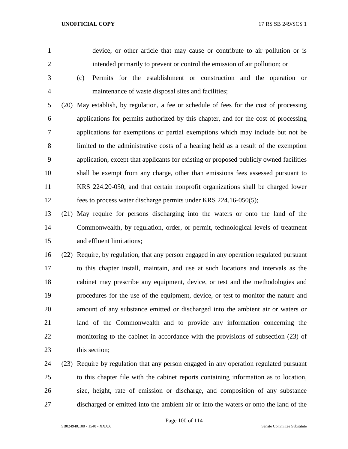device, or other article that may cause or contribute to air pollution or is intended primarily to prevent or control the emission of air pollution; or

 (c) Permits for the establishment or construction and the operation or maintenance of waste disposal sites and facilities;

 (20) May establish, by regulation, a fee or schedule of fees for the cost of processing applications for permits authorized by this chapter, and for the cost of processing applications for exemptions or partial exemptions which may include but not be limited to the administrative costs of a hearing held as a result of the exemption application, except that applicants for existing or proposed publicly owned facilities shall be exempt from any charge, other than emissions fees assessed pursuant to KRS 224.20-050, and that certain nonprofit organizations shall be charged lower fees to process water discharge permits under KRS 224.16-050(5);

 (21) May require for persons discharging into the waters or onto the land of the Commonwealth, by regulation, order, or permit, technological levels of treatment and effluent limitations;

 (22) Require, by regulation, that any person engaged in any operation regulated pursuant to this chapter install, maintain, and use at such locations and intervals as the cabinet may prescribe any equipment, device, or test and the methodologies and procedures for the use of the equipment, device, or test to monitor the nature and amount of any substance emitted or discharged into the ambient air or waters or land of the Commonwealth and to provide any information concerning the monitoring to the cabinet in accordance with the provisions of subsection (23) of 23 this section:

 (23) Require by regulation that any person engaged in any operation regulated pursuant to this chapter file with the cabinet reports containing information as to location, size, height, rate of emission or discharge, and composition of any substance discharged or emitted into the ambient air or into the waters or onto the land of the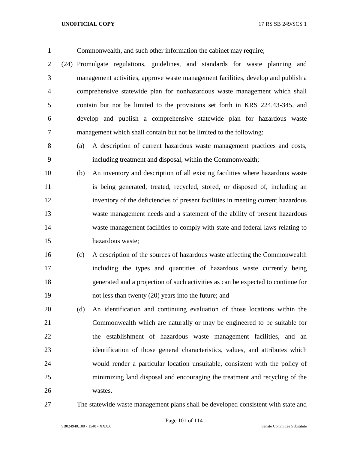Commonwealth, and such other information the cabinet may require; (24) Promulgate regulations, guidelines, and standards for waste planning and management activities, approve waste management facilities, develop and publish a comprehensive statewide plan for nonhazardous waste management which shall contain but not be limited to the provisions set forth in KRS 224.43-345, and develop and publish a comprehensive statewide plan for hazardous waste management which shall contain but not be limited to the following: (a) A description of current hazardous waste management practices and costs, including treatment and disposal, within the Commonwealth; (b) An inventory and description of all existing facilities where hazardous waste 11 is being generated, treated, recycled, stored, or disposed of, including an inventory of the deficiencies of present facilities in meeting current hazardous waste management needs and a statement of the ability of present hazardous waste management facilities to comply with state and federal laws relating to hazardous waste; (c) A description of the sources of hazardous waste affecting the Commonwealth including the types and quantities of hazardous waste currently being generated and a projection of such activities as can be expected to continue for not less than twenty (20) years into the future; and

 (d) An identification and continuing evaluation of those locations within the Commonwealth which are naturally or may be engineered to be suitable for the establishment of hazardous waste management facilities, and an identification of those general characteristics, values, and attributes which would render a particular location unsuitable, consistent with the policy of minimizing land disposal and encouraging the treatment and recycling of the wastes.

The statewide waste management plans shall be developed consistent with state and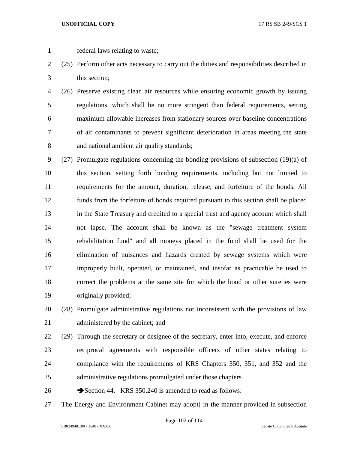- 
- federal laws relating to waste;
- (25) Perform other acts necessary to carry out the duties and responsibilities described in this section;
- (26) Preserve existing clean air resources while ensuring economic growth by issuing regulations, which shall be no more stringent than federal requirements, setting maximum allowable increases from stationary sources over baseline concentrations of air contaminants to prevent significant deterioration in areas meeting the state and national ambient air quality standards;
- (27) Promulgate regulations concerning the bonding provisions of subsection (19)(a) of this section, setting forth bonding requirements, including but not limited to requirements for the amount, duration, release, and forfeiture of the bonds. All funds from the forfeiture of bonds required pursuant to this section shall be placed in the State Treasury and credited to a special trust and agency account which shall not lapse. The account shall be known as the "sewage treatment system rehabilitation fund" and all moneys placed in the fund shall be used for the elimination of nuisances and hazards created by sewage systems which were improperly built, operated, or maintained, and insofar as practicable be used to correct the problems at the same site for which the bond or other sureties were originally provided;

 (28) Promulgate administrative regulations not inconsistent with the provisions of law 21 administered by the cabinet; and

- (29) Through the secretary or designee of the secretary, enter into, execute, and enforce reciprocal agreements with responsible officers of other states relating to compliance with the requirements of KRS Chapters 350, 351, and 352 and the administrative regulations promulgated under those chapters.
- 26 Section 44. KRS 350.240 is amended to read as follows:
- 27 The Energy and Environment Cabinet may adopt<del> in the manner provided in subsection</del>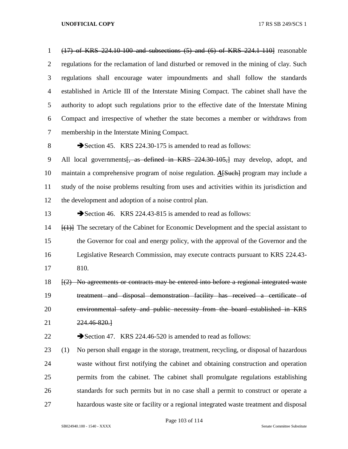(17) of KRS 224.10-100 and subsections (5) and (6) of KRS 224.1-110] reasonable regulations for the reclamation of land disturbed or removed in the mining of clay. Such regulations shall encourage water impoundments and shall follow the standards established in Article III of the Interstate Mining Compact. The cabinet shall have the authority to adopt such regulations prior to the effective date of the Interstate Mining Compact and irrespective of whether the state becomes a member or withdraws from membership in the Interstate Mining Compact.

8 Section 45. KRS 224.30-175 is amended to read as follows:

9 All local governments<del>, as defined in KRS 224.30-105,]</del> may develop, adopt, and maintain a comprehensive program of noise regulation. *A*[Such] program may include a study of the noise problems resulting from uses and activities within its jurisdiction and the development and adoption of a noise control plan.

13 Section 46. KRS 224.43-815 is amended to read as follows:

 [(1)] The secretary of the Cabinet for Economic Development and the special assistant to the Governor for coal and energy policy, with the approval of the Governor and the Legislative Research Commission, may execute contracts pursuant to KRS 224.43- 810.

 [(2) No agreements or contracts may be entered into before a regional integrated waste treatment and disposal demonstration facility has received a certificate of environmental safety and public necessity from the board established in KRS 224.46-820.]

22 Section 47. KRS 224.46-520 is amended to read as follows:

 (1) No person shall engage in the storage, treatment, recycling, or disposal of hazardous waste without first notifying the cabinet and obtaining construction and operation permits from the cabinet. The cabinet shall promulgate regulations establishing standards for such permits but in no case shall a permit to construct or operate a hazardous waste site or facility or a regional integrated waste treatment and disposal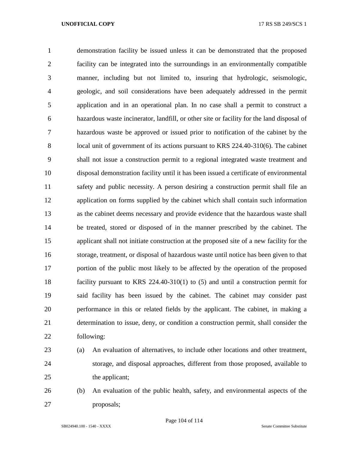demonstration facility be issued unless it can be demonstrated that the proposed facility can be integrated into the surroundings in an environmentally compatible manner, including but not limited to, insuring that hydrologic, seismologic, geologic, and soil considerations have been adequately addressed in the permit application and in an operational plan. In no case shall a permit to construct a hazardous waste incinerator, landfill, or other site or facility for the land disposal of hazardous waste be approved or issued prior to notification of the cabinet by the 8 local unit of government of its actions pursuant to KRS 224.40-310(6). The cabinet shall not issue a construction permit to a regional integrated waste treatment and disposal demonstration facility until it has been issued a certificate of environmental safety and public necessity. A person desiring a construction permit shall file an application on forms supplied by the cabinet which shall contain such information as the cabinet deems necessary and provide evidence that the hazardous waste shall be treated, stored or disposed of in the manner prescribed by the cabinet. The applicant shall not initiate construction at the proposed site of a new facility for the storage, treatment, or disposal of hazardous waste until notice has been given to that portion of the public most likely to be affected by the operation of the proposed facility pursuant to KRS 224.40-310(1) to (5) and until a construction permit for said facility has been issued by the cabinet. The cabinet may consider past performance in this or related fields by the applicant. The cabinet, in making a determination to issue, deny, or condition a construction permit, shall consider the following:

- 
- (a) An evaluation of alternatives, to include other locations and other treatment, storage, and disposal approaches, different from those proposed, available to 25 the applicant;
- (b) An evaluation of the public health, safety, and environmental aspects of the proposals;

Page 104 of 114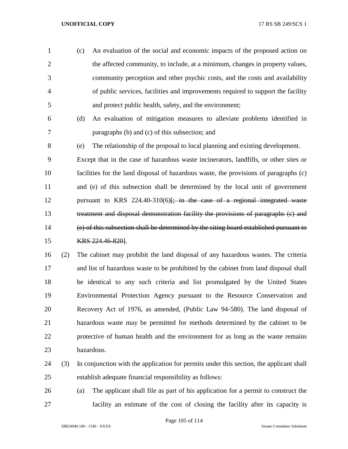(c) An evaluation of the social and economic impacts of the proposed action on the affected community, to include, at a minimum, changes in property values, community perception and other psychic costs, and the costs and availability of public services, facilities and improvements required to support the facility and protect public health, safety, and the environment;

 (d) An evaluation of mitigation measures to alleviate problems identified in paragraphs (b) and (c) of this subsection; and

 (e) The relationship of the proposal to local planning and existing development. Except that in the case of hazardous waste incinerators, landfills, or other sites or facilities for the land disposal of hazardous waste, the provisions of paragraphs (c) and (e) of this subsection shall be determined by the local unit of government 12 pursuant to KRS  $224.40-310(6)$ ; in the case of a regional integrated waste treatment and disposal demonstration facility the provisions of paragraphs (c) and (e) of this subsection shall be determined by the siting board established pursuant to KRS 224.46-820].

 (2) The cabinet may prohibit the land disposal of any hazardous wastes. The criteria and list of hazardous waste to be prohibited by the cabinet from land disposal shall be identical to any such criteria and list promulgated by the United States Environmental Protection Agency pursuant to the Resource Conservation and Recovery Act of 1976, as amended, (Public Law 94-580). The land disposal of hazardous waste may be permitted for methods determined by the cabinet to be protective of human health and the environment for as long as the waste remains hazardous.

- (3) In conjunction with the application for permits under this section, the applicant shall establish adequate financial responsibility as follows:
- (a) The applicant shall file as part of his application for a permit to construct the facility an estimate of the cost of closing the facility after its capacity is

Page 105 of 114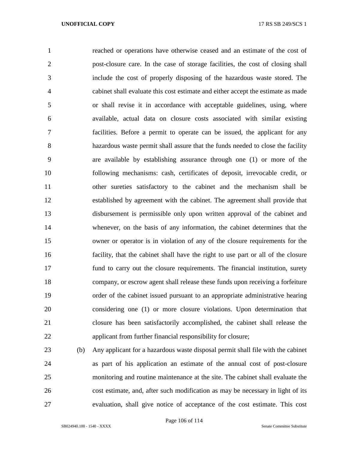reached or operations have otherwise ceased and an estimate of the cost of post-closure care. In the case of storage facilities, the cost of closing shall include the cost of properly disposing of the hazardous waste stored. The cabinet shall evaluate this cost estimate and either accept the estimate as made or shall revise it in accordance with acceptable guidelines, using, where available, actual data on closure costs associated with similar existing facilities. Before a permit to operate can be issued, the applicant for any hazardous waste permit shall assure that the funds needed to close the facility are available by establishing assurance through one (1) or more of the following mechanisms: cash, certificates of deposit, irrevocable credit, or other sureties satisfactory to the cabinet and the mechanism shall be established by agreement with the cabinet. The agreement shall provide that disbursement is permissible only upon written approval of the cabinet and whenever, on the basis of any information, the cabinet determines that the owner or operator is in violation of any of the closure requirements for the facility, that the cabinet shall have the right to use part or all of the closure fund to carry out the closure requirements. The financial institution, surety company, or escrow agent shall release these funds upon receiving a forfeiture order of the cabinet issued pursuant to an appropriate administrative hearing considering one (1) or more closure violations. Upon determination that closure has been satisfactorily accomplished, the cabinet shall release the applicant from further financial responsibility for closure;

 (b) Any applicant for a hazardous waste disposal permit shall file with the cabinet as part of his application an estimate of the annual cost of post-closure monitoring and routine maintenance at the site. The cabinet shall evaluate the cost estimate, and, after such modification as may be necessary in light of its evaluation, shall give notice of acceptance of the cost estimate. This cost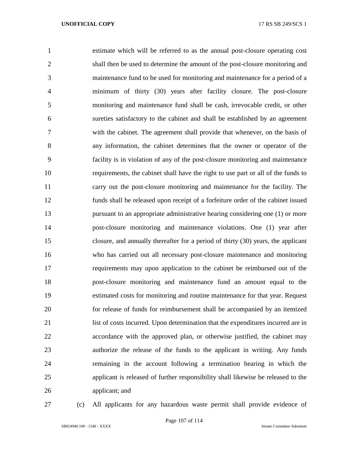estimate which will be referred to as the annual post-closure operating cost shall then be used to determine the amount of the post-closure monitoring and maintenance fund to be used for monitoring and maintenance for a period of a minimum of thirty (30) years after facility closure. The post-closure monitoring and maintenance fund shall be cash, irrevocable credit, or other sureties satisfactory to the cabinet and shall be established by an agreement with the cabinet. The agreement shall provide that whenever, on the basis of any information, the cabinet determines that the owner or operator of the facility is in violation of any of the post-closure monitoring and maintenance requirements, the cabinet shall have the right to use part or all of the funds to carry out the post-closure monitoring and maintenance for the facility. The funds shall be released upon receipt of a forfeiture order of the cabinet issued pursuant to an appropriate administrative hearing considering one (1) or more post-closure monitoring and maintenance violations. One (1) year after closure, and annually thereafter for a period of thirty (30) years, the applicant who has carried out all necessary post-closure maintenance and monitoring requirements may upon application to the cabinet be reimbursed out of the post-closure monitoring and maintenance fund an amount equal to the estimated costs for monitoring and routine maintenance for that year. Request for release of funds for reimbursement shall be accompanied by an itemized list of costs incurred. Upon determination that the expenditures incurred are in accordance with the approved plan, or otherwise justified, the cabinet may authorize the release of the funds to the applicant in writing. Any funds remaining in the account following a termination hearing in which the applicant is released of further responsibility shall likewise be released to the applicant; and

(c) All applicants for any hazardous waste permit shall provide evidence of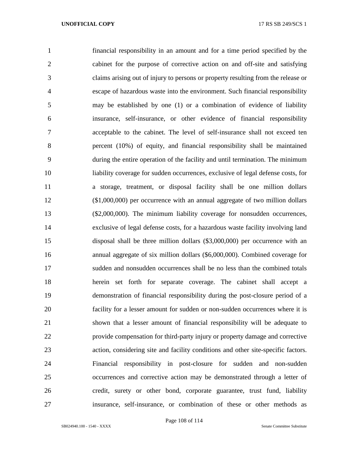financial responsibility in an amount and for a time period specified by the cabinet for the purpose of corrective action on and off-site and satisfying claims arising out of injury to persons or property resulting from the release or escape of hazardous waste into the environment. Such financial responsibility may be established by one (1) or a combination of evidence of liability insurance, self-insurance, or other evidence of financial responsibility acceptable to the cabinet. The level of self-insurance shall not exceed ten percent (10%) of equity, and financial responsibility shall be maintained during the entire operation of the facility and until termination. The minimum liability coverage for sudden occurrences, exclusive of legal defense costs, for a storage, treatment, or disposal facility shall be one million dollars (\$1,000,000) per occurrence with an annual aggregate of two million dollars (\$2,000,000). The minimum liability coverage for nonsudden occurrences, exclusive of legal defense costs, for a hazardous waste facility involving land disposal shall be three million dollars (\$3,000,000) per occurrence with an annual aggregate of six million dollars (\$6,000,000). Combined coverage for sudden and nonsudden occurrences shall be no less than the combined totals herein set forth for separate coverage. The cabinet shall accept a demonstration of financial responsibility during the post-closure period of a facility for a lesser amount for sudden or non-sudden occurrences where it is shown that a lesser amount of financial responsibility will be adequate to provide compensation for third-party injury or property damage and corrective action, considering site and facility conditions and other site-specific factors. Financial responsibility in post-closure for sudden and non-sudden occurrences and corrective action may be demonstrated through a letter of credit, surety or other bond, corporate guarantee, trust fund, liability insurance, self-insurance, or combination of these or other methods as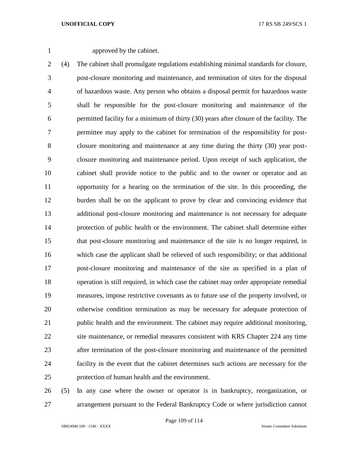approved by the cabinet.

 (4) The cabinet shall promulgate regulations establishing minimal standards for closure, post-closure monitoring and maintenance, and termination of sites for the disposal of hazardous waste. Any person who obtains a disposal permit for hazardous waste shall be responsible for the post-closure monitoring and maintenance of the permitted facility for a minimum of thirty (30) years after closure of the facility. The permittee may apply to the cabinet for termination of the responsibility for post- closure monitoring and maintenance at any time during the thirty (30) year post- closure monitoring and maintenance period. Upon receipt of such application, the cabinet shall provide notice to the public and to the owner or operator and an opportunity for a hearing on the termination of the site. In this proceeding, the burden shall be on the applicant to prove by clear and convincing evidence that additional post-closure monitoring and maintenance is not necessary for adequate protection of public health or the environment. The cabinet shall determine either that post-closure monitoring and maintenance of the site is no longer required, in which case the applicant shall be relieved of such responsibility; or that additional post-closure monitoring and maintenance of the site as specified in a plan of operation is still required, in which case the cabinet may order appropriate remedial measures, impose restrictive covenants as to future use of the property involved, or otherwise condition termination as may be necessary for adequate protection of public health and the environment. The cabinet may require additional monitoring, site maintenance, or remedial measures consistent with KRS Chapter 224 any time after termination of the post-closure monitoring and maintenance of the permitted facility in the event that the cabinet determines such actions are necessary for the protection of human health and the environment.

 (5) In any case where the owner or operator is in bankruptcy, reorganization, or arrangement pursuant to the Federal Bankruptcy Code or where jurisdiction cannot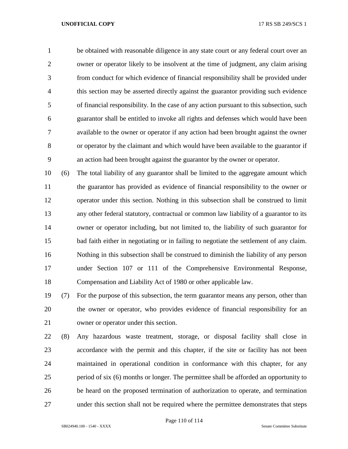be obtained with reasonable diligence in any state court or any federal court over an owner or operator likely to be insolvent at the time of judgment, any claim arising from conduct for which evidence of financial responsibility shall be provided under this section may be asserted directly against the guarantor providing such evidence of financial responsibility. In the case of any action pursuant to this subsection, such guarantor shall be entitled to invoke all rights and defenses which would have been available to the owner or operator if any action had been brought against the owner or operator by the claimant and which would have been available to the guarantor if an action had been brought against the guarantor by the owner or operator.

 (6) The total liability of any guarantor shall be limited to the aggregate amount which the guarantor has provided as evidence of financial responsibility to the owner or operator under this section. Nothing in this subsection shall be construed to limit any other federal statutory, contractual or common law liability of a guarantor to its owner or operator including, but not limited to, the liability of such guarantor for bad faith either in negotiating or in failing to negotiate the settlement of any claim. Nothing in this subsection shall be construed to diminish the liability of any person under Section 107 or 111 of the Comprehensive Environmental Response, Compensation and Liability Act of 1980 or other applicable law.

 (7) For the purpose of this subsection, the term guarantor means any person, other than the owner or operator, who provides evidence of financial responsibility for an owner or operator under this section.

 (8) Any hazardous waste treatment, storage, or disposal facility shall close in accordance with the permit and this chapter, if the site or facility has not been maintained in operational condition in conformance with this chapter, for any period of six (6) months or longer. The permittee shall be afforded an opportunity to be heard on the proposed termination of authorization to operate, and termination under this section shall not be required where the permittee demonstrates that steps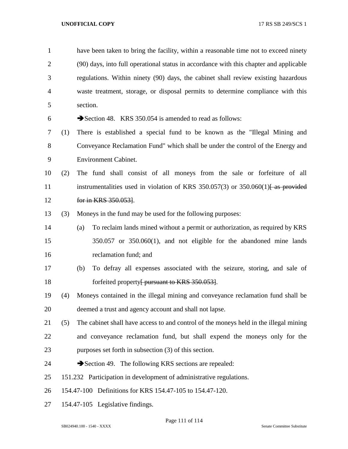| $\mathbf{1}$   |     | have been taken to bring the facility, within a reasonable time not to exceed ninety                           |
|----------------|-----|----------------------------------------------------------------------------------------------------------------|
| $\overline{2}$ |     | (90) days, into full operational status in accordance with this chapter and applicable                         |
| 3              |     | regulations. Within ninety (90) days, the cabinet shall review existing hazardous                              |
| $\overline{4}$ |     | waste treatment, storage, or disposal permits to determine compliance with this                                |
| 5              |     | section.                                                                                                       |
| 6              |     | Section 48. KRS 350.054 is amended to read as follows:                                                         |
| 7              | (1) | There is established a special fund to be known as the "Illegal Mining and                                     |
| 8              |     | Conveyance Reclamation Fund" which shall be under the control of the Energy and                                |
| 9              |     | <b>Environment Cabinet.</b>                                                                                    |
| 10             | (2) | The fund shall consist of all moneys from the sale or forfeiture of all                                        |
| 11             |     | instrumentalities used in violation of KRS 350.057(3) or 350.060(1) $\left\{4s\frac{1}{s}\right\}$ as provided |
| 12             |     | for in KRS 350.053.                                                                                            |
| 13             | (3) | Moneys in the fund may be used for the following purposes:                                                     |
| 14             |     | To reclaim lands mined without a permit or authorization, as required by KRS<br>(a)                            |
| 15             |     | $350.057$ or $350.060(1)$ , and not eligible for the abandoned mine lands                                      |
| 16             |     | reclamation fund; and                                                                                          |
| 17             |     | To defray all expenses associated with the seizure, storing, and sale of<br>(b)                                |
| 18             |     | forfeited property <del>[ pursuant to KRS 350.053]</del> .                                                     |
| 19             | (4) | Moneys contained in the illegal mining and conveyance reclamation fund shall be                                |
| 20             |     | deemed a trust and agency account and shall not lapse.                                                         |
| 21             | (5) | The cabinet shall have access to and control of the moneys held in the illegal mining                          |
| 22             |     | and conveyance reclamation fund, but shall expend the moneys only for the                                      |
| 23             |     | purposes set forth in subsection (3) of this section.                                                          |
| 24             |     | Section 49. The following KRS sections are repealed:                                                           |
| 25             |     | 151.232 Participation in development of administrative regulations.                                            |
| 26             |     | 154.47-100 Definitions for KRS 154.47-105 to 154.47-120.                                                       |
| 27             |     | 154.47-105 Legislative findings.                                                                               |

Page 111 of 114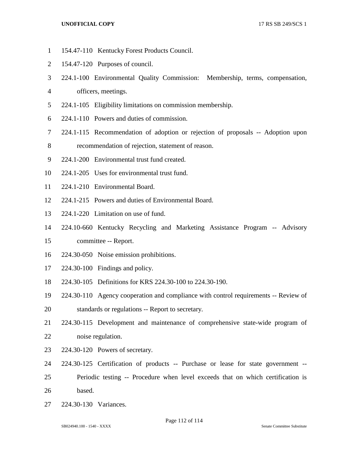- 154.47-110 Kentucky Forest Products Council.
- 154.47-120 Purposes of council.
- 224.1-100 Environmental Quality Commission: Membership, terms, compensation,
- officers, meetings.
- 224.1-105 Eligibility limitations on commission membership.
- 224.1-110 Powers and duties of commission.
- 224.1-115 Recommendation of adoption or rejection of proposals -- Adoption upon
- recommendation of rejection, statement of reason.
- 224.1-200 Environmental trust fund created.
- 224.1-205 Uses for environmental trust fund.
- 224.1-210 Environmental Board.
- 224.1-215 Powers and duties of Environmental Board.
- 224.1-220 Limitation on use of fund.
- 224.10-660 Kentucky Recycling and Marketing Assistance Program -- Advisory
- committee -- Report.
- 224.30-050 Noise emission prohibitions.
- 224.30-100 Findings and policy.
- 224.30-105 Definitions for KRS 224.30-100 to 224.30-190.
- 224.30-110 Agency cooperation and compliance with control requirements -- Review of
- standards or regulations -- Report to secretary.
- 224.30-115 Development and maintenance of comprehensive state-wide program of noise regulation.
- 224.30-120 Powers of secretary.
- 224.30-125 Certification of products -- Purchase or lease for state government --
- Periodic testing -- Procedure when level exceeds that on which certification is based.
- 224.30-130 Variances.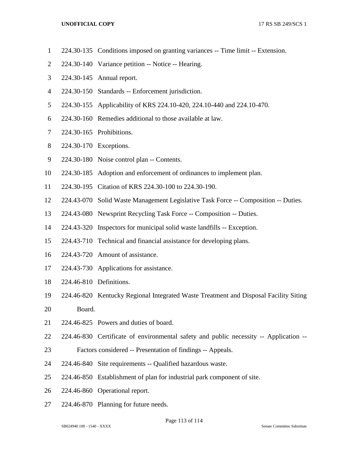- 224.30-135 Conditions imposed on granting variances -- Time limit -- Extension.
- 224.30-140 Variance petition -- Notice -- Hearing.
- 224.30-145 Annual report.
- 224.30-150 Standards -- Enforcement jurisdiction.
- 224.30-155 Applicability of KRS 224.10-420, 224.10-440 and 224.10-470.
- 224.30-160 Remedies additional to those available at law.
- 224.30-165 Prohibitions.
- 224.30-170 Exceptions.
- 224.30-180 Noise control plan -- Contents.
- 224.30-185 Adoption and enforcement of ordinances to implement plan.
- 224.30-195 Citation of KRS 224.30-100 to 224.30-190.
- 224.43-070 Solid Waste Management Legislative Task Force -- Composition -- Duties.
- 224.43-080 Newsprint Recycling Task Force -- Composition -- Duties.
- 224.43-320 Inspectors for municipal solid waste landfills -- Exception.
- 224.43-710 Technical and financial assistance for developing plans.
- 224.43-720 Amount of assistance.
- 224.43-730 Applications for assistance.
- 224.46-810 Definitions.
- 224.46-820 Kentucky Regional Integrated Waste Treatment and Disposal Facility Siting
- Board.
- 224.46-825 Powers and duties of board.
- 224.46-830 Certificate of environmental safety and public necessity -- Application --
- Factors considered -- Presentation of findings -- Appeals.
- 224.46-840 Site requirements -- Qualified hazardous waste.
- 224.46-850 Establishment of plan for industrial park component of site.
- 224.46-860 Operational report.
- 224.46-870 Planning for future needs.